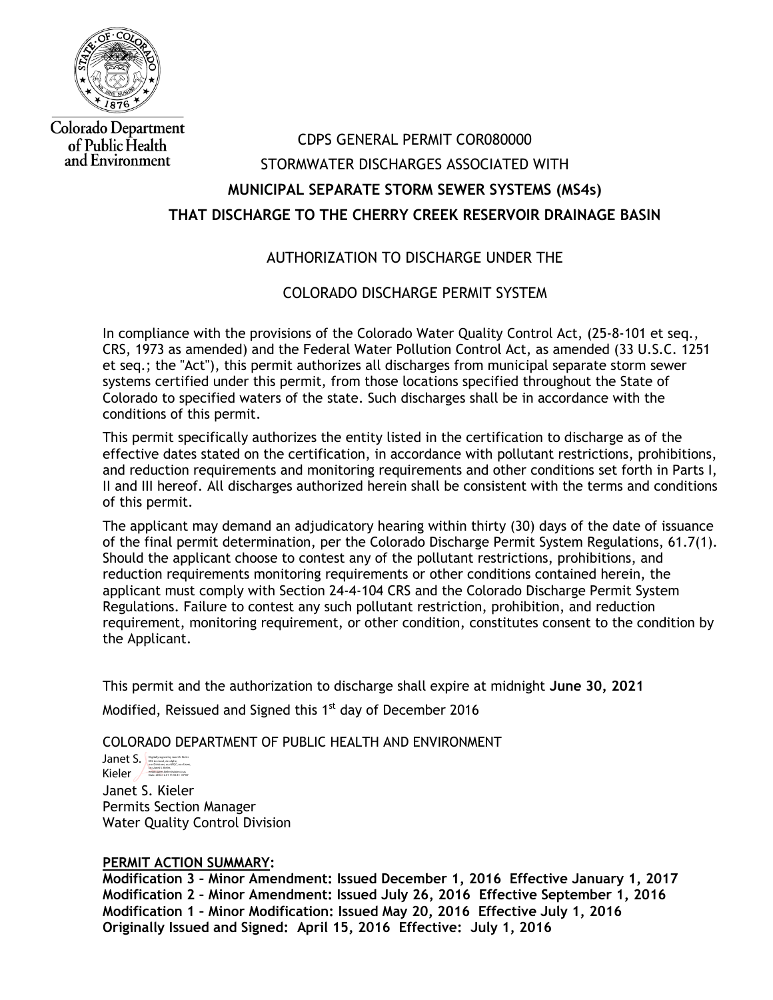

**Colorado Department** of Public Health and Environment

# CDPS GENERAL PERMIT COR080000 STORMWATER DISCHARGES ASSOCIATED WITH **MUNICIPAL SEPARATE STORM SEWER SYSTEMS (MS4s) THAT DISCHARGE TO THE CHERRY CREEK RESERVOIR DRAINAGE BASIN**

# AUTHORIZATION TO DISCHARGE UNDER THE

# COLORADO DISCHARGE PERMIT SYSTEM

In compliance with the provisions of the Colorado Water Quality Control Act, (25-8-101 et seq., CRS, 1973 as amended) and the Federal Water Pollution Control Act, as amended (33 U.S.C. 1251 et seq.; the "Act"), this permit authorizes all discharges from municipal separate storm sewer systems certified under this permit, from those locations specified throughout the State of Colorado to specified waters of the state. Such discharges shall be in accordance with the conditions of this permit.

This permit specifically authorizes the entity listed in the certification to discharge as of the effective dates stated on the certification, in accordance with pollutant restrictions, prohibitions, and reduction requirements and monitoring requirements and other conditions set forth in Parts I, II and III hereof. All discharges authorized herein shall be consistent with the terms and conditions of this permit.

The applicant may demand an adjudicatory hearing within thirty (30) days of the date of issuance of the final permit determination, per the Colorado Discharge Permit System Regulations, 61.7(1). Should the applicant choose to contest any of the pollutant restrictions, prohibitions, and reduction requirements monitoring requirements or other conditions contained herein, the applicant must comply with Section 24-4-104 CRS and the Colorado Discharge Permit System Regulations. Failure to contest any such pollutant restriction, prohibition, and reduction requirement, monitoring requirement, or other condition, constitutes consent to the condition by the Applicant.

This permit and the authorization to discharge shall expire at midnight **June 30, 2021** Modified, Reissued and Signed this 1<sup>st</sup> day of December 2016

COLORADO DEPARTMENT OF PUBLIC HEALTH AND ENVIRONMENT

Janet S. Bushally signed by Janet S. Kieler Kieler ou=Divisions, ou=WQC, ou=Users, cn=Janet S. Kieler, email=janet.kieler@state.co.us Date: 2016.12.01 11:55:31 -07'00'

Janet S. Kieler Permits Section Manager Water Quality Control Division

### **PERMIT ACTION SUMMARY:**

**Modification 3 – Minor Amendment: Issued December 1, 2016 Effective January 1, 2017 Modification 2 – Minor Amendment: Issued July 26, 2016 Effective September 1, 2016 Modification 1 – Minor Modification: Issued May 20, 2016 Effective July 1, 2016 Originally Issued and Signed: April 15, 2016 Effective: July 1, 2016**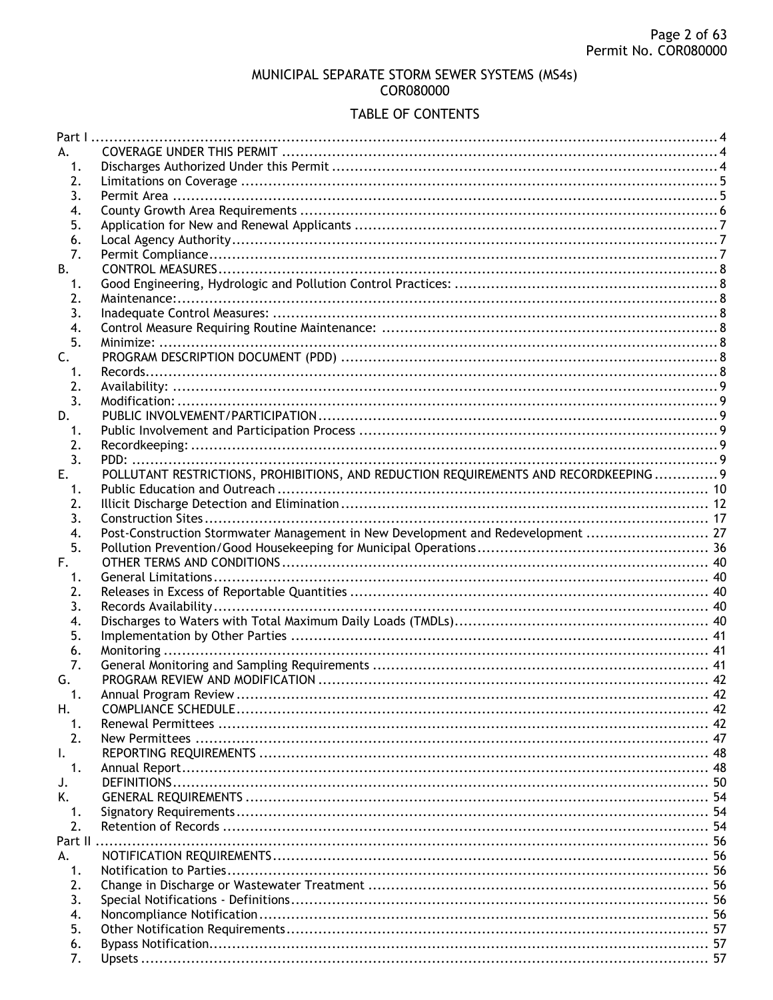### MUNICIPAL SEPARATE STORM SEWER SYSTEMS (MS4s) COR080000

## TABLE OF CONTENTS

| А.             |                                                                                       |                 |
|----------------|---------------------------------------------------------------------------------------|-----------------|
| 1.             |                                                                                       |                 |
| 2.             |                                                                                       |                 |
| 3.             |                                                                                       |                 |
| 4.             |                                                                                       |                 |
| 5.             |                                                                                       |                 |
| 6.             |                                                                                       |                 |
| 7.             |                                                                                       |                 |
| В.             |                                                                                       |                 |
| 1.             |                                                                                       |                 |
| 2.             |                                                                                       |                 |
| 3.             |                                                                                       |                 |
|                |                                                                                       |                 |
| 4.             |                                                                                       |                 |
| 5.             |                                                                                       |                 |
| $\mathsf{C}$ . |                                                                                       |                 |
| 1.             |                                                                                       |                 |
| 2.             |                                                                                       |                 |
| 3.             |                                                                                       |                 |
| D.             |                                                                                       |                 |
| 1.             |                                                                                       |                 |
| 2.             |                                                                                       |                 |
| 3.             |                                                                                       |                 |
| E.             | POLLUTANT RESTRICTIONS, PROHIBITIONS, AND REDUCTION REQUIREMENTS AND RECORDKEEPING  9 |                 |
| 1.             |                                                                                       |                 |
| 2.             |                                                                                       |                 |
| 3.             |                                                                                       |                 |
| 4.             | Post-Construction Stormwater Management in New Development and Redevelopment  27      |                 |
| 5.             |                                                                                       |                 |
| F.             |                                                                                       |                 |
| 1.             |                                                                                       |                 |
| 2.             |                                                                                       |                 |
| 3.             |                                                                                       |                 |
|                |                                                                                       |                 |
| 4.             |                                                                                       |                 |
| 5.             |                                                                                       |                 |
| 6.             |                                                                                       |                 |
| 7.             |                                                                                       |                 |
| G.             |                                                                                       |                 |
| $\mathbf 1$    | Annual Program Review                                                                 | $\overline{47}$ |
| Н.             |                                                                                       |                 |
| 1.             |                                                                                       |                 |
| 2.             |                                                                                       |                 |
| I.             |                                                                                       |                 |
| 1.             |                                                                                       |                 |
|                |                                                                                       |                 |
| J.<br>K.       |                                                                                       |                 |
|                |                                                                                       |                 |
| 1.             |                                                                                       |                 |
| 2.<br>Part II  |                                                                                       |                 |
| А.             |                                                                                       |                 |
|                |                                                                                       |                 |
| 1.             |                                                                                       |                 |
| 2.             |                                                                                       |                 |
| 3.             |                                                                                       |                 |
| 4.             |                                                                                       |                 |
| 5.<br>6.       |                                                                                       |                 |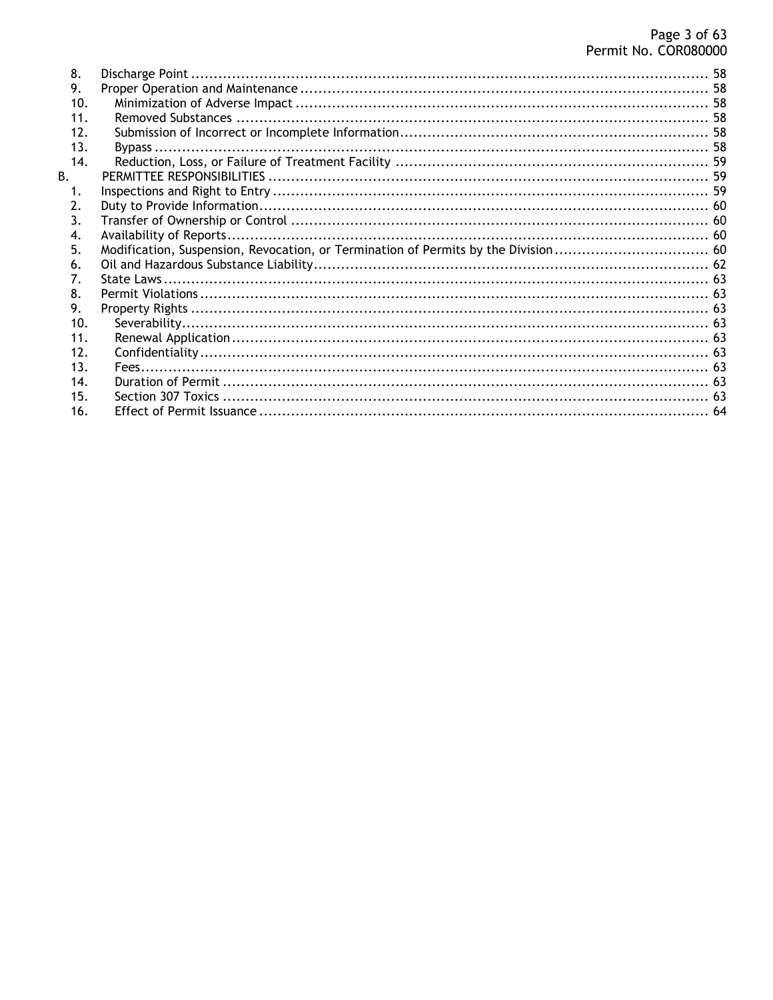| 8.              |  |
|-----------------|--|
| 9.              |  |
| 10.             |  |
| 11 <sub>1</sub> |  |
| 12.             |  |
| 13.             |  |
| 14.             |  |
| $\mathbf{B}$ .  |  |
| 1.              |  |
| 2.              |  |
| 3.              |  |
| 4.              |  |
| 5.              |  |
| 6.              |  |
| 7.              |  |
| 8.              |  |
| 9.              |  |
| 10.             |  |
| 11.             |  |
| 12.             |  |
| 13.             |  |
| 14.             |  |
| 15.             |  |
| 16.             |  |
|                 |  |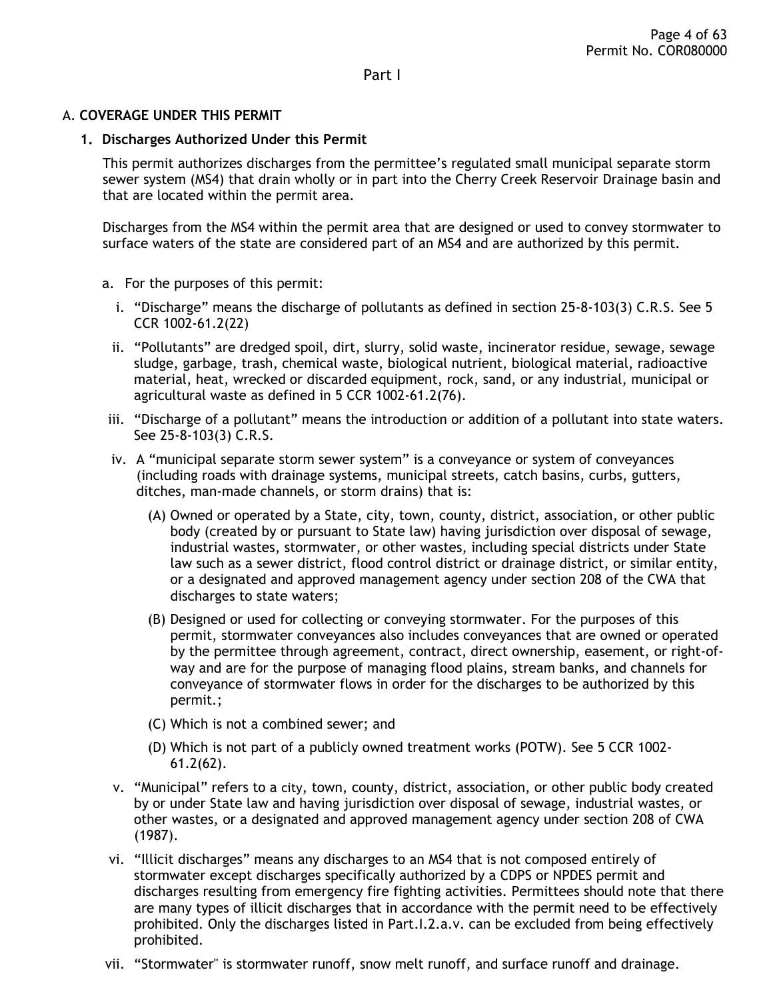### <span id="page-3-2"></span><span id="page-3-1"></span><span id="page-3-0"></span>A. **COVERAGE UNDER THIS PERMIT**

#### **1. Discharges Authorized Under this Permit**

This permit authorizes discharges from the permittee's regulated small municipal separate storm sewer system (MS4) that drain wholly or in part into the Cherry Creek Reservoir Drainage basin and that are located within the permit area.

Discharges from the MS4 within the permit area that are designed or used to convey stormwater to surface waters of the state are considered part of an MS4 and are authorized by this permit.

- a. For the purposes of this permit:
	- i. "Discharge" means the discharge of pollutants as defined in section 25-8-103(3) C.R.S. See 5 CCR 1002-61.2(22)
	- ii. "Pollutants" are dredged spoil, dirt, slurry, solid waste, incinerator residue, sewage, sewage sludge, garbage, trash, chemical waste, biological nutrient, biological material, radioactive material, heat, wrecked or discarded equipment, rock, sand, or any industrial, municipal or agricultural waste as defined in 5 CCR 1002-61.2(76).
- iii. "Discharge of a pollutant" means the introduction or addition of a pollutant into state waters. See 25-8-103(3) C.R.S.
- iv. A "municipal separate storm sewer system" is a conveyance or system of conveyances (including roads with drainage systems, municipal streets, catch basins, curbs, gutters, ditches, man-made channels, or storm drains) that is:
	- (A) Owned or operated by a State, city, town, county, district, association, or other public body (created by or pursuant to State law) having jurisdiction over disposal of sewage, industrial wastes, stormwater, or other wastes, including special districts under State law such as a sewer district, flood control district or drainage district, or similar entity, or a designated and approved management agency under section 208 of the CWA that discharges to state waters;
	- (B) Designed or used for collecting or conveying stormwater. For the purposes of this permit, stormwater conveyances also includes conveyances that are owned or operated by the permittee through agreement, contract, direct ownership, easement, or right-ofway and are for the purpose of managing flood plains, stream banks, and channels for conveyance of stormwater flows in order for the discharges to be authorized by this permit.;
	- (C) Which is not a combined sewer; and
	- (D) Which is not part of a publicly owned treatment works (POTW). See 5 CCR 1002- 61.2(62).
- v. "Municipal" refers to a city, town, county, district, association, or other public body created by or under State law and having jurisdiction over disposal of sewage, industrial wastes, or other wastes, or a designated and approved management agency under section 208 of CWA (1987).
- vi. "Illicit discharges" means any discharges to an MS4 that is not composed entirely of stormwater except discharges specifically authorized by a CDPS or NPDES permit and discharges resulting from emergency fire fighting activities. Permittees should note that there are many types of illicit discharges that in accordance with the permit need to be effectively prohibited. Only the discharges listed in Part.I.2.a.v. can be excluded from being effectively prohibited.
- vii. "Stormwater" is stormwater runoff, snow melt runoff, and surface runoff and drainage.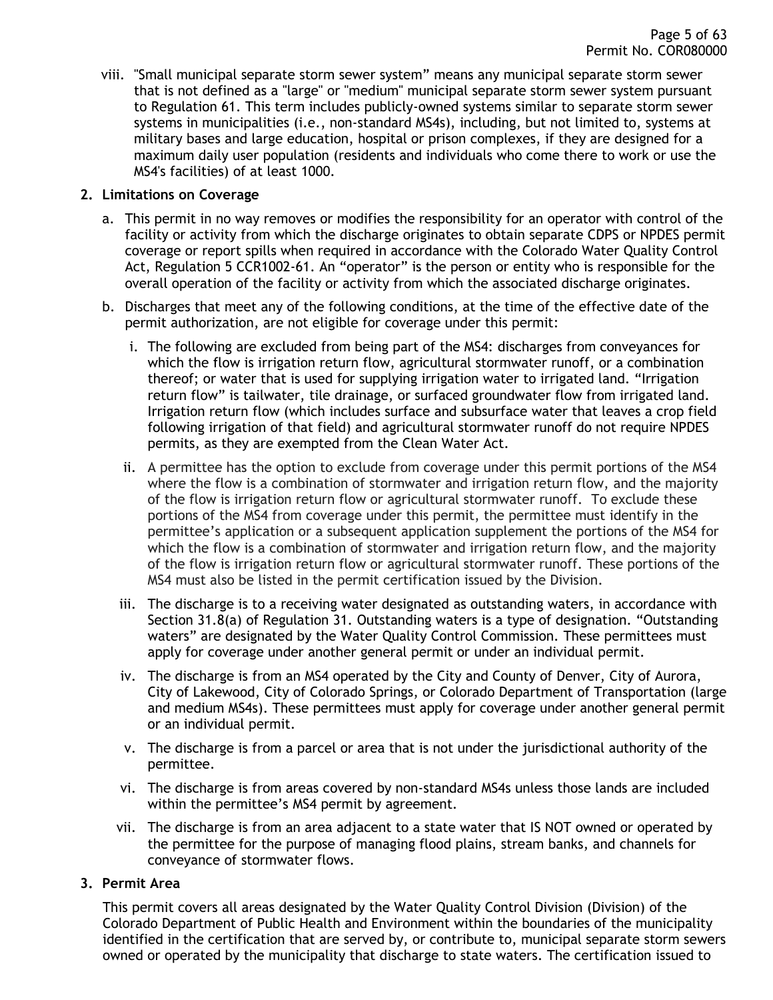viii. "Small municipal separate storm sewer system" means any municipal separate storm sewer that is not defined as a "large" or "medium" municipal separate storm sewer system pursuant to Regulation 61. This term includes publicly-owned systems similar to separate storm sewer systems in municipalities (i.e., non-standard MS4s), including, but not limited to, systems at military bases and large education, hospital or prison complexes, if they are designed for a maximum daily user population (residents and individuals who come there to work or use the MS4's facilities) of at least 1000.

### <span id="page-4-0"></span>**2. Limitations on Coverage**

- a. This permit in no way removes or modifies the responsibility for an operator with control of the facility or activity from which the discharge originates to obtain separate CDPS or NPDES permit coverage or report spills when required in accordance with the Colorado Water Quality Control Act, Regulation 5 CCR1002-61. An "operator" is the person or entity who is responsible for the overall operation of the facility or activity from which the associated discharge originates.
- b. Discharges that meet any of the following conditions, at the time of the effective date of the permit authorization, are not eligible for coverage under this permit:
	- i. The following are excluded from being part of the MS4: discharges from conveyances for which the flow is irrigation return flow, agricultural stormwater runoff, or a combination thereof; or water that is used for supplying irrigation water to irrigated land. "Irrigation return flow" is tailwater, tile drainage, or surfaced groundwater flow from irrigated land. Irrigation return flow (which includes surface and subsurface water that leaves a crop field following irrigation of that field) and agricultural stormwater runoff do not require NPDES permits, as they are exempted from the Clean Water Act.
	- ii. A permittee has the option to exclude from coverage under this permit portions of the MS4 where the flow is a combination of stormwater and irrigation return flow, and the majority of the flow is irrigation return flow or agricultural stormwater runoff. To exclude these portions of the MS4 from coverage under this permit, the permittee must identify in the permittee's application or a subsequent application supplement the portions of the MS4 for which the flow is a combination of stormwater and irrigation return flow, and the majority of the flow is irrigation return flow or agricultural stormwater runoff. These portions of the MS4 must also be listed in the permit certification issued by the Division.
	- iii. The discharge is to a receiving water designated as outstanding waters, in accordance with Section 31.8(a) of Regulation 31. Outstanding waters is a type of designation. "Outstanding waters" are designated by the Water Quality Control Commission. These permittees must apply for coverage under another general permit or under an individual permit.
	- iv. The discharge is from an MS4 operated by the City and County of Denver, City of Aurora, City of Lakewood, City of Colorado Springs, or Colorado Department of Transportation (large and medium MS4s). These permittees must apply for coverage under another general permit or an individual permit.
	- v. The discharge is from a parcel or area that is not under the jurisdictional authority of the permittee.
	- vi. The discharge is from areas covered by non-standard MS4s unless those lands are included within the permittee's MS4 permit by agreement.
	- vii. The discharge is from an area adjacent to a state water that IS NOT owned or operated by the permittee for the purpose of managing flood plains, stream banks, and channels for conveyance of stormwater flows.

#### <span id="page-4-1"></span>**3. Permit Area**

This permit covers all areas designated by the Water Quality Control Division (Division) of the Colorado Department of Public Health and Environment within the boundaries of the municipality identified in the certification that are served by, or contribute to, municipal separate storm sewers owned or operated by the municipality that discharge to state waters. The certification issued to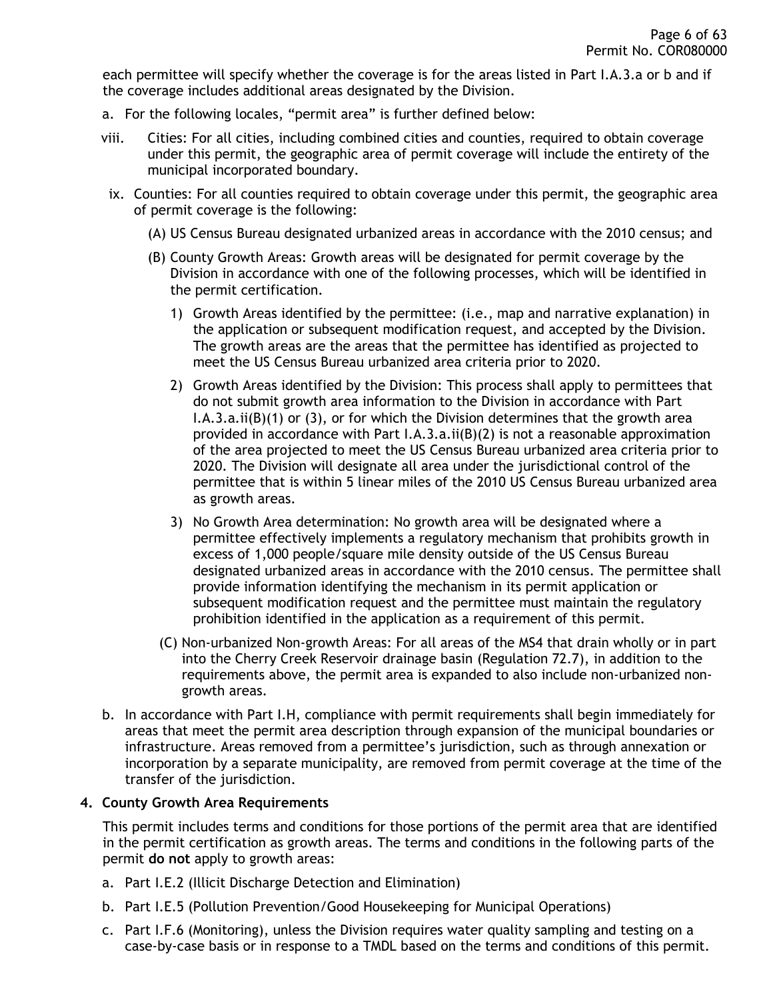each permittee will specify whether the coverage is for the areas listed in Part I.A.3.a or b and if the coverage includes additional areas designated by the Division.

- a. For the following locales, "permit area" is further defined below:
- viii. Cities: For all cities, including combined cities and counties, required to obtain coverage under this permit, the geographic area of permit coverage will include the entirety of the municipal incorporated boundary.
- ix. Counties: For all counties required to obtain coverage under this permit, the geographic area of permit coverage is the following:
	- (A) US Census Bureau designated urbanized areas in accordance with the 2010 census; and
	- (B) County Growth Areas: Growth areas will be designated for permit coverage by the Division in accordance with one of the following processes, which will be identified in the permit certification.
		- 1) Growth Areas identified by the permittee: (i.e., map and narrative explanation) in the application or subsequent modification request, and accepted by the Division. The growth areas are the areas that the permittee has identified as projected to meet the US Census Bureau urbanized area criteria prior to 2020.
		- 2) Growth Areas identified by the Division: This process shall apply to permittees that do not submit growth area information to the Division in accordance with Part I.A.3.a.ii(B)(1) or (3), or for which the Division determines that the growth area provided in accordance with Part I.A.3.a.ii(B)(2) is not a reasonable approximation of the area projected to meet the US Census Bureau urbanized area criteria prior to 2020. The Division will designate all area under the jurisdictional control of the permittee that is within 5 linear miles of the 2010 US Census Bureau urbanized area as growth areas.
		- 3) No Growth Area determination: No growth area will be designated where a permittee effectively implements a regulatory mechanism that prohibits growth in excess of 1,000 people/square mile density outside of the US Census Bureau designated urbanized areas in accordance with the 2010 census. The permittee shall provide information identifying the mechanism in its permit application or subsequent modification request and the permittee must maintain the regulatory prohibition identified in the application as a requirement of this permit.
		- (C) Non-urbanized Non-growth Areas: For all areas of the MS4 that drain wholly or in part into the Cherry Creek Reservoir drainage basin (Regulation 72.7), in addition to the requirements above, the permit area is expanded to also include non-urbanized nongrowth areas.
- b. In accordance with Part I.H, compliance with permit requirements shall begin immediately for areas that meet the permit area description through expansion of the municipal boundaries or infrastructure. Areas removed from a permittee's jurisdiction, such as through annexation or incorporation by a separate municipality, are removed from permit coverage at the time of the transfer of the jurisdiction.

### <span id="page-5-0"></span>**4. County Growth Area Requirements**

This permit includes terms and conditions for those portions of the permit area that are identified in the permit certification as growth areas. The terms and conditions in the following parts of the permit **do not** apply to growth areas:

- a. Part I.E.2 (Illicit Discharge Detection and Elimination)
- b. Part I.E.5 (Pollution Prevention/Good Housekeeping for Municipal Operations)
- c. Part I.F.6 (Monitoring), unless the Division requires water quality sampling and testing on a case-by-case basis or in response to a TMDL based on the terms and conditions of this permit.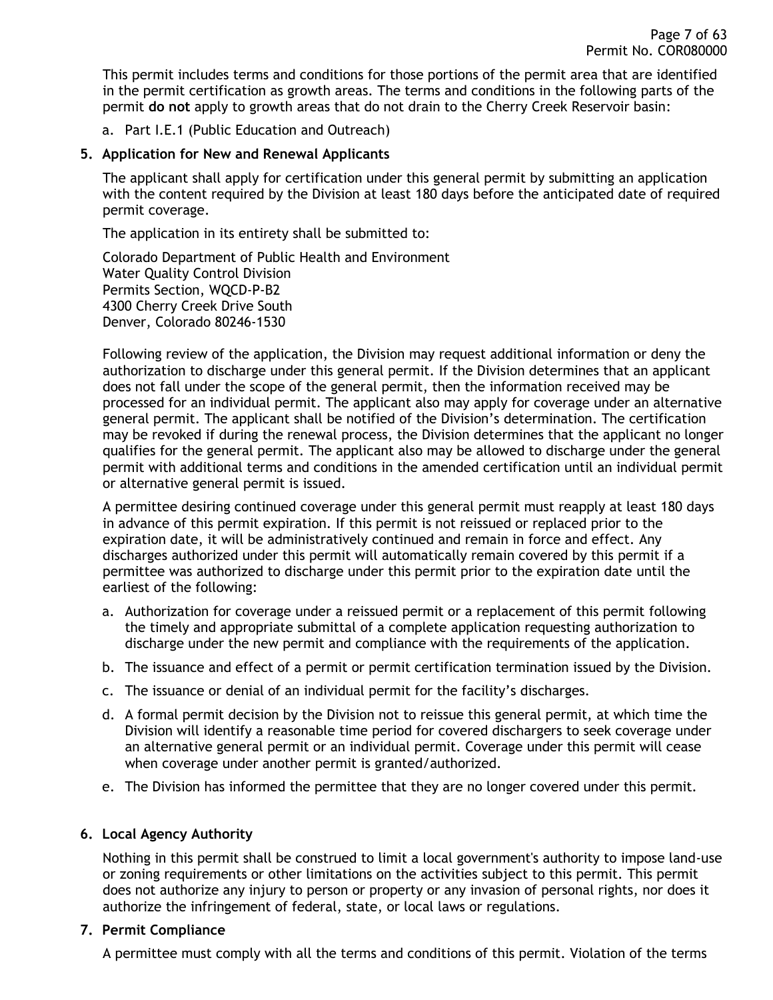This permit includes terms and conditions for those portions of the permit area that are identified in the permit certification as growth areas. The terms and conditions in the following parts of the permit **do not** apply to growth areas that do not drain to the Cherry Creek Reservoir basin:

a. Part I.E.1 (Public Education and Outreach)

### <span id="page-6-0"></span>**5. Application for New and Renewal Applicants**

The applicant shall apply for certification under this general permit by submitting an application with the content required by the Division at least 180 days before the anticipated date of required permit coverage.

The application in its entirety shall be submitted to:

Colorado Department of Public Health and Environment Water Quality Control Division Permits Section, WQCD-P-B2 4300 Cherry Creek Drive South Denver, Colorado 80246-1530

Following review of the application, the Division may request additional information or deny the authorization to discharge under this general permit. If the Division determines that an applicant does not fall under the scope of the general permit, then the information received may be processed for an individual permit. The applicant also may apply for coverage under an alternative general permit. The applicant shall be notified of the Division's determination. The certification may be revoked if during the renewal process, the Division determines that the applicant no longer qualifies for the general permit. The applicant also may be allowed to discharge under the general permit with additional terms and conditions in the amended certification until an individual permit or alternative general permit is issued.

A permittee desiring continued coverage under this general permit must reapply at least 180 days in advance of this permit expiration. If this permit is not reissued or replaced prior to the expiration date, it will be administratively continued and remain in force and effect. Any discharges authorized under this permit will automatically remain covered by this permit if a permittee was authorized to discharge under this permit prior to the expiration date until the earliest of the following:

- a. Authorization for coverage under a reissued permit or a replacement of this permit following the timely and appropriate submittal of a complete application requesting authorization to discharge under the new permit and compliance with the requirements of the application.
- b. The issuance and effect of a permit or permit certification termination issued by the Division.
- c. The issuance or denial of an individual permit for the facility's discharges.
- d. A formal permit decision by the Division not to reissue this general permit, at which time the Division will identify a reasonable time period for covered dischargers to seek coverage under an alternative general permit or an individual permit. Coverage under this permit will cease when coverage under another permit is granted/authorized.
- e. The Division has informed the permittee that they are no longer covered under this permit.

#### <span id="page-6-1"></span>**6. Local Agency Authority**

Nothing in this permit shall be construed to limit a local government's authority to impose land-use or zoning requirements or other limitations on the activities subject to this permit. This permit does not authorize any injury to person or property or any invasion of personal rights, nor does it authorize the infringement of federal, state, or local laws or regulations.

#### <span id="page-6-2"></span>**7. Permit Compliance**

A permittee must comply with all the terms and conditions of this permit. Violation of the terms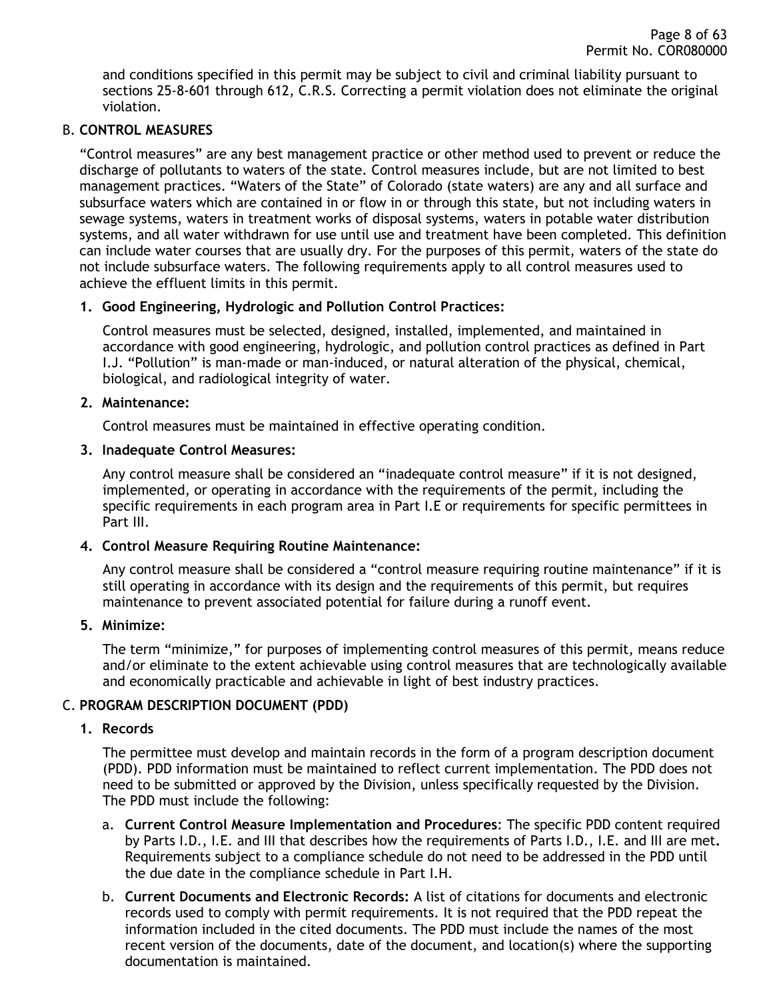and conditions specified in this permit may be subject to civil and criminal liability pursuant to sections 25-8-601 through 612, C.R.S. Correcting a permit violation does not eliminate the original violation.

### <span id="page-7-0"></span>B. **CONTROL MEASURES**

"Control measures" are any best management practice or other method used to prevent or reduce the discharge of pollutants to waters of the state. Control measures include, but are not limited to best management practices. "Waters of the State" of Colorado (state waters) are any and all surface and subsurface waters which are contained in or flow in or through this state, but not including waters in sewage systems, waters in treatment works of disposal systems, waters in potable water distribution systems, and all water withdrawn for use until use and treatment have been completed. This definition can include water courses that are usually dry. For the purposes of this permit, waters of the state do not include subsurface waters. The following requirements apply to all control measures used to achieve the effluent limits in this permit.

#### <span id="page-7-1"></span>**1. Good Engineering, Hydrologic and Pollution Control Practices:**

Control measures must be selected, designed, installed, implemented, and maintained in accordance with good engineering, hydrologic, and pollution control practices as defined in Part I.J. "Pollution" is man-made or man-induced, or natural alteration of the physical, chemical, biological, and radiological integrity of water.

#### <span id="page-7-2"></span>**2. Maintenance:**

Control measures must be maintained in effective operating condition.

#### <span id="page-7-3"></span>**3. Inadequate Control Measures:**

Any control measure shall be considered an "inadequate control measure" if it is not designed, implemented, or operating in accordance with the requirements of the permit, including the specific requirements in each program area in Part I.E or requirements for specific permittees in Part III.

### <span id="page-7-4"></span>**4. Control Measure Requiring Routine Maintenance:**

Any control measure shall be considered a "control measure requiring routine maintenance" if it is still operating in accordance with its design and the requirements of this permit, but requires maintenance to prevent associated potential for failure during a runoff event.

#### <span id="page-7-5"></span>**5. Minimize:**

The term "minimize," for purposes of implementing control measures of this permit, means reduce and/or eliminate to the extent achievable using control measures that are technologically available and economically practicable and achievable in light of best industry practices.

### <span id="page-7-7"></span><span id="page-7-6"></span>C. **PROGRAM DESCRIPTION DOCUMENT (PDD)**

### **1. Records**

The permittee must develop and maintain records in the form of a program description document (PDD). PDD information must be maintained to reflect current implementation. The PDD does not need to be submitted or approved by the Division, unless specifically requested by the Division. The PDD must include the following:

- a. **Current Control Measure Implementation and Procedures**: The specific PDD content required by Parts I.D., I.E. and III that describes how the requirements of Parts I.D., I.E. and III are met**.** Requirements subject to a compliance schedule do not need to be addressed in the PDD until the due date in the compliance schedule in Part I.H.
- b. **Current Documents and Electronic Records:** A list of citations for documents and electronic records used to comply with permit requirements. It is not required that the PDD repeat the information included in the cited documents. The PDD must include the names of the most recent version of the documents, date of the document, and location(s) where the supporting documentation is maintained.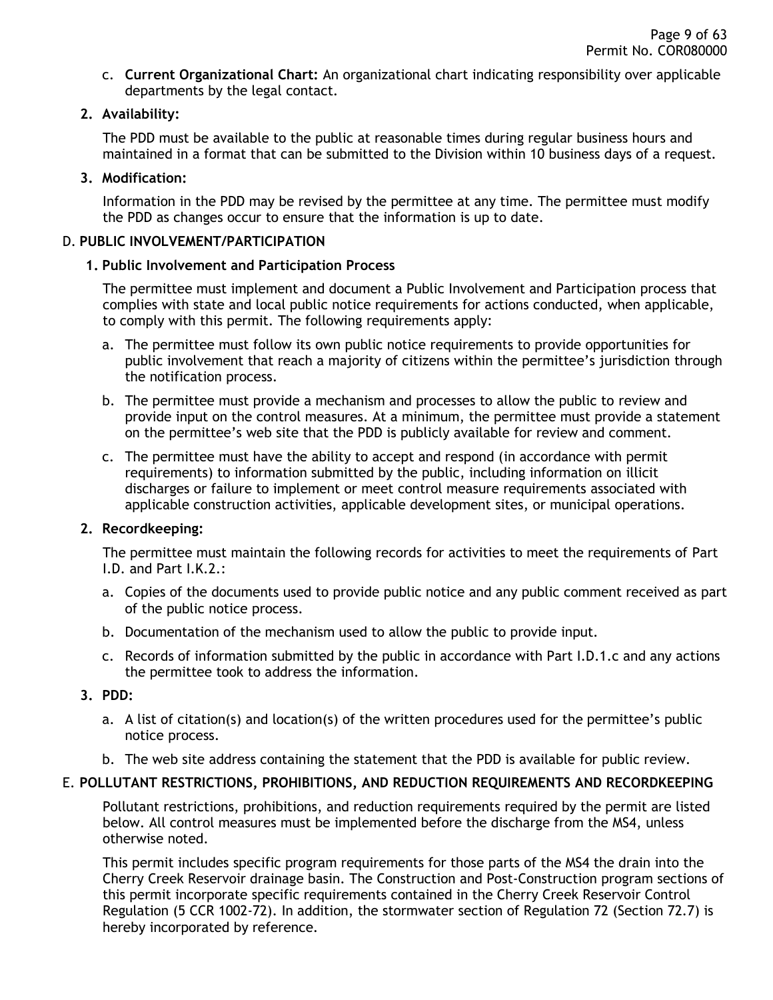c. **Current Organizational Chart:** An organizational chart indicating responsibility over applicable departments by the legal contact.

### <span id="page-8-0"></span>**2. Availability:**

The PDD must be available to the public at reasonable times during regular business hours and maintained in a format that can be submitted to the Division within 10 business days of a request.

### <span id="page-8-1"></span>**3. Modification:**

Information in the PDD may be revised by the permittee at any time. The permittee must modify the PDD as changes occur to ensure that the information is up to date.

### <span id="page-8-3"></span><span id="page-8-2"></span>D. **PUBLIC INVOLVEMENT/PARTICIPATION**

### **1. Public Involvement and Participation Process**

The permittee must implement and document a Public Involvement and Participation process that complies with state and local public notice requirements for actions conducted, when applicable, to comply with this permit. The following requirements apply:

- a. The permittee must follow its own public notice requirements to provide opportunities for public involvement that reach a majority of citizens within the permittee's jurisdiction through the notification process.
- b. The permittee must provide a mechanism and processes to allow the public to review and provide input on the control measures. At a minimum, the permittee must provide a statement on the permittee's web site that the PDD is publicly available for review and comment.
- c. The permittee must have the ability to accept and respond (in accordance with permit requirements) to information submitted by the public, including information on illicit discharges or failure to implement or meet control measure requirements associated with applicable construction activities, applicable development sites, or municipal operations.

### <span id="page-8-4"></span>**2. Recordkeeping:**

The permittee must maintain the following records for activities to meet the requirements of Part I.D. and Part I.K.2.:

- a. Copies of the documents used to provide public notice and any public comment received as part of the public notice process.
- b. Documentation of the mechanism used to allow the public to provide input.
- c. Records of information submitted by the public in accordance with Part I.D.1.c and any actions the permittee took to address the information.

### <span id="page-8-5"></span>**3. PDD:**

- a. A list of citation(s) and location(s) of the written procedures used for the permittee's public notice process.
- b. The web site address containing the statement that the PDD is available for public review.

### <span id="page-8-6"></span>E. **POLLUTANT RESTRICTIONS, PROHIBITIONS, AND REDUCTION REQUIREMENTS AND RECORDKEEPING**

Pollutant restrictions, prohibitions, and reduction requirements required by the permit are listed below. All control measures must be implemented before the discharge from the MS4, unless otherwise noted.

This permit includes specific program requirements for those parts of the MS4 the drain into the Cherry Creek Reservoir drainage basin. The Construction and Post-Construction program sections of this permit incorporate specific requirements contained in the Cherry Creek Reservoir Control Regulation (5 CCR 1002-72). In addition, the stormwater section of Regulation 72 (Section 72.7) is hereby incorporated by reference.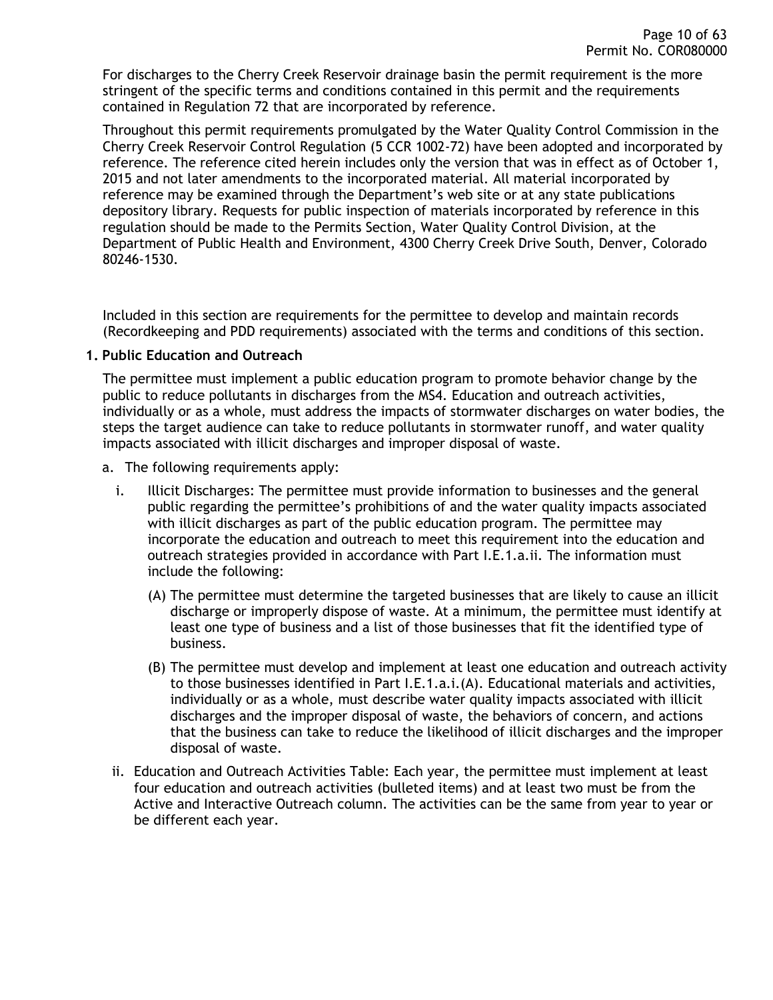For discharges to the Cherry Creek Reservoir drainage basin the permit requirement is the more stringent of the specific terms and conditions contained in this permit and the requirements contained in Regulation 72 that are incorporated by reference.

Throughout this permit requirements promulgated by the Water Quality Control Commission in the Cherry Creek Reservoir Control Regulation (5 CCR 1002-72) have been adopted and incorporated by reference. The reference cited herein includes only the version that was in effect as of October 1, 2015 and not later amendments to the incorporated material. All material incorporated by reference may be examined through the Department's web site or at any state publications depository library. Requests for public inspection of materials incorporated by reference in this regulation should be made to the Permits Section, Water Quality Control Division, at the Department of Public Health and Environment, 4300 Cherry Creek Drive South, Denver, Colorado 80246-1530.

Included in this section are requirements for the permittee to develop and maintain records (Recordkeeping and PDD requirements) associated with the terms and conditions of this section.

#### <span id="page-9-0"></span>**1. Public Education and Outreach**

The permittee must implement a public education program to promote behavior change by the public to reduce pollutants in discharges from the MS4. Education and outreach activities, individually or as a whole, must address the impacts of stormwater discharges on water bodies, the steps the target audience can take to reduce pollutants in stormwater runoff, and water quality impacts associated with illicit discharges and improper disposal of waste.

- a. The following requirements apply:
	- i. Illicit Discharges: The permittee must provide information to businesses and the general public regarding the permittee's prohibitions of and the water quality impacts associated with illicit discharges as part of the public education program. The permittee may incorporate the education and outreach to meet this requirement into the education and outreach strategies provided in accordance with Part I.E.1.a.ii. The information must include the following:
		- (A) The permittee must determine the targeted businesses that are likely to cause an illicit discharge or improperly dispose of waste. At a minimum, the permittee must identify at least one type of business and a list of those businesses that fit the identified type of business.
		- (B) The permittee must develop and implement at least one education and outreach activity to those businesses identified in Part I.E.1.a.i.(A). Educational materials and activities, individually or as a whole, must describe water quality impacts associated with illicit discharges and the improper disposal of waste, the behaviors of concern, and actions that the business can take to reduce the likelihood of illicit discharges and the improper disposal of waste.
	- ii. Education and Outreach Activities Table: Each year, the permittee must implement at least four education and outreach activities (bulleted items) and at least two must be from the Active and Interactive Outreach column. The activities can be the same from year to year or be different each year.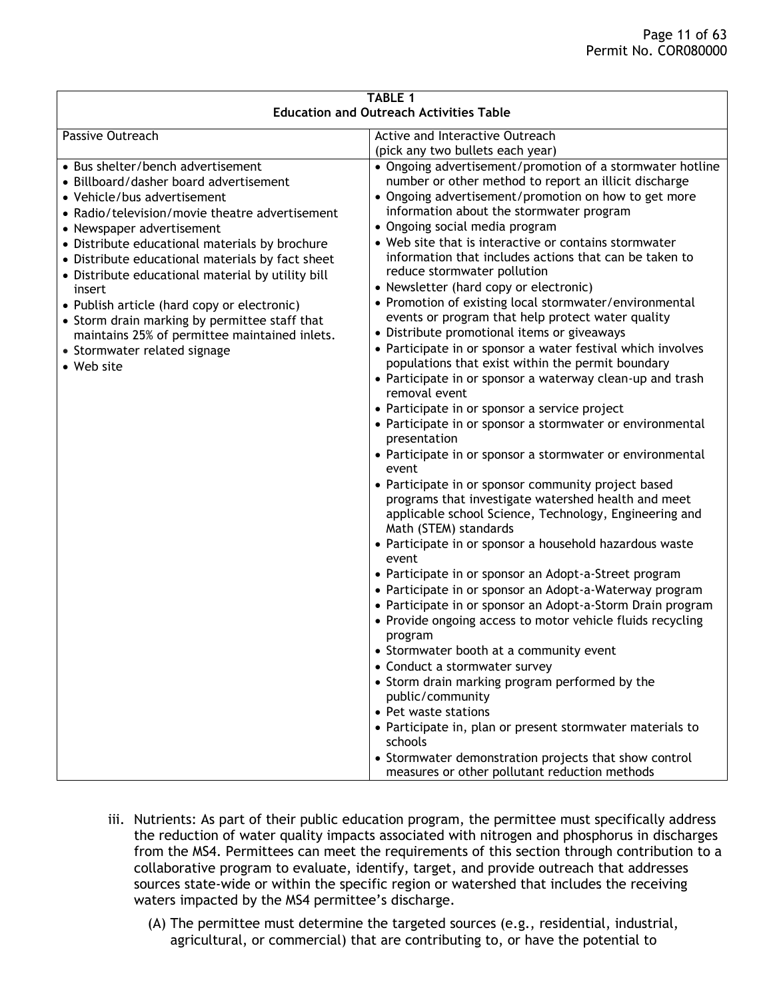| <b>TABLE 1</b><br><b>Education and Outreach Activities Table</b>                                                                                                                                                                                                                                                                                                                                                                                                                                                                                              |                                                                                                                                                                                                                                                                                                                                                                                                                                                                                                                                                                                                                                                                                                                                                                                                                                                                                                                                                                                                                                                                                                                                                                                                                                                                                                                                                                                                                                                                                                                                                                                                                                                                                                                                                                                                                                                                                                         |  |  |
|---------------------------------------------------------------------------------------------------------------------------------------------------------------------------------------------------------------------------------------------------------------------------------------------------------------------------------------------------------------------------------------------------------------------------------------------------------------------------------------------------------------------------------------------------------------|---------------------------------------------------------------------------------------------------------------------------------------------------------------------------------------------------------------------------------------------------------------------------------------------------------------------------------------------------------------------------------------------------------------------------------------------------------------------------------------------------------------------------------------------------------------------------------------------------------------------------------------------------------------------------------------------------------------------------------------------------------------------------------------------------------------------------------------------------------------------------------------------------------------------------------------------------------------------------------------------------------------------------------------------------------------------------------------------------------------------------------------------------------------------------------------------------------------------------------------------------------------------------------------------------------------------------------------------------------------------------------------------------------------------------------------------------------------------------------------------------------------------------------------------------------------------------------------------------------------------------------------------------------------------------------------------------------------------------------------------------------------------------------------------------------------------------------------------------------------------------------------------------------|--|--|
| Passive Outreach                                                                                                                                                                                                                                                                                                                                                                                                                                                                                                                                              | Active and Interactive Outreach                                                                                                                                                                                                                                                                                                                                                                                                                                                                                                                                                                                                                                                                                                                                                                                                                                                                                                                                                                                                                                                                                                                                                                                                                                                                                                                                                                                                                                                                                                                                                                                                                                                                                                                                                                                                                                                                         |  |  |
|                                                                                                                                                                                                                                                                                                                                                                                                                                                                                                                                                               |                                                                                                                                                                                                                                                                                                                                                                                                                                                                                                                                                                                                                                                                                                                                                                                                                                                                                                                                                                                                                                                                                                                                                                                                                                                                                                                                                                                                                                                                                                                                                                                                                                                                                                                                                                                                                                                                                                         |  |  |
| • Bus shelter/bench advertisement<br>• Billboard/dasher board advertisement<br>• Vehicle/bus advertisement<br>• Radio/television/movie theatre advertisement<br>• Newspaper advertisement<br>• Distribute educational materials by brochure<br>• Distribute educational materials by fact sheet<br>• Distribute educational material by utility bill<br>insert<br>• Publish article (hard copy or electronic)<br>• Storm drain marking by permittee staff that<br>maintains 25% of permittee maintained inlets.<br>• Stormwater related signage<br>• Web site | (pick any two bullets each year)<br>• Ongoing advertisement/promotion of a stormwater hotline<br>number or other method to report an illicit discharge<br>• Ongoing advertisement/promotion on how to get more<br>information about the stormwater program<br>• Ongoing social media program<br>• Web site that is interactive or contains stormwater<br>information that includes actions that can be taken to<br>reduce stormwater pollution<br>• Newsletter (hard copy or electronic)<br>• Promotion of existing local stormwater/environmental<br>events or program that help protect water quality<br>• Distribute promotional items or giveaways<br>• Participate in or sponsor a water festival which involves<br>populations that exist within the permit boundary<br>• Participate in or sponsor a waterway clean-up and trash<br>removal event<br>• Participate in or sponsor a service project<br>• Participate in or sponsor a stormwater or environmental<br>presentation<br>• Participate in or sponsor a stormwater or environmental<br>event<br>• Participate in or sponsor community project based<br>programs that investigate watershed health and meet<br>applicable school Science, Technology, Engineering and<br>Math (STEM) standards<br>• Participate in or sponsor a household hazardous waste<br>event<br>• Participate in or sponsor an Adopt-a-Street program<br>• Participate in or sponsor an Adopt-a-Waterway program<br>• Participate in or sponsor an Adopt-a-Storm Drain program<br>• Provide ongoing access to motor vehicle fluids recycling<br>program<br>• Stormwater booth at a community event<br>• Conduct a stormwater survey<br>• Storm drain marking program performed by the<br>public/community<br>• Pet waste stations<br>• Participate in, plan or present stormwater materials to<br>schools<br>• Stormwater demonstration projects that show control |  |  |
|                                                                                                                                                                                                                                                                                                                                                                                                                                                                                                                                                               | measures or other pollutant reduction methods                                                                                                                                                                                                                                                                                                                                                                                                                                                                                                                                                                                                                                                                                                                                                                                                                                                                                                                                                                                                                                                                                                                                                                                                                                                                                                                                                                                                                                                                                                                                                                                                                                                                                                                                                                                                                                                           |  |  |

- iii. Nutrients: As part of their public education program, the permittee must specifically address the reduction of water quality impacts associated with nitrogen and phosphorus in discharges from the MS4. Permittees can meet the requirements of this section through contribution to a collaborative program to evaluate, identify, target, and provide outreach that addresses sources state-wide or within the specific region or watershed that includes the receiving waters impacted by the MS4 permittee's discharge.
	- (A) The permittee must determine the targeted sources (e.g., residential, industrial, agricultural, or commercial) that are contributing to, or have the potential to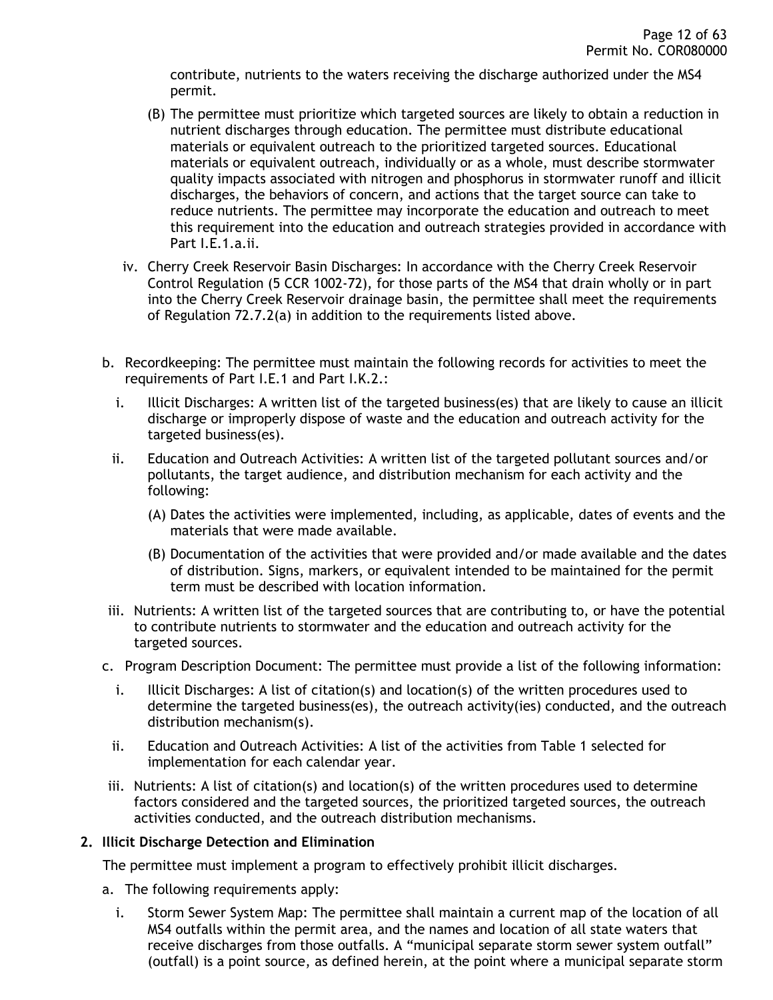contribute, nutrients to the waters receiving the discharge authorized under the MS4 permit.

- (B) The permittee must prioritize which targeted sources are likely to obtain a reduction in nutrient discharges through education. The permittee must distribute educational materials or equivalent outreach to the prioritized targeted sources. Educational materials or equivalent outreach, individually or as a whole, must describe stormwater quality impacts associated with nitrogen and phosphorus in stormwater runoff and illicit discharges, the behaviors of concern, and actions that the target source can take to reduce nutrients. The permittee may incorporate the education and outreach to meet this requirement into the education and outreach strategies provided in accordance with Part I.E.1.a.ii.
- iv. Cherry Creek Reservoir Basin Discharges: In accordance with the Cherry Creek Reservoir Control Regulation (5 CCR 1002-72), for those parts of the MS4 that drain wholly or in part into the Cherry Creek Reservoir drainage basin, the permittee shall meet the requirements of Regulation 72.7.2(a) in addition to the requirements listed above.
- b. Recordkeeping: The permittee must maintain the following records for activities to meet the requirements of Part I.E.1 and Part I.K.2.:
	- i. Illicit Discharges: A written list of the targeted business(es) that are likely to cause an illicit discharge or improperly dispose of waste and the education and outreach activity for the targeted business(es).
	- ii. Education and Outreach Activities: A written list of the targeted pollutant sources and/or pollutants, the target audience, and distribution mechanism for each activity and the following:
		- (A) Dates the activities were implemented, including, as applicable, dates of events and the materials that were made available.
		- (B) Documentation of the activities that were provided and/or made available and the dates of distribution. Signs, markers, or equivalent intended to be maintained for the permit term must be described with location information.
- iii. Nutrients: A written list of the targeted sources that are contributing to, or have the potential to contribute nutrients to stormwater and the education and outreach activity for the targeted sources.
- c. Program Description Document: The permittee must provide a list of the following information:
	- i. Illicit Discharges: A list of citation(s) and location(s) of the written procedures used to determine the targeted business(es), the outreach activity(ies) conducted, and the outreach distribution mechanism(s).
	- ii. Education and Outreach Activities: A list of the activities from Table 1 selected for implementation for each calendar year.
- iii. Nutrients: A list of citation(s) and location(s) of the written procedures used to determine factors considered and the targeted sources, the prioritized targeted sources, the outreach activities conducted, and the outreach distribution mechanisms.

#### <span id="page-11-0"></span>**2. Illicit Discharge Detection and Elimination**

The permittee must implement a program to effectively prohibit illicit discharges.

- a. The following requirements apply:
	- i. Storm Sewer System Map: The permittee shall maintain a current map of the location of all MS4 outfalls within the permit area, and the names and location of all state waters that receive discharges from those outfalls. A "municipal separate storm sewer system outfall" (outfall) is a point source, as defined herein, at the point where a municipal separate storm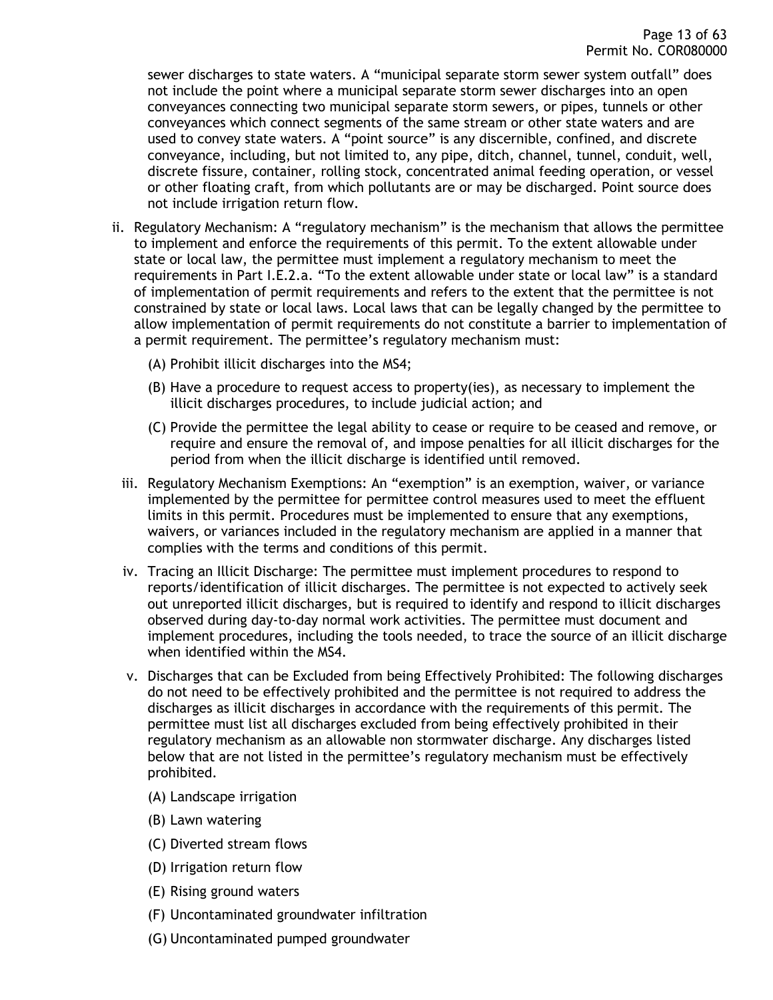sewer discharges to state waters. A "municipal separate storm sewer system outfall" does not include the point where a municipal separate storm sewer discharges into an open conveyances connecting two municipal separate storm sewers, or pipes, tunnels or other conveyances which connect segments of the same stream or other state waters and are used to convey state waters. A "point source" is any discernible, confined, and discrete conveyance, including, but not limited to, any pipe, ditch, channel, tunnel, conduit, well, discrete fissure, container, rolling stock, concentrated animal feeding operation, or vessel or other floating craft, from which pollutants are or may be discharged. Point source does not include irrigation return flow.

- ii. Regulatory Mechanism: A "regulatory mechanism" is the mechanism that allows the permittee to implement and enforce the requirements of this permit. To the extent allowable under state or local law, the permittee must implement a regulatory mechanism to meet the requirements in Part I.E.2.a. "To the extent allowable under state or local law" is a standard of implementation of permit requirements and refers to the extent that the permittee is not constrained by state or local laws. Local laws that can be legally changed by the permittee to allow implementation of permit requirements do not constitute a barrier to implementation of a permit requirement. The permittee's regulatory mechanism must:
	- (A) Prohibit illicit discharges into the MS4;
	- $(B)$  Have a procedure to request access to property(ies), as necessary to implement the illicit discharges procedures, to include judicial action; and
	- (C) Provide the permittee the legal ability to cease or require to be ceased and remove, or require and ensure the removal of, and impose penalties for all illicit discharges for the period from when the illicit discharge is identified until removed.
	- iii. Regulatory Mechanism Exemptions: An "exemption" is an exemption, waiver, or variance implemented by the permittee for permittee control measures used to meet the effluent limits in this permit. Procedures must be implemented to ensure that any exemptions, waivers, or variances included in the regulatory mechanism are applied in a manner that complies with the terms and conditions of this permit.
	- iv. Tracing an Illicit Discharge: The permittee must implement procedures to respond to reports/identification of illicit discharges. The permittee is not expected to actively seek out unreported illicit discharges, but is required to identify and respond to illicit discharges observed during day-to-day normal work activities. The permittee must document and implement procedures, including the tools needed, to trace the source of an illicit discharge when identified within the MS4.
	- v. Discharges that can be Excluded from being Effectively Prohibited: The following discharges do not need to be effectively prohibited and the permittee is not required to address the discharges as illicit discharges in accordance with the requirements of this permit. The permittee must list all discharges excluded from being effectively prohibited in their regulatory mechanism as an allowable non stormwater discharge. Any discharges listed below that are not listed in the permittee's regulatory mechanism must be effectively prohibited.
		- (A) Landscape irrigation
		- (B) Lawn watering
		- (C) Diverted stream flows
		- (D) Irrigation return flow
		- (E) Rising ground waters
		- (F) Uncontaminated groundwater infiltration
		- (G) Uncontaminated pumped groundwater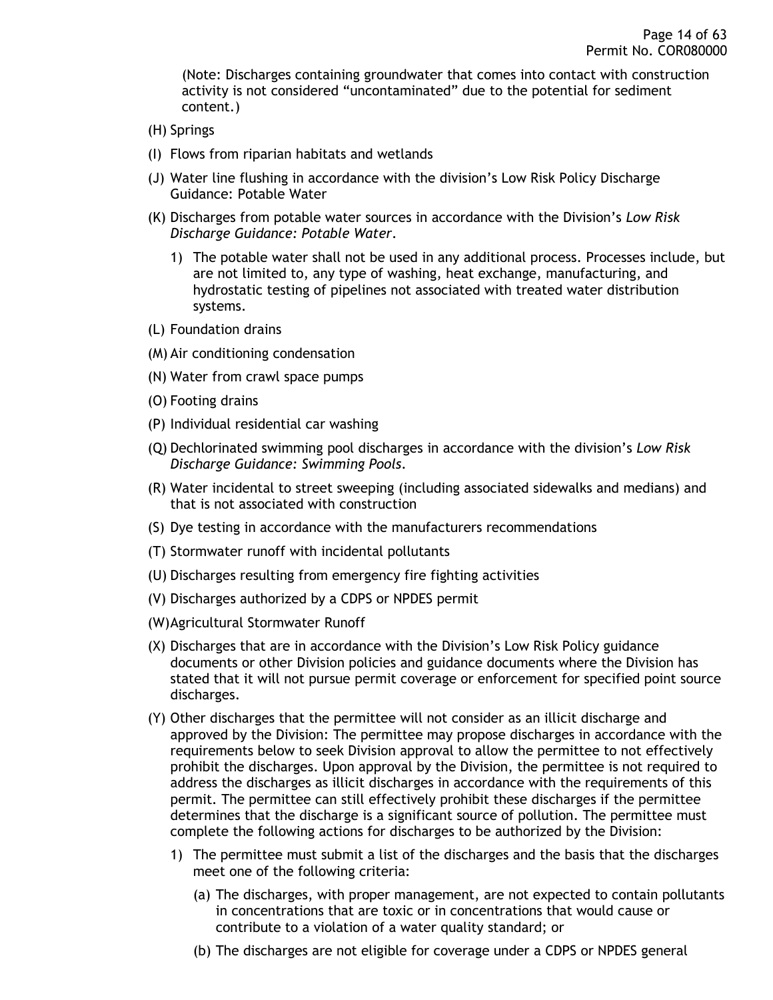(Note: Discharges containing groundwater that comes into contact with construction activity is not considered "uncontaminated" due to the potential for sediment content.)

- (H) Springs
- (I) Flows from riparian habitats and wetlands
- (J) Water line flushing in accordance with the division's Low Risk Policy Discharge Guidance: Potable Water
- (K) Discharges from potable water sources in accordance with the Division's *Low Risk Discharge Guidance: Potable Water*.
	- 1) The potable water shall not be used in any additional process. Processes include, but are not limited to, any type of washing, heat exchange, manufacturing, and hydrostatic testing of pipelines not associated with treated water distribution systems.
- (L) Foundation drains
- (M) Air conditioning condensation
- (N) Water from crawl space pumps
- (O) Footing drains
- (P) Individual residential car washing
- (Q) Dechlorinated swimming pool discharges in accordance with the division's *Low Risk Discharge Guidance: Swimming Pools*.
- (R) Water incidental to street sweeping (including associated sidewalks and medians) and that is not associated with construction
- (S) Dye testing in accordance with the manufacturers recommendations
- (T) Stormwater runoff with incidental pollutants
- (U) Discharges resulting from emergency fire fighting activities
- (V) Discharges authorized by a CDPS or NPDES permit
- (W)Agricultural Stormwater Runoff
- (X) Discharges that are in accordance with the Division's Low Risk Policy guidance documents or other Division policies and guidance documents where the Division has stated that it will not pursue permit coverage or enforcement for specified point source discharges.
- (Y) Other discharges that the permittee will not consider as an illicit discharge and approved by the Division: The permittee may propose discharges in accordance with the requirements below to seek Division approval to allow the permittee to not effectively prohibit the discharges. Upon approval by the Division, the permittee is not required to address the discharges as illicit discharges in accordance with the requirements of this permit. The permittee can still effectively prohibit these discharges if the permittee determines that the discharge is a significant source of pollution. The permittee must complete the following actions for discharges to be authorized by the Division:
	- 1) The permittee must submit a list of the discharges and the basis that the discharges meet one of the following criteria:
		- (a) The discharges, with proper management, are not expected to contain pollutants in concentrations that are toxic or in concentrations that would cause or contribute to a violation of a water quality standard; or
		- (b) The discharges are not eligible for coverage under a CDPS or NPDES general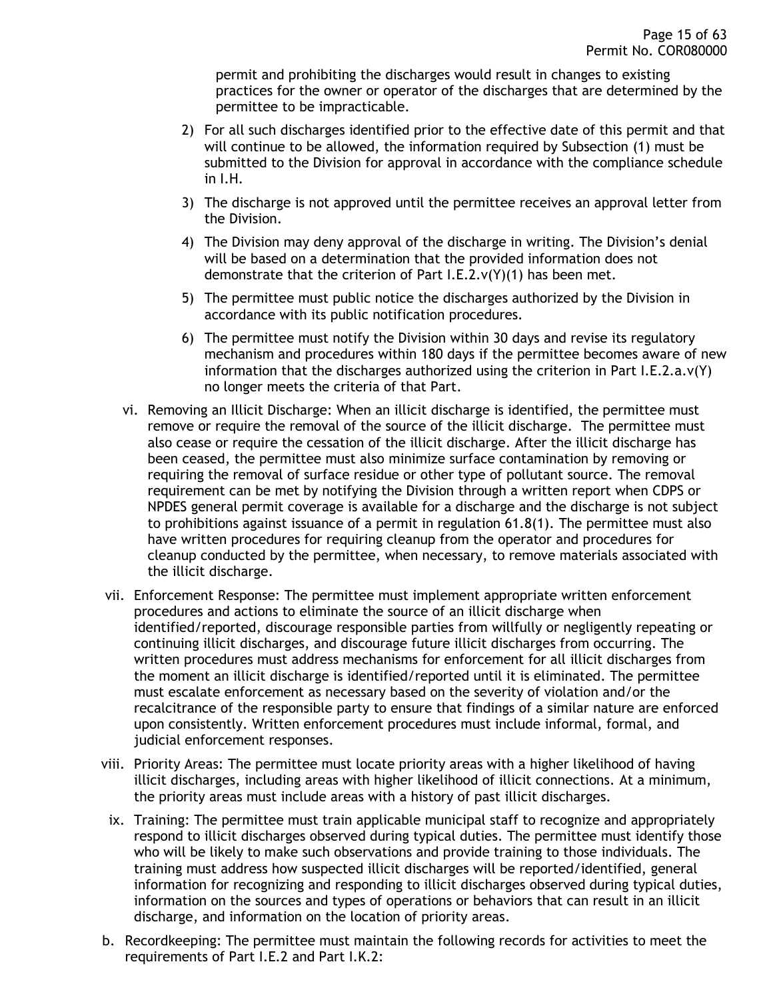permit and prohibiting the discharges would result in changes to existing practices for the owner or operator of the discharges that are determined by the permittee to be impracticable.

- 2) For all such discharges identified prior to the effective date of this permit and that will continue to be allowed, the information required by Subsection (1) must be submitted to the Division for approval in accordance with the compliance schedule in I.H.
- 3) The discharge is not approved until the permittee receives an approval letter from the Division.
- 4) The Division may deny approval of the discharge in writing. The Division's denial will be based on a determination that the provided information does not demonstrate that the criterion of Part I.E.2.v(Y)(1) has been met.
- 5) The permittee must public notice the discharges authorized by the Division in accordance with its public notification procedures.
- 6) The permittee must notify the Division within 30 days and revise its regulatory mechanism and procedures within 180 days if the permittee becomes aware of new information that the discharges authorized using the criterion in Part I.E.2.a.v(Y) no longer meets the criteria of that Part.
- vi. Removing an Illicit Discharge: When an illicit discharge is identified, the permittee must remove or require the removal of the source of the illicit discharge. The permittee must also cease or require the cessation of the illicit discharge. After the illicit discharge has been ceased, the permittee must also minimize surface contamination by removing or requiring the removal of surface residue or other type of pollutant source. The removal requirement can be met by notifying the Division through a written report when CDPS or NPDES general permit coverage is available for a discharge and the discharge is not subject to prohibitions against issuance of a permit in regulation 61.8(1). The permittee must also have written procedures for requiring cleanup from the operator and procedures for cleanup conducted by the permittee, when necessary, to remove materials associated with the illicit discharge.
- vii. Enforcement Response: The permittee must implement appropriate written enforcement procedures and actions to eliminate the source of an illicit discharge when identified/reported, discourage responsible parties from willfully or negligently repeating or continuing illicit discharges, and discourage future illicit discharges from occurring. The written procedures must address mechanisms for enforcement for all illicit discharges from the moment an illicit discharge is identified/reported until it is eliminated. The permittee must escalate enforcement as necessary based on the severity of violation and/or the recalcitrance of the responsible party to ensure that findings of a similar nature are enforced upon consistently. Written enforcement procedures must include informal, formal, and judicial enforcement responses.
- viii. Priority Areas: The permittee must locate priority areas with a higher likelihood of having illicit discharges, including areas with higher likelihood of illicit connections. At a minimum, the priority areas must include areas with a history of past illicit discharges.
- ix. Training: The permittee must train applicable municipal staff to recognize and appropriately respond to illicit discharges observed during typical duties. The permittee must identify those who will be likely to make such observations and provide training to those individuals. The training must address how suspected illicit discharges will be reported/identified, general information for recognizing and responding to illicit discharges observed during typical duties, information on the sources and types of operations or behaviors that can result in an illicit discharge, and information on the location of priority areas.
- b. Recordkeeping: The permittee must maintain the following records for activities to meet the requirements of Part I.E.2 and Part I.K.2: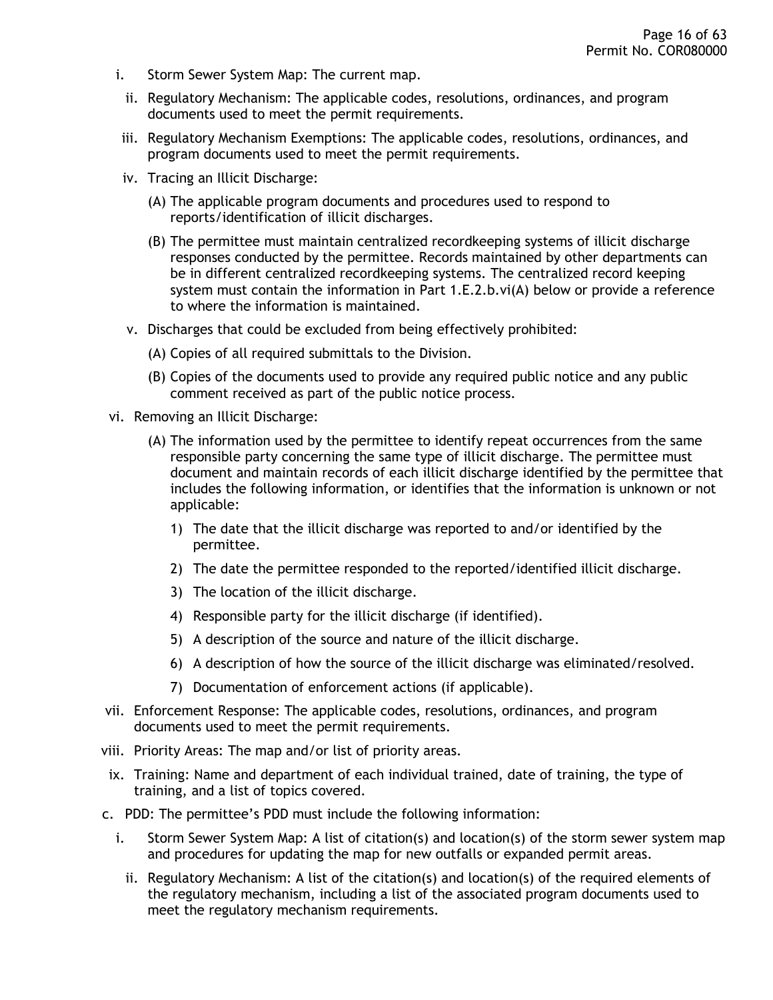- i. Storm Sewer System Map: The current map.
	- ii. Regulatory Mechanism: The applicable codes, resolutions, ordinances, and program documents used to meet the permit requirements.
- iii. Regulatory Mechanism Exemptions: The applicable codes, resolutions, ordinances, and program documents used to meet the permit requirements.
- iv. Tracing an Illicit Discharge:
	- (A) The applicable program documents and procedures used to respond to reports/identification of illicit discharges.
	- (B) The permittee must maintain centralized recordkeeping systems of illicit discharge responses conducted by the permittee. Records maintained by other departments can be in different centralized recordkeeping systems. The centralized record keeping system must contain the information in Part 1.E.2.b.vi(A) below or provide a reference to where the information is maintained.
- v. Discharges that could be excluded from being effectively prohibited:
	- (A) Copies of all required submittals to the Division.
	- (B) Copies of the documents used to provide any required public notice and any public comment received as part of the public notice process.
- vi. Removing an Illicit Discharge:
	- (A) The information used by the permittee to identify repeat occurrences from the same responsible party concerning the same type of illicit discharge. The permittee must document and maintain records of each illicit discharge identified by the permittee that includes the following information, or identifies that the information is unknown or not applicable:
		- 1) The date that the illicit discharge was reported to and/or identified by the permittee.
		- 2) The date the permittee responded to the reported/identified illicit discharge.
		- 3) The location of the illicit discharge.
		- 4) Responsible party for the illicit discharge (if identified).
		- 5) A description of the source and nature of the illicit discharge.
		- 6) A description of how the source of the illicit discharge was eliminated/resolved.
		- 7) Documentation of enforcement actions (if applicable).
- vii. Enforcement Response: The applicable codes, resolutions, ordinances, and program documents used to meet the permit requirements.
- viii. Priority Areas: The map and/or list of priority areas.
- ix. Training: Name and department of each individual trained, date of training, the type of training, and a list of topics covered.
- c. PDD: The permittee's PDD must include the following information:
	- i. Storm Sewer System Map: A list of citation(s) and location(s) of the storm sewer system map and procedures for updating the map for new outfalls or expanded permit areas.
		- ii. Regulatory Mechanism: A list of the citation(s) and location(s) of the required elements of the regulatory mechanism, including a list of the associated program documents used to meet the regulatory mechanism requirements.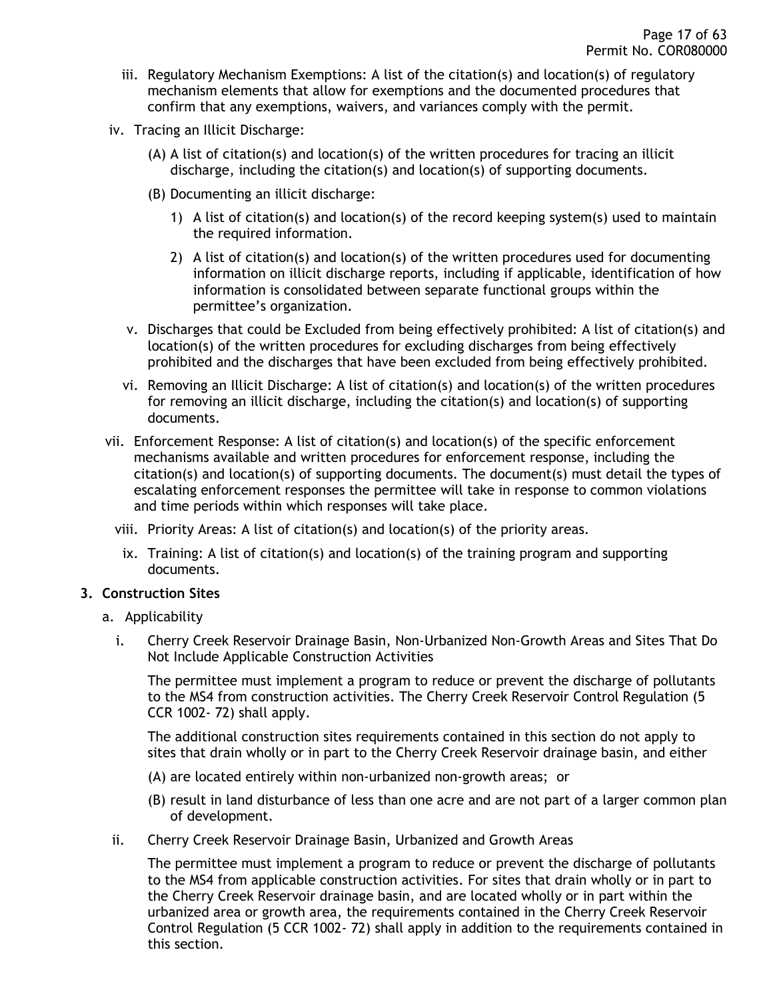- iii. Regulatory Mechanism Exemptions: A list of the citation(s) and location(s) of regulatory mechanism elements that allow for exemptions and the documented procedures that confirm that any exemptions, waivers, and variances comply with the permit.
- iv. Tracing an Illicit Discharge:
	- (A) A list of citation(s) and location(s) of the written procedures for tracing an illicit discharge, including the citation(s) and location(s) of supporting documents.
	- (B) Documenting an illicit discharge:
		- 1) A list of citation(s) and location(s) of the record keeping system(s) used to maintain the required information.
		- 2) A list of citation(s) and location(s) of the written procedures used for documenting information on illicit discharge reports, including if applicable, identification of how information is consolidated between separate functional groups within the permittee's organization.
	- v. Discharges that could be Excluded from being effectively prohibited: A list of citation(s) and location(s) of the written procedures for excluding discharges from being effectively prohibited and the discharges that have been excluded from being effectively prohibited.
	- vi. Removing an Illicit Discharge: A list of citation(s) and location(s) of the written procedures for removing an illicit discharge, including the citation(s) and location(s) of supporting documents.
- vii. Enforcement Response: A list of citation(s) and location(s) of the specific enforcement mechanisms available and written procedures for enforcement response, including the citation(s) and location(s) of supporting documents. The document(s) must detail the types of escalating enforcement responses the permittee will take in response to common violations and time periods within which responses will take place.
	- viii. Priority Areas: A list of citation(s) and location(s) of the priority areas.
	- ix. Training: A list of citation(s) and location(s) of the training program and supporting documents.

### <span id="page-16-0"></span>**3. Construction Sites**

- a. Applicability
	- i. Cherry Creek Reservoir Drainage Basin, Non-Urbanized Non-Growth Areas and Sites That Do Not Include Applicable Construction Activities

The permittee must implement a program to reduce or prevent the discharge of pollutants to the MS4 from construction activities. The Cherry Creek Reservoir Control Regulation (5 CCR 1002- 72) shall apply.

The additional construction sites requirements contained in this section do not apply to sites that drain wholly or in part to the Cherry Creek Reservoir drainage basin, and either

- (A) are located entirely within non-urbanized non-growth areas; or
- (B) result in land disturbance of less than one acre and are not part of a larger common plan of development.
- ii. Cherry Creek Reservoir Drainage Basin, Urbanized and Growth Areas

The permittee must implement a program to reduce or prevent the discharge of pollutants to the MS4 from applicable construction activities. For sites that drain wholly or in part to the Cherry Creek Reservoir drainage basin, and are located wholly or in part within the urbanized area or growth area, the requirements contained in the Cherry Creek Reservoir Control Regulation (5 CCR 1002- 72) shall apply in addition to the requirements contained in this section.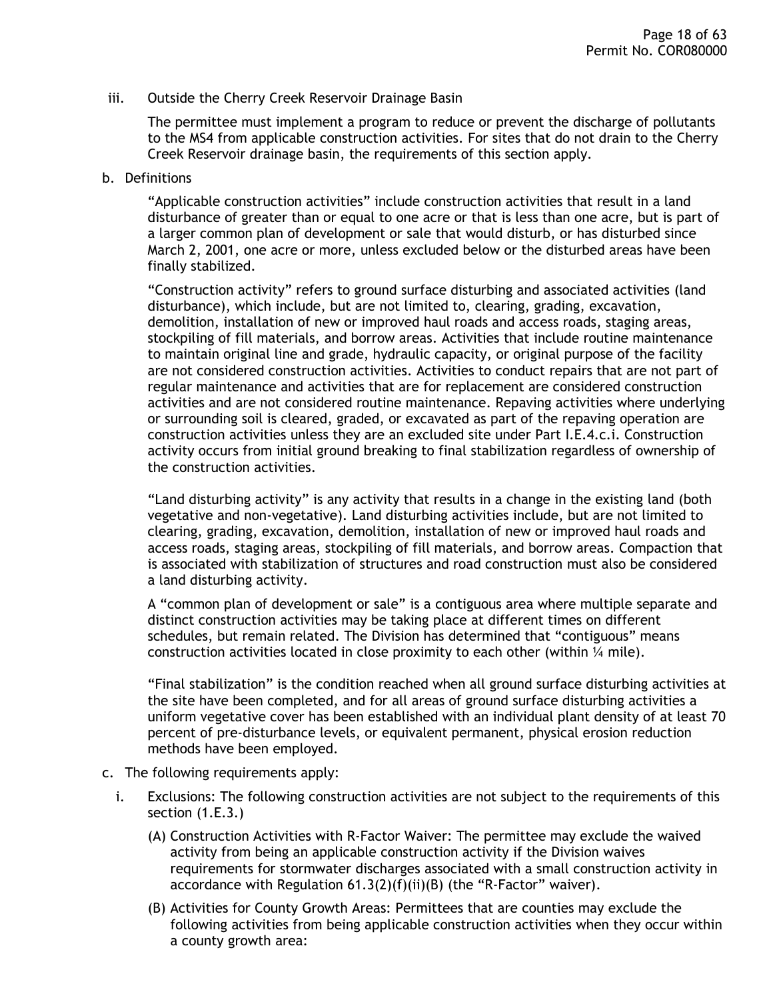#### iii. Outside the Cherry Creek Reservoir Drainage Basin

The permittee must implement a program to reduce or prevent the discharge of pollutants to the MS4 from applicable construction activities. For sites that do not drain to the Cherry Creek Reservoir drainage basin, the requirements of this section apply.

#### b. Definitions

"Applicable construction activities" include construction activities that result in a land disturbance of greater than or equal to one acre or that is less than one acre, but is part of a larger common plan of development or sale that would disturb, or has disturbed since March 2, 2001, one acre or more, unless excluded below or the disturbed areas have been finally stabilized.

"Construction activity" refers to ground surface disturbing and associated activities (land disturbance), which include, but are not limited to, clearing, grading, excavation, demolition, installation of new or improved haul roads and access roads, staging areas, stockpiling of fill materials, and borrow areas. Activities that include routine maintenance to maintain original line and grade, hydraulic capacity, or original purpose of the facility are not considered construction activities. Activities to conduct repairs that are not part of regular maintenance and activities that are for replacement are considered construction activities and are not considered routine maintenance. Repaving activities where underlying or surrounding soil is cleared, graded, or excavated as part of the repaving operation are construction activities unless they are an excluded site under Part I.E.4.c.i. Construction activity occurs from initial ground breaking to final stabilization regardless of ownership of the construction activities.

"Land disturbing activity" is any activity that results in a change in the existing land (both vegetative and non-vegetative). Land disturbing activities include, but are not limited to clearing, grading, excavation, demolition, installation of new or improved haul roads and access roads, staging areas, stockpiling of fill materials, and borrow areas. Compaction that is associated with stabilization of structures and road construction must also be considered a land disturbing activity.

A "common plan of development or sale" is a contiguous area where multiple separate and distinct construction activities may be taking place at different times on different schedules, but remain related. The Division has determined that "contiguous" means construction activities located in close proximity to each other (within  $\frac{1}{4}$  mile).

"Final stabilization" is the condition reached when all ground surface disturbing activities at the site have been completed, and for all areas of ground surface disturbing activities a uniform vegetative cover has been established with an individual plant density of at least 70 percent of pre-disturbance levels, or equivalent permanent, physical erosion reduction methods have been employed.

- c. The following requirements apply:
	- i. Exclusions: The following construction activities are not subject to the requirements of this section (1.E.3.)
		- (A) Construction Activities with R-Factor Waiver: The permittee may exclude the waived activity from being an applicable construction activity if the Division waives requirements for stormwater discharges associated with a small construction activity in accordance with Regulation 61.3(2)(f)(ii)(B) (the "R-Factor" waiver).
		- (B) Activities for County Growth Areas: Permittees that are counties may exclude the following activities from being applicable construction activities when they occur within a county growth area: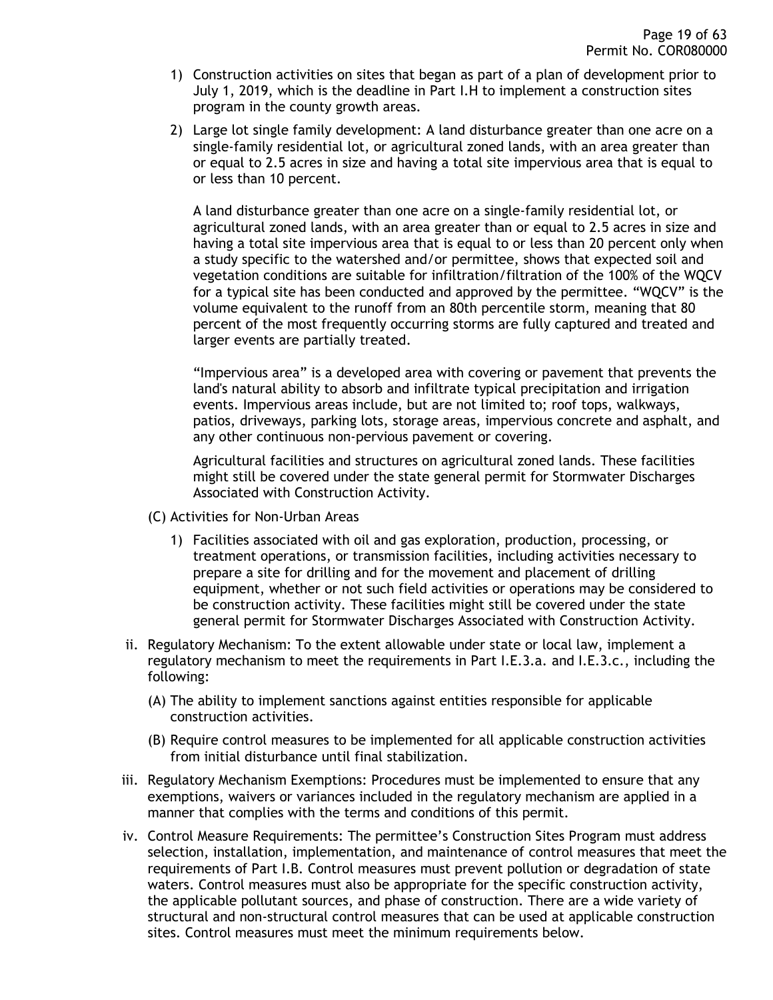- 1) Construction activities on sites that began as part of a plan of development prior to July 1, 2019, which is the deadline in Part I.H to implement a construction sites program in the county growth areas.
- 2) Large lot single family development: A land disturbance greater than one acre on a single-family residential lot, or agricultural zoned lands, with an area greater than or equal to 2.5 acres in size and having a total site impervious area that is equal to or less than 10 percent.

A land disturbance greater than one acre on a single-family residential lot, or agricultural zoned lands, with an area greater than or equal to 2.5 acres in size and having a total site impervious area that is equal to or less than 20 percent only when a study specific to the watershed and/or permittee, shows that expected soil and vegetation conditions are suitable for infiltration/filtration of the 100% of the WQCV for a typical site has been conducted and approved by the permittee. "WQCV" is the volume equivalent to the runoff from an 80th percentile storm, meaning that 80 percent of the most frequently occurring storms are fully captured and treated and larger events are partially treated.

"Impervious area" is a developed area with covering or pavement that prevents the land's natural ability to absorb and infiltrate typical precipitation and irrigation events. Impervious areas include, but are not limited to; roof tops, walkways, patios, driveways, parking lots, storage areas, impervious concrete and asphalt, and any other continuous non-pervious pavement or covering.

Agricultural facilities and structures on agricultural zoned lands. These facilities might still be covered under the state general permit for Stormwater Discharges Associated with Construction Activity.

- (C) Activities for Non-Urban Areas
	- 1) Facilities associated with oil and gas exploration, production, processing, or treatment operations, or transmission facilities, including activities necessary to prepare a site for drilling and for the movement and placement of drilling equipment, whether or not such field activities or operations may be considered to be construction activity. These facilities might still be covered under the state general permit for Stormwater Discharges Associated with Construction Activity.
- ii. Regulatory Mechanism: To the extent allowable under state or local law, implement a regulatory mechanism to meet the requirements in Part I.E.3.a. and I.E.3.c., including the following:
	- (A) The ability to implement sanctions against entities responsible for applicable construction activities.
	- (B) Require control measures to be implemented for all applicable construction activities from initial disturbance until final stabilization.
- iii. Regulatory Mechanism Exemptions: Procedures must be implemented to ensure that any exemptions, waivers or variances included in the regulatory mechanism are applied in a manner that complies with the terms and conditions of this permit.
- iv. Control Measure Requirements: The permittee's Construction Sites Program must address selection, installation, implementation, and maintenance of control measures that meet the requirements of Part I.B. Control measures must prevent pollution or degradation of state waters. Control measures must also be appropriate for the specific construction activity, the applicable pollutant sources, and phase of construction. There are a wide variety of structural and non-structural control measures that can be used at applicable construction sites. Control measures must meet the minimum requirements below.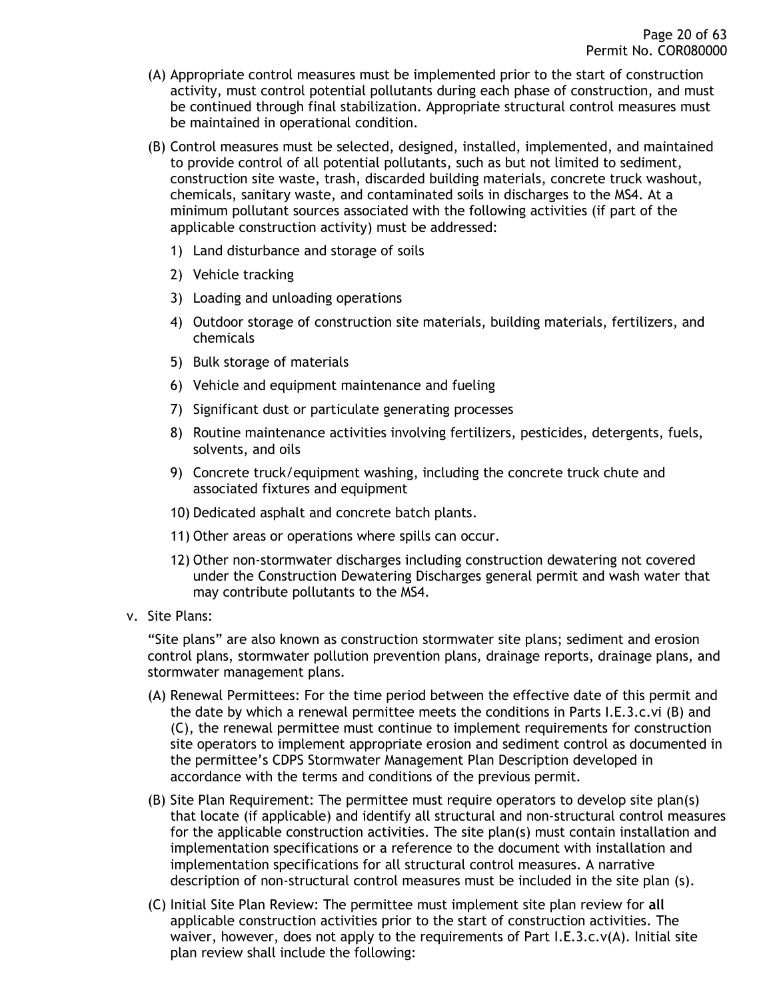- (A) Appropriate control measures must be implemented prior to the start of construction activity, must control potential pollutants during each phase of construction, and must be continued through final stabilization. Appropriate structural control measures must be maintained in operational condition.
- (B) Control measures must be selected, designed, installed, implemented, and maintained to provide control of all potential pollutants, such as but not limited to sediment, construction site waste, trash, discarded building materials, concrete truck washout, chemicals, sanitary waste, and contaminated soils in discharges to the MS4. At a minimum pollutant sources associated with the following activities (if part of the applicable construction activity) must be addressed:
	- 1) Land disturbance and storage of soils
	- 2) Vehicle tracking
	- 3) Loading and unloading operations
	- 4) Outdoor storage of construction site materials, building materials, fertilizers, and chemicals
	- 5) Bulk storage of materials
	- 6) Vehicle and equipment maintenance and fueling
	- 7) Significant dust or particulate generating processes
	- 8) Routine maintenance activities involving fertilizers, pesticides, detergents, fuels, solvents, and oils
	- 9) Concrete truck/equipment washing, including the concrete truck chute and associated fixtures and equipment
	- 10) Dedicated asphalt and concrete batch plants.
	- 11) Other areas or operations where spills can occur.
	- 12) Other non-stormwater discharges including construction dewatering not covered under the Construction Dewatering Discharges general permit and wash water that may contribute pollutants to the MS4.
- v. Site Plans:

"Site plans" are also known as construction stormwater site plans; sediment and erosion control plans, stormwater pollution prevention plans, drainage reports, drainage plans, and stormwater management plans.

- (A) Renewal Permittees: For the time period between the effective date of this permit and the date by which a renewal permittee meets the conditions in Parts I.E.3.c.vi (B) and (C), the renewal permittee must continue to implement requirements for construction site operators to implement appropriate erosion and sediment control as documented in the permittee's CDPS Stormwater Management Plan Description developed in accordance with the terms and conditions of the previous permit.
- (B) Site Plan Requirement: The permittee must require operators to develop site plan(s) that locate (if applicable) and identify all structural and non-structural control measures for the applicable construction activities. The site plan(s) must contain installation and implementation specifications or a reference to the document with installation and implementation specifications for all structural control measures. A narrative description of non-structural control measures must be included in the site plan (s).
- (C) Initial Site Plan Review: The permittee must implement site plan review for **all** applicable construction activities prior to the start of construction activities. The waiver, however, does not apply to the requirements of Part I.E.3.c.v(A). Initial site plan review shall include the following: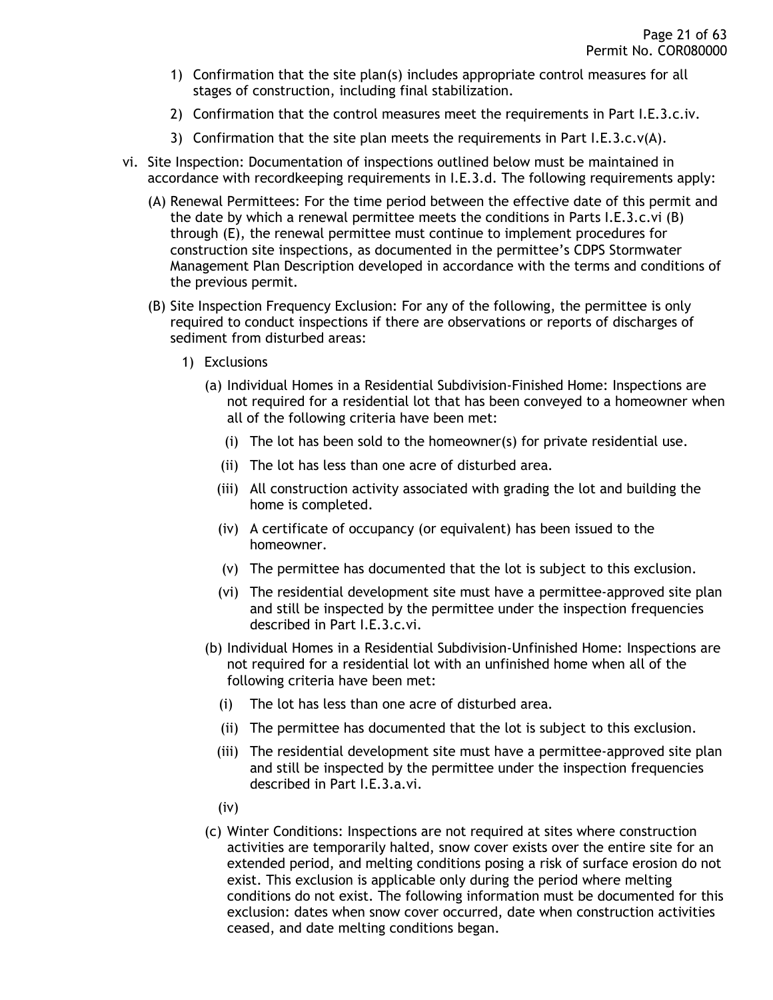- 1) Confirmation that the site plan(s) includes appropriate control measures for all stages of construction, including final stabilization.
- 2) Confirmation that the control measures meet the requirements in Part I.E.3.c.iv.
- 3) Confirmation that the site plan meets the requirements in Part I.E.3.c.v(A).
- vi. Site Inspection: Documentation of inspections outlined below must be maintained in accordance with recordkeeping requirements in I.E.3.d. The following requirements apply:
	- (A) Renewal Permittees: For the time period between the effective date of this permit and the date by which a renewal permittee meets the conditions in Parts I.E.3.c.vi (B) through (E), the renewal permittee must continue to implement procedures for construction site inspections, as documented in the permittee's CDPS Stormwater Management Plan Description developed in accordance with the terms and conditions of the previous permit.
	- (B) Site Inspection Frequency Exclusion: For any of the following, the permittee is only required to conduct inspections if there are observations or reports of discharges of sediment from disturbed areas:
		- 1) Exclusions
			- (a) Individual Homes in a Residential Subdivision-Finished Home: Inspections are not required for a residential lot that has been conveyed to a homeowner when all of the following criteria have been met:
				- (i) The lot has been sold to the homeowner(s) for private residential use.
				- (ii) The lot has less than one acre of disturbed area.
				- (iii) All construction activity associated with grading the lot and building the home is completed.
				- (iv) A certificate of occupancy (or equivalent) has been issued to the homeowner.
				- (v) The permittee has documented that the lot is subject to this exclusion.
				- (vi) The residential development site must have a permittee-approved site plan and still be inspected by the permittee under the inspection frequencies described in Part I.E.3.c.vi.
			- (b) Individual Homes in a Residential Subdivision-Unfinished Home: Inspections are not required for a residential lot with an unfinished home when all of the following criteria have been met:
				- (i) The lot has less than one acre of disturbed area.
				- (ii) The permittee has documented that the lot is subject to this exclusion.
				- (iii) The residential development site must have a permittee-approved site plan and still be inspected by the permittee under the inspection frequencies described in Part I.E.3.a.vi.
				- (iv)
			- (c) Winter Conditions: Inspections are not required at sites where construction activities are temporarily halted, snow cover exists over the entire site for an extended period, and melting conditions posing a risk of surface erosion do not exist. This exclusion is applicable only during the period where melting conditions do not exist. The following information must be documented for this exclusion: dates when snow cover occurred, date when construction activities ceased, and date melting conditions began.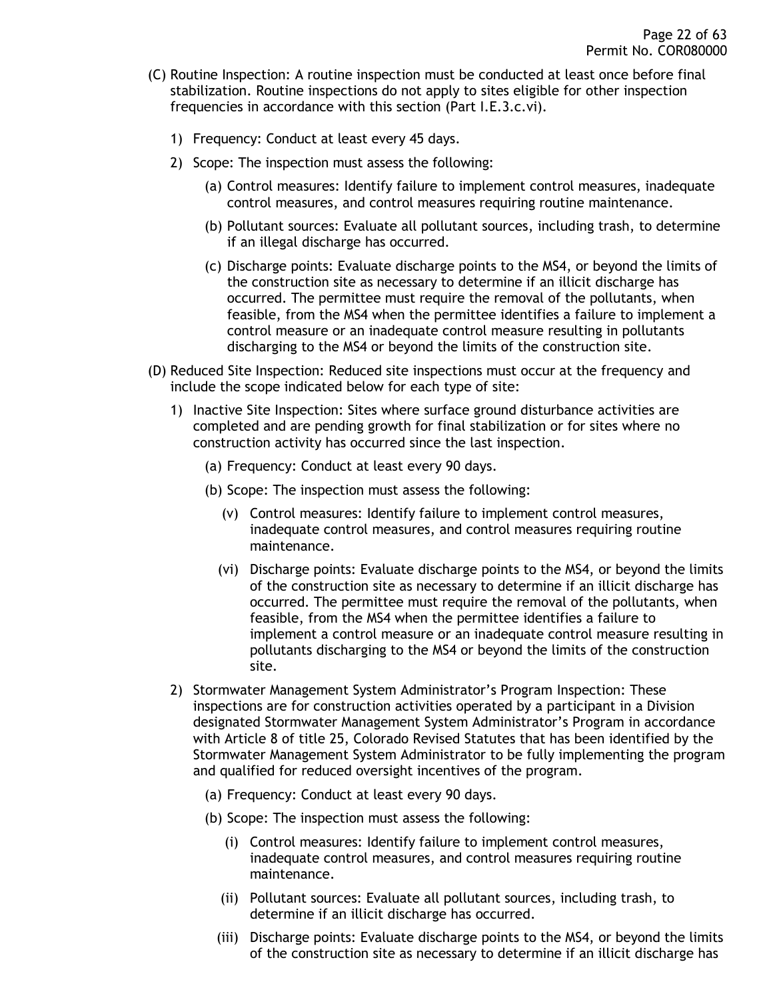- (C) Routine Inspection: A routine inspection must be conducted at least once before final stabilization. Routine inspections do not apply to sites eligible for other inspection frequencies in accordance with this section (Part I.E.3.c.vi).
	- 1) Frequency: Conduct at least every 45 days.
	- 2) Scope: The inspection must assess the following:
		- (a) Control measures: Identify failure to implement control measures, inadequate control measures, and control measures requiring routine maintenance.
		- (b) Pollutant sources: Evaluate all pollutant sources, including trash, to determine if an illegal discharge has occurred.
		- (c) Discharge points: Evaluate discharge points to the MS4, or beyond the limits of the construction site as necessary to determine if an illicit discharge has occurred. The permittee must require the removal of the pollutants, when feasible, from the MS4 when the permittee identifies a failure to implement a control measure or an inadequate control measure resulting in pollutants discharging to the MS4 or beyond the limits of the construction site.
- (D) Reduced Site Inspection: Reduced site inspections must occur at the frequency and include the scope indicated below for each type of site:
	- 1) Inactive Site Inspection: Sites where surface ground disturbance activities are completed and are pending growth for final stabilization or for sites where no construction activity has occurred since the last inspection.
		- (a) Frequency: Conduct at least every 90 days.
		- (b) Scope: The inspection must assess the following:
			- (v) Control measures: Identify failure to implement control measures, inadequate control measures, and control measures requiring routine maintenance.
			- (vi) Discharge points: Evaluate discharge points to the MS4, or beyond the limits of the construction site as necessary to determine if an illicit discharge has occurred. The permittee must require the removal of the pollutants, when feasible, from the MS4 when the permittee identifies a failure to implement a control measure or an inadequate control measure resulting in pollutants discharging to the MS4 or beyond the limits of the construction site.
	- 2) Stormwater Management System Administrator's Program Inspection: These inspections are for construction activities operated by a participant in a Division designated Stormwater Management System Administrator's Program in accordance with Article 8 of title 25, Colorado Revised Statutes that has been identified by the Stormwater Management System Administrator to be fully implementing the program and qualified for reduced oversight incentives of the program.
		- (a) Frequency: Conduct at least every 90 days.
		- (b) Scope: The inspection must assess the following:
			- (i) Control measures: Identify failure to implement control measures, inadequate control measures, and control measures requiring routine maintenance.
			- (ii) Pollutant sources: Evaluate all pollutant sources, including trash, to determine if an illicit discharge has occurred.
			- (iii) Discharge points: Evaluate discharge points to the MS4, or beyond the limits of the construction site as necessary to determine if an illicit discharge has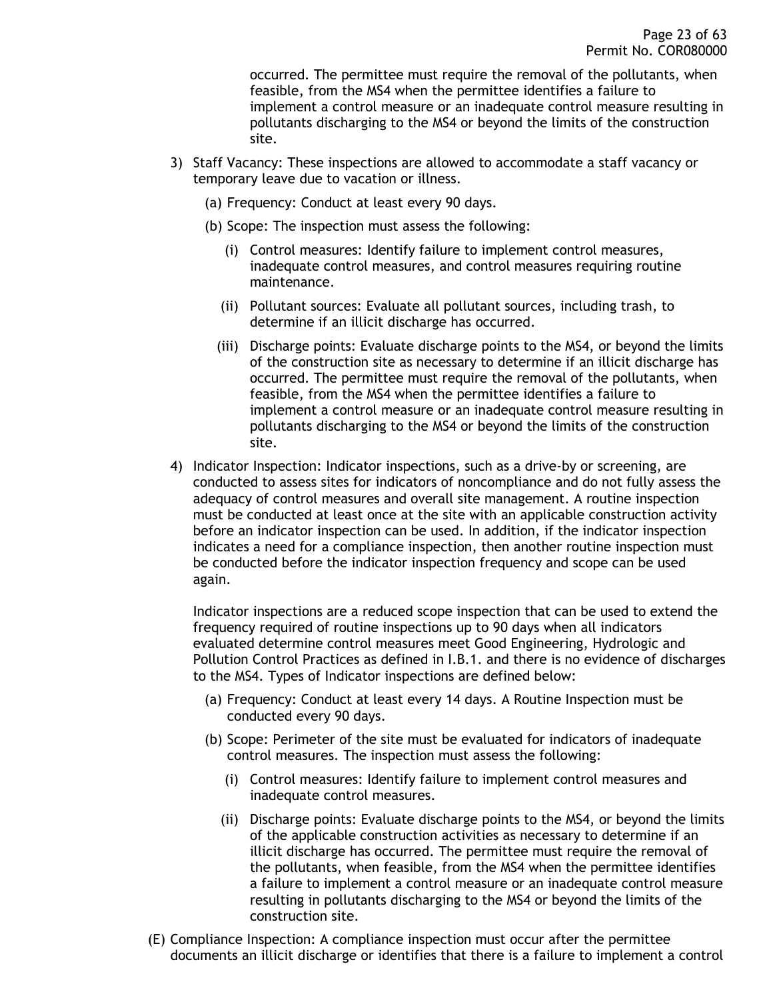occurred. The permittee must require the removal of the pollutants, when feasible, from the MS4 when the permittee identifies a failure to implement a control measure or an inadequate control measure resulting in pollutants discharging to the MS4 or beyond the limits of the construction site.

- 3) Staff Vacancy: These inspections are allowed to accommodate a staff vacancy or temporary leave due to vacation or illness.
	- (a) Frequency: Conduct at least every 90 days.
	- (b) Scope: The inspection must assess the following:
		- (i) Control measures: Identify failure to implement control measures, inadequate control measures, and control measures requiring routine maintenance.
		- (ii) Pollutant sources: Evaluate all pollutant sources, including trash, to determine if an illicit discharge has occurred.
		- (iii) Discharge points: Evaluate discharge points to the MS4, or beyond the limits of the construction site as necessary to determine if an illicit discharge has occurred. The permittee must require the removal of the pollutants, when feasible, from the MS4 when the permittee identifies a failure to implement a control measure or an inadequate control measure resulting in pollutants discharging to the MS4 or beyond the limits of the construction site.
- 4) Indicator Inspection: Indicator inspections, such as a drive-by or screening, are conducted to assess sites for indicators of noncompliance and do not fully assess the adequacy of control measures and overall site management. A routine inspection must be conducted at least once at the site with an applicable construction activity before an indicator inspection can be used. In addition, if the indicator inspection indicates a need for a compliance inspection, then another routine inspection must be conducted before the indicator inspection frequency and scope can be used again.

Indicator inspections are a reduced scope inspection that can be used to extend the frequency required of routine inspections up to 90 days when all indicators evaluated determine control measures meet Good Engineering, Hydrologic and Pollution Control Practices as defined in I.B.1. and there is no evidence of discharges to the MS4. Types of Indicator inspections are defined below:

- (a) Frequency: Conduct at least every 14 days. A Routine Inspection must be conducted every 90 days.
- (b) Scope: Perimeter of the site must be evaluated for indicators of inadequate control measures. The inspection must assess the following:
	- (i) Control measures: Identify failure to implement control measures and inadequate control measures.
	- (ii) Discharge points: Evaluate discharge points to the MS4, or beyond the limits of the applicable construction activities as necessary to determine if an illicit discharge has occurred. The permittee must require the removal of the pollutants, when feasible, from the MS4 when the permittee identifies a failure to implement a control measure or an inadequate control measure resulting in pollutants discharging to the MS4 or beyond the limits of the construction site.
- (E) Compliance Inspection: A compliance inspection must occur after the permittee documents an illicit discharge or identifies that there is a failure to implement a control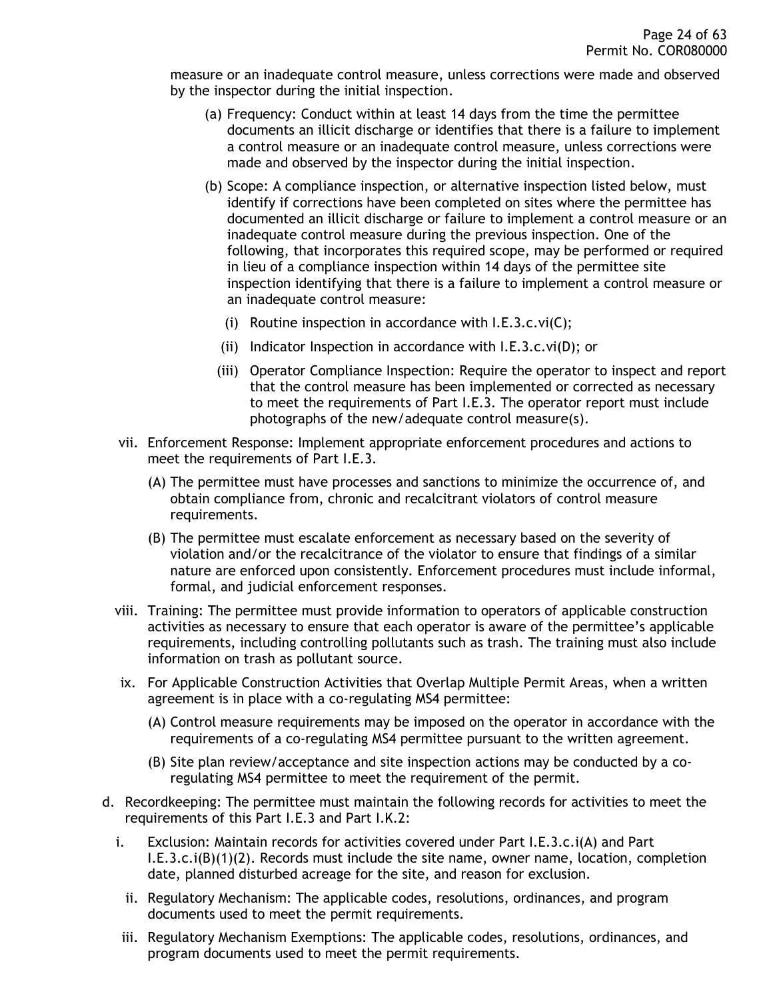measure or an inadequate control measure, unless corrections were made and observed by the inspector during the initial inspection.

- (a) Frequency: Conduct within at least 14 days from the time the permittee documents an illicit discharge or identifies that there is a failure to implement a control measure or an inadequate control measure, unless corrections were made and observed by the inspector during the initial inspection.
- (b) Scope: A compliance inspection, or alternative inspection listed below, must identify if corrections have been completed on sites where the permittee has documented an illicit discharge or failure to implement a control measure or an inadequate control measure during the previous inspection. One of the following, that incorporates this required scope, may be performed or required in lieu of a compliance inspection within 14 days of the permittee site inspection identifying that there is a failure to implement a control measure or an inadequate control measure:
	- (i) Routine inspection in accordance with I.E.3.c.vi(C);
	- (ii) Indicator Inspection in accordance with I.E.3.c.vi(D); or
	- (iii) Operator Compliance Inspection: Require the operator to inspect and report that the control measure has been implemented or corrected as necessary to meet the requirements of Part I.E.3. The operator report must include photographs of the new/adequate control measure(s).
- vii. Enforcement Response: Implement appropriate enforcement procedures and actions to meet the requirements of Part I.E.3.
	- (A) The permittee must have processes and sanctions to minimize the occurrence of, and obtain compliance from, chronic and recalcitrant violators of control measure requirements.
	- (B) The permittee must escalate enforcement as necessary based on the severity of violation and/or the recalcitrance of the violator to ensure that findings of a similar nature are enforced upon consistently. Enforcement procedures must include informal, formal, and judicial enforcement responses.
- viii. Training: The permittee must provide information to operators of applicable construction activities as necessary to ensure that each operator is aware of the permittee's applicable requirements, including controlling pollutants such as trash. The training must also include information on trash as pollutant source.
- ix. For Applicable Construction Activities that Overlap Multiple Permit Areas, when a written agreement is in place with a co-regulating MS4 permittee:
	- (A) Control measure requirements may be imposed on the operator in accordance with the requirements of a co-regulating MS4 permittee pursuant to the written agreement.
	- (B) Site plan review/acceptance and site inspection actions may be conducted by a coregulating MS4 permittee to meet the requirement of the permit.
- d. Recordkeeping: The permittee must maintain the following records for activities to meet the requirements of this Part I.E.3 and Part I.K.2:
	- i. Exclusion: Maintain records for activities covered under Part I.E.3.c.i(A) and Part I.E.3.c.i(B)(1)(2). Records must include the site name, owner name, location, completion date, planned disturbed acreage for the site, and reason for exclusion.
		- ii. Regulatory Mechanism: The applicable codes, resolutions, ordinances, and program documents used to meet the permit requirements.
	- iii. Regulatory Mechanism Exemptions: The applicable codes, resolutions, ordinances, and program documents used to meet the permit requirements.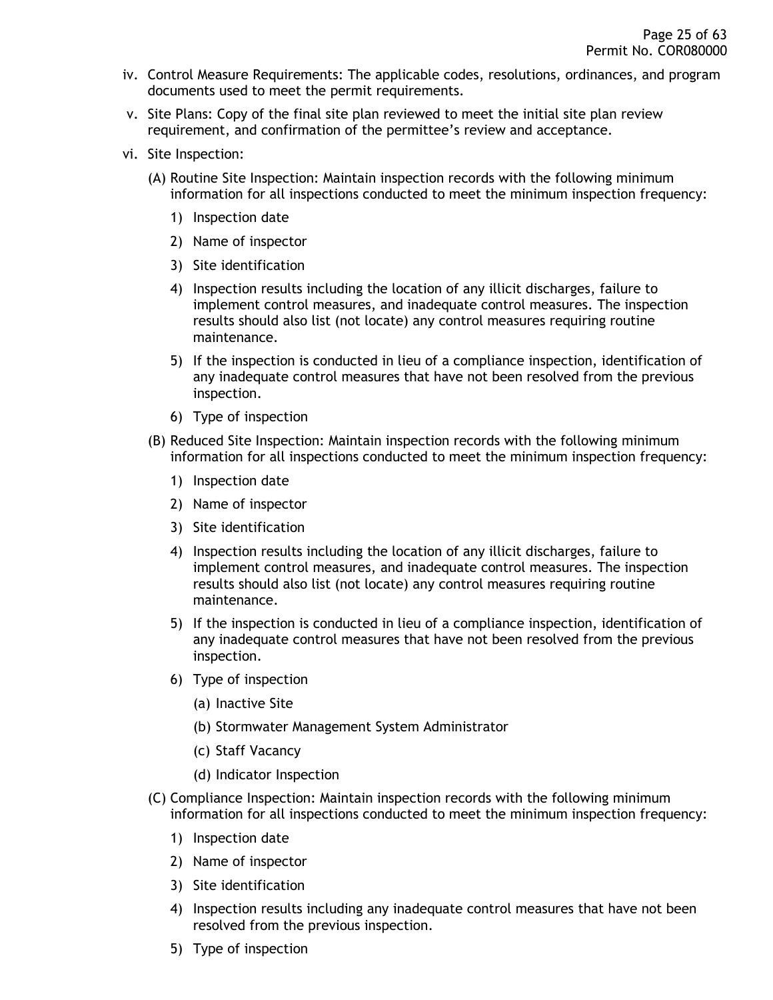- iv. Control Measure Requirements: The applicable codes, resolutions, ordinances, and program documents used to meet the permit requirements.
- v. Site Plans: Copy of the final site plan reviewed to meet the initial site plan review requirement, and confirmation of the permittee's review and acceptance.
- vi. Site Inspection:
	- (A) Routine Site Inspection: Maintain inspection records with the following minimum information for all inspections conducted to meet the minimum inspection frequency:
		- 1) Inspection date
		- 2) Name of inspector
		- 3) Site identification
		- 4) Inspection results including the location of any illicit discharges, failure to implement control measures, and inadequate control measures. The inspection results should also list (not locate) any control measures requiring routine maintenance.
		- 5) If the inspection is conducted in lieu of a compliance inspection, identification of any inadequate control measures that have not been resolved from the previous inspection.
		- 6) Type of inspection
	- (B) Reduced Site Inspection: Maintain inspection records with the following minimum information for all inspections conducted to meet the minimum inspection frequency:
		- 1) Inspection date
		- 2) Name of inspector
		- 3) Site identification
		- 4) Inspection results including the location of any illicit discharges, failure to implement control measures, and inadequate control measures. The inspection results should also list (not locate) any control measures requiring routine maintenance.
		- 5) If the inspection is conducted in lieu of a compliance inspection, identification of any inadequate control measures that have not been resolved from the previous inspection.
		- 6) Type of inspection
			- (a) Inactive Site
			- (b) Stormwater Management System Administrator
			- (c) Staff Vacancy
			- (d) Indicator Inspection
	- (C) Compliance Inspection: Maintain inspection records with the following minimum information for all inspections conducted to meet the minimum inspection frequency:
		- 1) Inspection date
		- 2) Name of inspector
		- 3) Site identification
		- 4) Inspection results including any inadequate control measures that have not been resolved from the previous inspection.
		- 5) Type of inspection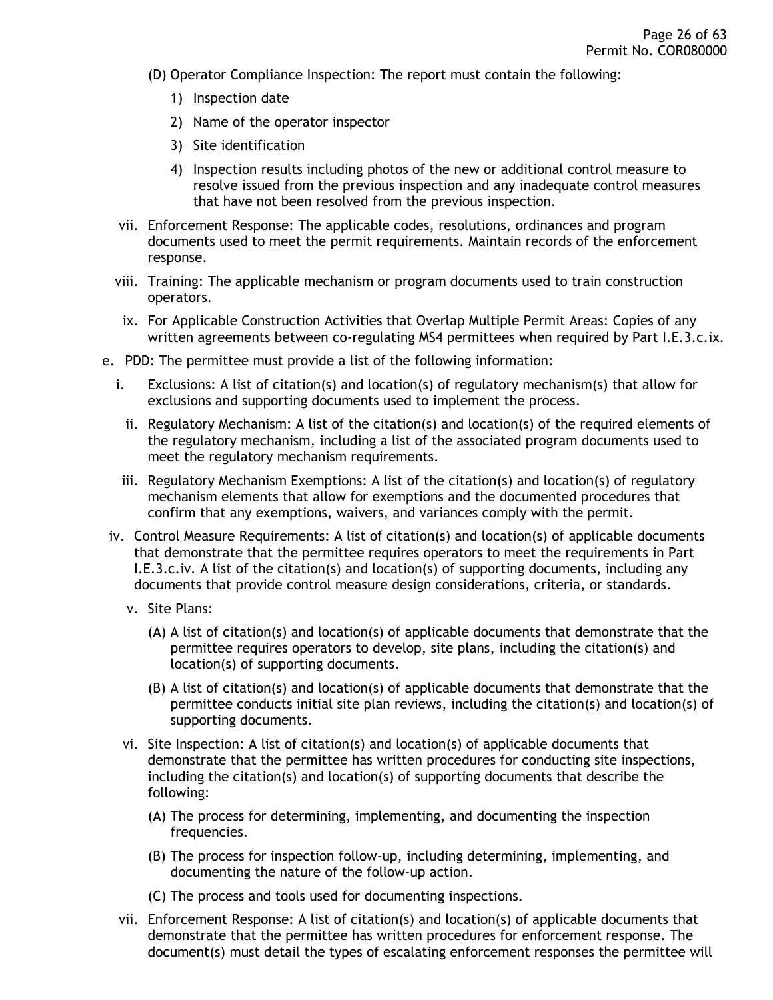- (D) Operator Compliance Inspection: The report must contain the following:
	- 1) Inspection date
	- 2) Name of the operator inspector
	- 3) Site identification
	- 4) Inspection results including photos of the new or additional control measure to resolve issued from the previous inspection and any inadequate control measures that have not been resolved from the previous inspection.
- vii. Enforcement Response: The applicable codes, resolutions, ordinances and program documents used to meet the permit requirements. Maintain records of the enforcement response.
- viii. Training: The applicable mechanism or program documents used to train construction operators.
- ix. For Applicable Construction Activities that Overlap Multiple Permit Areas: Copies of any written agreements between co-regulating MS4 permittees when required by Part I.E.3.c.ix.
- e. PDD: The permittee must provide a list of the following information:
	- i. Exclusions: A list of citation(s) and location(s) of regulatory mechanism(s) that allow for exclusions and supporting documents used to implement the process.
		- ii. Regulatory Mechanism: A list of the citation(s) and location(s) of the required elements of the regulatory mechanism, including a list of the associated program documents used to meet the regulatory mechanism requirements.
	- iii. Regulatory Mechanism Exemptions: A list of the citation(s) and location(s) of regulatory mechanism elements that allow for exemptions and the documented procedures that confirm that any exemptions, waivers, and variances comply with the permit.
- iv. Control Measure Requirements: A list of citation(s) and location(s) of applicable documents that demonstrate that the permittee requires operators to meet the requirements in Part I.E.3.c.iv. A list of the citation(s) and location(s) of supporting documents, including any documents that provide control measure design considerations, criteria, or standards.
	- v. Site Plans:
		- (A) A list of citation(s) and location(s) of applicable documents that demonstrate that the permittee requires operators to develop, site plans, including the citation(s) and location(s) of supporting documents.
		- (B) A list of citation(s) and location(s) of applicable documents that demonstrate that the permittee conducts initial site plan reviews, including the citation(s) and location(s) of supporting documents.
	- vi. Site Inspection: A list of citation(s) and location(s) of applicable documents that demonstrate that the permittee has written procedures for conducting site inspections, including the citation(s) and location(s) of supporting documents that describe the following:
		- (A) The process for determining, implementing, and documenting the inspection frequencies.
		- (B) The process for inspection follow-up, including determining, implementing, and documenting the nature of the follow-up action.
		- (C) The process and tools used for documenting inspections.
	- vii. Enforcement Response: A list of citation(s) and location(s) of applicable documents that demonstrate that the permittee has written procedures for enforcement response. The document(s) must detail the types of escalating enforcement responses the permittee will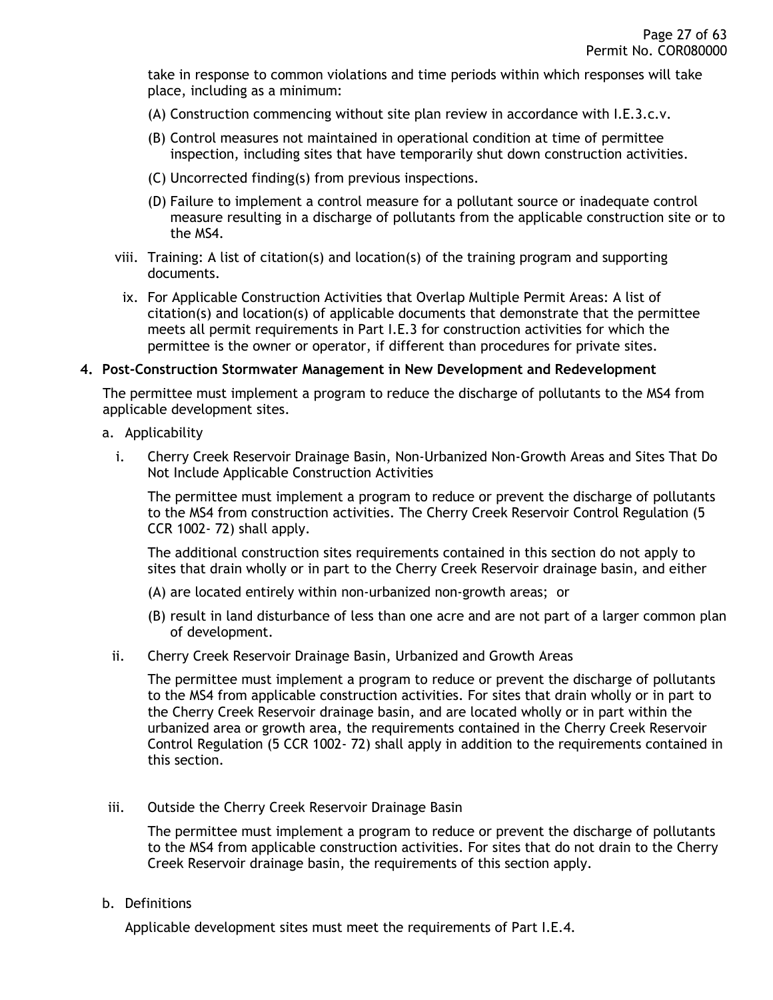take in response to common violations and time periods within which responses will take place, including as a minimum:

- (A) Construction commencing without site plan review in accordance with I.E.3.c.v.
- (B) Control measures not maintained in operational condition at time of permittee inspection, including sites that have temporarily shut down construction activities.
- (C) Uncorrected finding(s) from previous inspections.
- (D) Failure to implement a control measure for a pollutant source or inadequate control measure resulting in a discharge of pollutants from the applicable construction site or to the MS4.
- viii. Training: A list of citation(s) and location(s) of the training program and supporting documents.
- ix. For Applicable Construction Activities that Overlap Multiple Permit Areas: A list of citation(s) and location(s) of applicable documents that demonstrate that the permittee meets all permit requirements in Part I.E.3 for construction activities for which the permittee is the owner or operator, if different than procedures for private sites.

#### <span id="page-26-0"></span>**4. Post-Construction Stormwater Management in New Development and Redevelopment**

The permittee must implement a program to reduce the discharge of pollutants to the MS4 from applicable development sites.

- a. Applicability
	- i. Cherry Creek Reservoir Drainage Basin, Non-Urbanized Non-Growth Areas and Sites That Do Not Include Applicable Construction Activities

The permittee must implement a program to reduce or prevent the discharge of pollutants to the MS4 from construction activities. The Cherry Creek Reservoir Control Regulation (5 CCR 1002- 72) shall apply.

The additional construction sites requirements contained in this section do not apply to sites that drain wholly or in part to the Cherry Creek Reservoir drainage basin, and either

- (A) are located entirely within non-urbanized non-growth areas; or
- (B) result in land disturbance of less than one acre and are not part of a larger common plan of development.
- ii. Cherry Creek Reservoir Drainage Basin, Urbanized and Growth Areas

The permittee must implement a program to reduce or prevent the discharge of pollutants to the MS4 from applicable construction activities. For sites that drain wholly or in part to the Cherry Creek Reservoir drainage basin, and are located wholly or in part within the urbanized area or growth area, the requirements contained in the Cherry Creek Reservoir Control Regulation (5 CCR 1002- 72) shall apply in addition to the requirements contained in this section.

iii. Outside the Cherry Creek Reservoir Drainage Basin

The permittee must implement a program to reduce or prevent the discharge of pollutants to the MS4 from applicable construction activities. For sites that do not drain to the Cherry Creek Reservoir drainage basin, the requirements of this section apply.

b. Definitions

Applicable development sites must meet the requirements of Part I.E.4.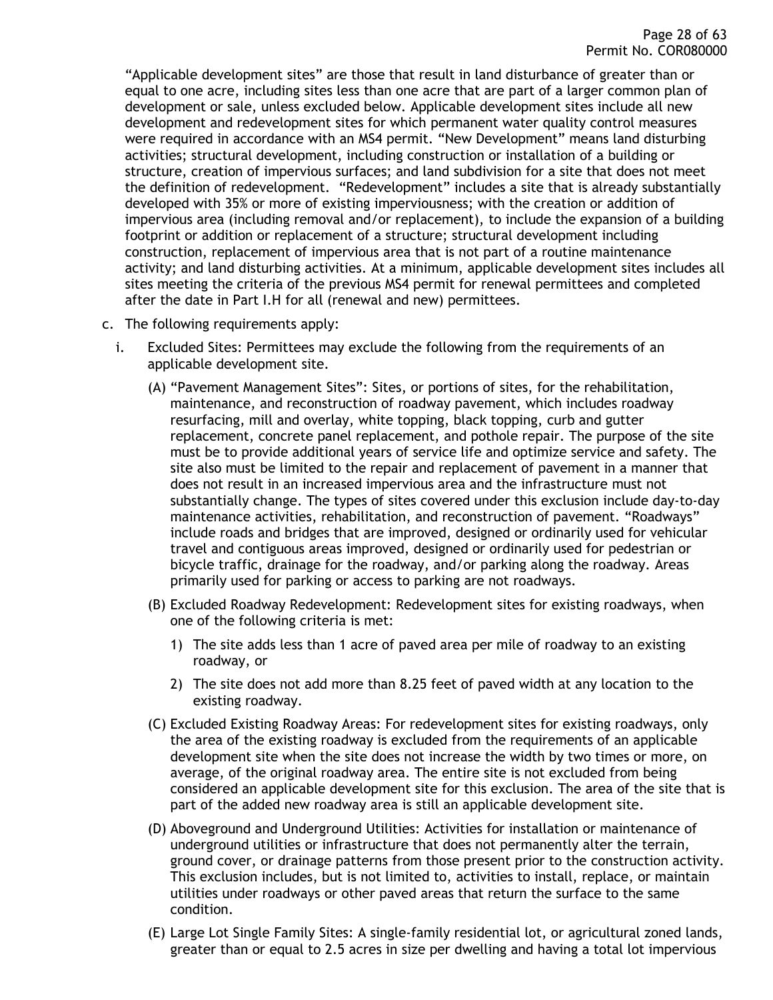"Applicable development sites" are those that result in land disturbance of greater than or equal to one acre, including sites less than one acre that are part of a larger common plan of development or sale, unless excluded below. Applicable development sites include all new development and redevelopment sites for which permanent water quality control measures were required in accordance with an MS4 permit. "New Development" means land disturbing activities; structural development, including construction or installation of a building or structure, creation of impervious surfaces; and land subdivision for a site that does not meet the definition of redevelopment. "Redevelopment" includes a site that is already substantially developed with 35% or more of existing imperviousness; with the creation or addition of impervious area (including removal and/or replacement), to include the expansion of a building footprint or addition or replacement of a structure; structural development including construction, replacement of impervious area that is not part of a routine maintenance activity; and land disturbing activities. At a minimum, applicable development sites includes all sites meeting the criteria of the previous MS4 permit for renewal permittees and completed after the date in Part I.H for all (renewal and new) permittees.

- c. The following requirements apply:
	- i. Excluded Sites: Permittees may exclude the following from the requirements of an applicable development site.
		- (A) "Pavement Management Sites": Sites, or portions of sites, for the rehabilitation, maintenance, and reconstruction of roadway pavement, which includes roadway resurfacing, mill and overlay, white topping, black topping, curb and gutter replacement, concrete panel replacement, and pothole repair. The purpose of the site must be to provide additional years of service life and optimize service and safety. The site also must be limited to the repair and replacement of pavement in a manner that does not result in an increased impervious area and the infrastructure must not substantially change. The types of sites covered under this exclusion include day-to-day maintenance activities, rehabilitation, and reconstruction of pavement. "Roadways" include roads and bridges that are improved, designed or ordinarily used for vehicular travel and contiguous areas improved, designed or ordinarily used for pedestrian or bicycle traffic, drainage for the roadway, and/or parking along the roadway. Areas primarily used for parking or access to parking are not roadways.
		- (B) Excluded Roadway Redevelopment: Redevelopment sites for existing roadways, when one of the following criteria is met:
			- 1) The site adds less than 1 acre of paved area per mile of roadway to an existing roadway, or
			- 2) The site does not add more than 8.25 feet of paved width at any location to the existing roadway.
		- (C) Excluded Existing Roadway Areas: For redevelopment sites for existing roadways, only the area of the existing roadway is excluded from the requirements of an applicable development site when the site does not increase the width by two times or more, on average, of the original roadway area. The entire site is not excluded from being considered an applicable development site for this exclusion. The area of the site that is part of the added new roadway area is still an applicable development site.
		- (D) Aboveground and Underground Utilities: Activities for installation or maintenance of underground utilities or infrastructure that does not permanently alter the terrain, ground cover, or drainage patterns from those present prior to the construction activity. This exclusion includes, but is not limited to, activities to install, replace, or maintain utilities under roadways or other paved areas that return the surface to the same condition.
		- (E) Large Lot Single Family Sites: A single-family residential lot, or agricultural zoned lands, greater than or equal to 2.5 acres in size per dwelling and having a total lot impervious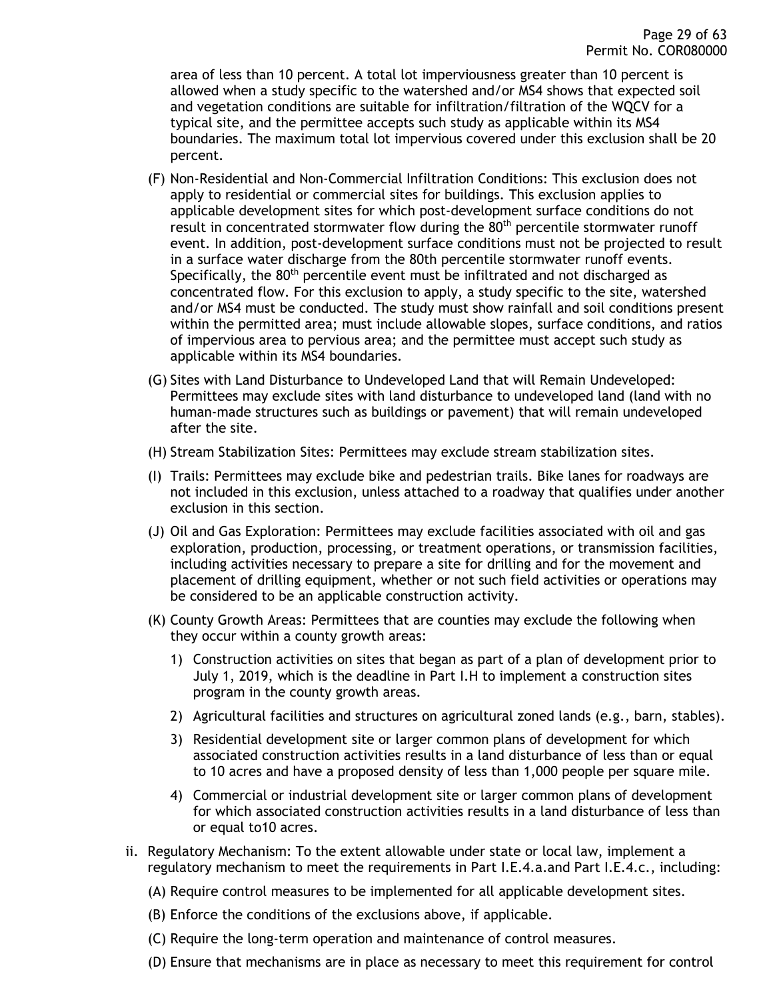area of less than 10 percent. A total lot imperviousness greater than 10 percent is allowed when a study specific to the watershed and/or MS4 shows that expected soil and vegetation conditions are suitable for infiltration/filtration of the WQCV for a typical site, and the permittee accepts such study as applicable within its MS4 boundaries. The maximum total lot impervious covered under this exclusion shall be 20 percent.

- (F) Non-Residential and Non-Commercial Infiltration Conditions: This exclusion does not apply to residential or commercial sites for buildings. This exclusion applies to applicable development sites for which post-development surface conditions do not result in concentrated stormwater flow during the  $80<sup>th</sup>$  percentile stormwater runoff event. In addition, post-development surface conditions must not be projected to result in a surface water discharge from the 80th percentile stormwater runoff events. Specifically, the 80<sup>th</sup> percentile event must be infiltrated and not discharged as concentrated flow. For this exclusion to apply, a study specific to the site, watershed and/or MS4 must be conducted. The study must show rainfall and soil conditions present within the permitted area; must include allowable slopes, surface conditions, and ratios of impervious area to pervious area; and the permittee must accept such study as applicable within its MS4 boundaries.
- (G) Sites with Land Disturbance to Undeveloped Land that will Remain Undeveloped: Permittees may exclude sites with land disturbance to undeveloped land (land with no human-made structures such as buildings or pavement) that will remain undeveloped after the site.
- (H) Stream Stabilization Sites: Permittees may exclude stream stabilization sites.
- (I) Trails: Permittees may exclude bike and pedestrian trails. Bike lanes for roadways are not included in this exclusion, unless attached to a roadway that qualifies under another exclusion in this section.
- (J) Oil and Gas Exploration: Permittees may exclude facilities associated with oil and gas exploration, production, processing, or treatment operations, or transmission facilities, including activities necessary to prepare a site for drilling and for the movement and placement of drilling equipment, whether or not such field activities or operations may be considered to be an applicable construction activity.
- (K) County Growth Areas: Permittees that are counties may exclude the following when they occur within a county growth areas:
	- 1) Construction activities on sites that began as part of a plan of development prior to July 1, 2019, which is the deadline in Part I.H to implement a construction sites program in the county growth areas.
	- 2) Agricultural facilities and structures on agricultural zoned lands (e.g., barn, stables).
	- 3) Residential development site or larger common plans of development for which associated construction activities results in a land disturbance of less than or equal to 10 acres and have a proposed density of less than 1,000 people per square mile.
	- 4) Commercial or industrial development site or larger common plans of development for which associated construction activities results in a land disturbance of less than or equal to10 acres.
- ii. Regulatory Mechanism: To the extent allowable under state or local law, implement a regulatory mechanism to meet the requirements in Part I.E.4.a.and Part I.E.4.c., including:
	- (A) Require control measures to be implemented for all applicable development sites.
	- (B) Enforce the conditions of the exclusions above, if applicable.
	- (C) Require the long-term operation and maintenance of control measures.
	- (D) Ensure that mechanisms are in place as necessary to meet this requirement for control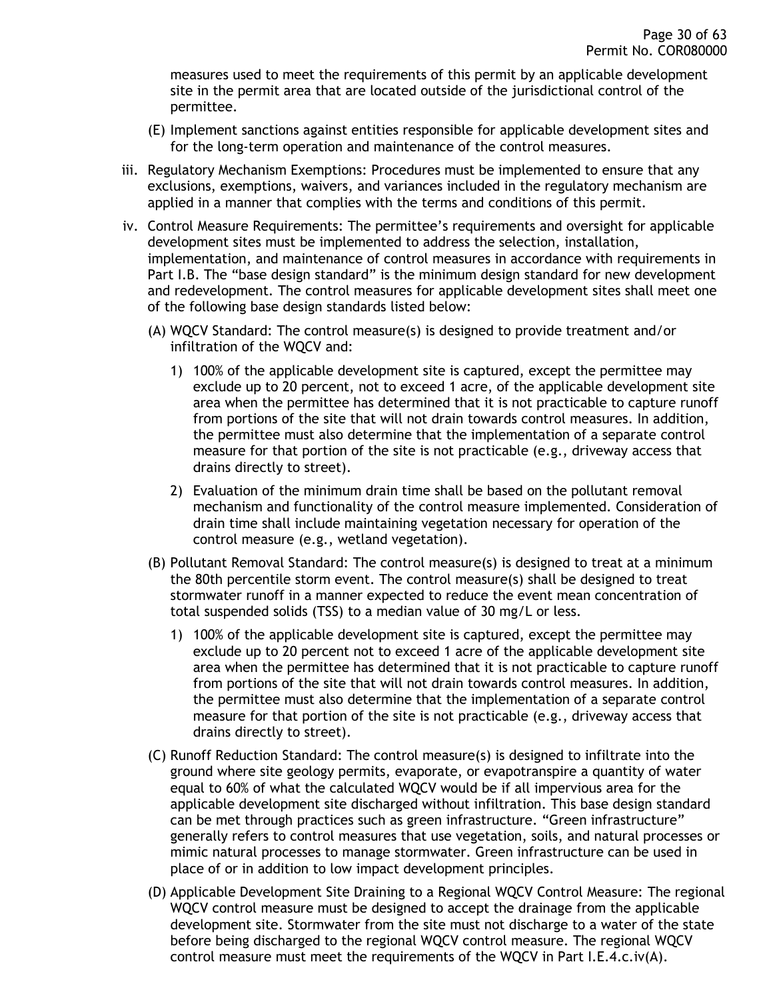measures used to meet the requirements of this permit by an applicable development site in the permit area that are located outside of the jurisdictional control of the permittee.

- (E) Implement sanctions against entities responsible for applicable development sites and for the long-term operation and maintenance of the control measures.
- iii. Regulatory Mechanism Exemptions: Procedures must be implemented to ensure that any exclusions, exemptions, waivers, and variances included in the regulatory mechanism are applied in a manner that complies with the terms and conditions of this permit.
- iv. Control Measure Requirements: The permittee's requirements and oversight for applicable development sites must be implemented to address the selection, installation, implementation, and maintenance of control measures in accordance with requirements in Part I.B. The "base design standard" is the minimum design standard for new development and redevelopment. The control measures for applicable development sites shall meet one of the following base design standards listed below:
	- (A) WQCV Standard: The control measure(s) is designed to provide treatment and/or infiltration of the WQCV and:
		- 1) 100% of the applicable development site is captured, except the permittee may exclude up to 20 percent, not to exceed 1 acre, of the applicable development site area when the permittee has determined that it is not practicable to capture runoff from portions of the site that will not drain towards control measures. In addition, the permittee must also determine that the implementation of a separate control measure for that portion of the site is not practicable (e.g., driveway access that drains directly to street).
		- 2) Evaluation of the minimum drain time shall be based on the pollutant removal mechanism and functionality of the control measure implemented. Consideration of drain time shall include maintaining vegetation necessary for operation of the control measure (e.g., wetland vegetation).
	- (B) Pollutant Removal Standard: The control measure(s) is designed to treat at a minimum the 80th percentile storm event. The control measure(s) shall be designed to treat stormwater runoff in a manner expected to reduce the event mean concentration of total suspended solids (TSS) to a median value of 30 mg/L or less.
		- 1) 100% of the applicable development site is captured, except the permittee may exclude up to 20 percent not to exceed 1 acre of the applicable development site area when the permittee has determined that it is not practicable to capture runoff from portions of the site that will not drain towards control measures. In addition, the permittee must also determine that the implementation of a separate control measure for that portion of the site is not practicable (e.g., driveway access that drains directly to street).
	- (C) Runoff Reduction Standard: The control measure(s) is designed to infiltrate into the ground where site geology permits, evaporate, or evapotranspire a quantity of water equal to 60% of what the calculated WQCV would be if all impervious area for the applicable development site discharged without infiltration. This base design standard can be met through practices such as green infrastructure. "Green infrastructure" generally refers to control measures that use vegetation, soils, and natural processes or mimic natural processes to manage stormwater. Green infrastructure can be used in place of or in addition to low impact development principles.
	- (D) Applicable Development Site Draining to a Regional WQCV Control Measure: The regional WQCV control measure must be designed to accept the drainage from the applicable development site. Stormwater from the site must not discharge to a water of the state before being discharged to the regional WQCV control measure. The regional WQCV control measure must meet the requirements of the WQCV in Part I.E.4.c.iv(A).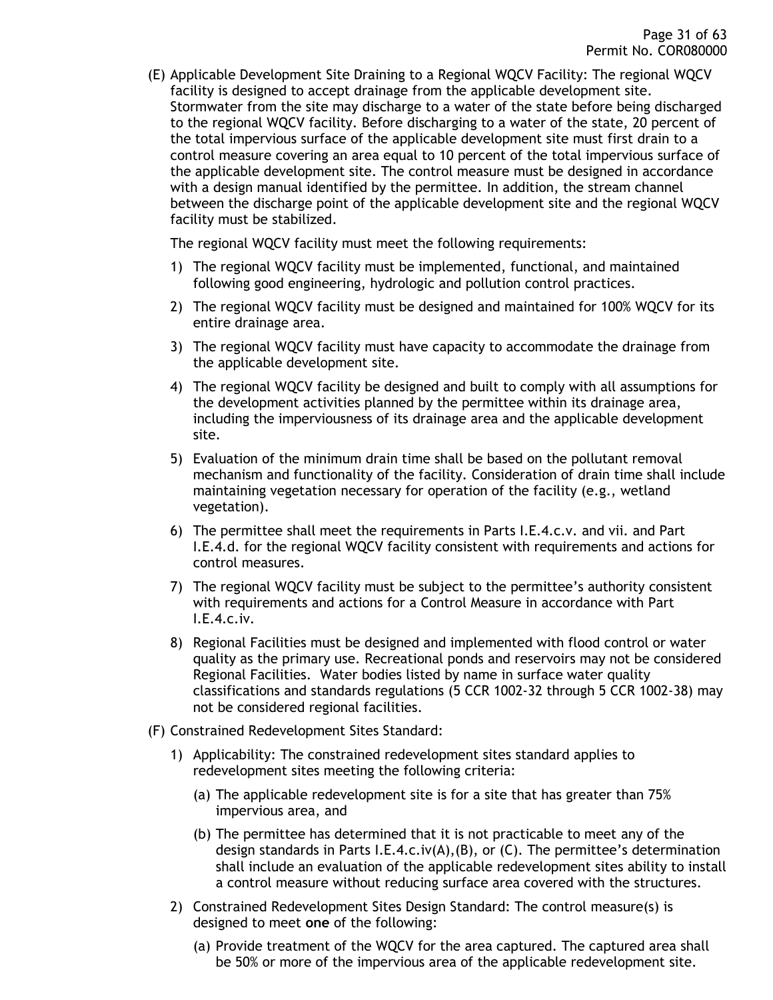(E) Applicable Development Site Draining to a Regional WQCV Facility: The regional WQCV facility is designed to accept drainage from the applicable development site. Stormwater from the site may discharge to a water of the state before being discharged to the regional WQCV facility. Before discharging to a water of the state, 20 percent of the total impervious surface of the applicable development site must first drain to a control measure covering an area equal to 10 percent of the total impervious surface of the applicable development site. The control measure must be designed in accordance with a design manual identified by the permittee. In addition, the stream channel between the discharge point of the applicable development site and the regional WQCV facility must be stabilized.

The regional WQCV facility must meet the following requirements:

- 1) The regional WQCV facility must be implemented, functional, and maintained following good engineering, hydrologic and pollution control practices.
- 2) The regional WQCV facility must be designed and maintained for 100% WQCV for its entire drainage area.
- 3) The regional WQCV facility must have capacity to accommodate the drainage from the applicable development site.
- 4) The regional WQCV facility be designed and built to comply with all assumptions for the development activities planned by the permittee within its drainage area, including the imperviousness of its drainage area and the applicable development site.
- 5) Evaluation of the minimum drain time shall be based on the pollutant removal mechanism and functionality of the facility. Consideration of drain time shall include maintaining vegetation necessary for operation of the facility (e.g., wetland vegetation).
- 6) The permittee shall meet the requirements in Parts I.E.4.c.v. and vii. and Part I.E.4.d. for the regional WQCV facility consistent with requirements and actions for control measures.
- 7) The regional WQCV facility must be subject to the permittee's authority consistent with requirements and actions for a Control Measure in accordance with Part I.E.4.c.iv.
- 8) Regional Facilities must be designed and implemented with flood control or water quality as the primary use. Recreational ponds and reservoirs may not be considered Regional Facilities. Water bodies listed by name in surface water quality classifications and standards regulations (5 CCR 1002-32 through 5 CCR 1002-38) may not be considered regional facilities.
- (F) Constrained Redevelopment Sites Standard:
	- 1) Applicability: The constrained redevelopment sites standard applies to redevelopment sites meeting the following criteria:
		- (a) The applicable redevelopment site is for a site that has greater than 75% impervious area, and
		- (b) The permittee has determined that it is not practicable to meet any of the design standards in Parts I.E.4.c.iv(A),(B), or (C). The permittee's determination shall include an evaluation of the applicable redevelopment sites ability to install a control measure without reducing surface area covered with the structures.
	- 2) Constrained Redevelopment Sites Design Standard: The control measure(s) is designed to meet **one** of the following:
		- (a) Provide treatment of the WQCV for the area captured. The captured area shall be 50% or more of the impervious area of the applicable redevelopment site.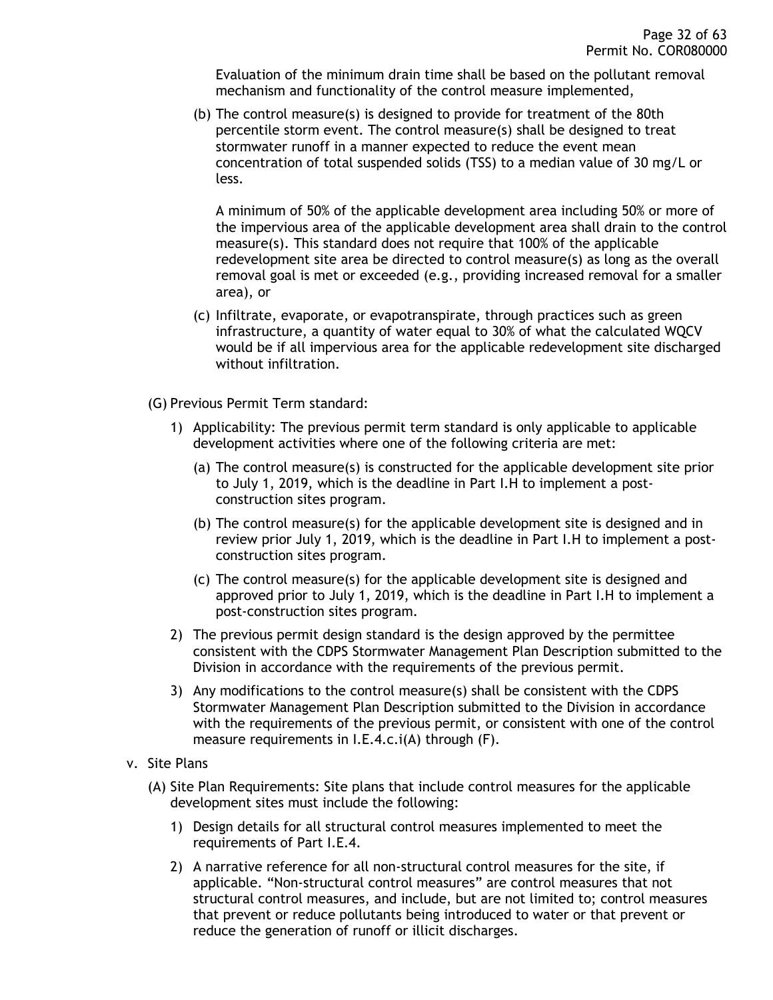Evaluation of the minimum drain time shall be based on the pollutant removal mechanism and functionality of the control measure implemented,

(b) The control measure(s) is designed to provide for treatment of the 80th percentile storm event. The control measure(s) shall be designed to treat stormwater runoff in a manner expected to reduce the event mean concentration of total suspended solids (TSS) to a median value of 30 mg/L or less.

A minimum of 50% of the applicable development area including 50% or more of the impervious area of the applicable development area shall drain to the control measure(s). This standard does not require that 100% of the applicable redevelopment site area be directed to control measure(s) as long as the overall removal goal is met or exceeded (e.g., providing increased removal for a smaller area), or

- (c) Infiltrate, evaporate, or evapotranspirate, through practices such as green infrastructure, a quantity of water equal to 30% of what the calculated WQCV would be if all impervious area for the applicable redevelopment site discharged without infiltration.
- (G) Previous Permit Term standard:
	- 1) Applicability: The previous permit term standard is only applicable to applicable development activities where one of the following criteria are met:
		- (a) The control measure(s) is constructed for the applicable development site prior to July 1, 2019, which is the deadline in Part I.H to implement a postconstruction sites program.
		- (b) The control measure(s) for the applicable development site is designed and in review prior July 1, 2019, which is the deadline in Part I.H to implement a postconstruction sites program.
		- (c) The control measure(s) for the applicable development site is designed and approved prior to July 1, 2019, which is the deadline in Part I.H to implement a post-construction sites program.
	- 2) The previous permit design standard is the design approved by the permittee consistent with the CDPS Stormwater Management Plan Description submitted to the Division in accordance with the requirements of the previous permit.
	- 3) Any modifications to the control measure(s) shall be consistent with the CDPS Stormwater Management Plan Description submitted to the Division in accordance with the requirements of the previous permit, or consistent with one of the control measure requirements in I.E.4.c.i(A) through (F).
- v. Site Plans
	- (A) Site Plan Requirements: Site plans that include control measures for the applicable development sites must include the following:
		- 1) Design details for all structural control measures implemented to meet the requirements of Part I.E.4.
		- 2) A narrative reference for all non-structural control measures for the site, if applicable. "Non-structural control measures" are control measures that not structural control measures, and include, but are not limited to; control measures that prevent or reduce pollutants being introduced to water or that prevent or reduce the generation of runoff or illicit discharges.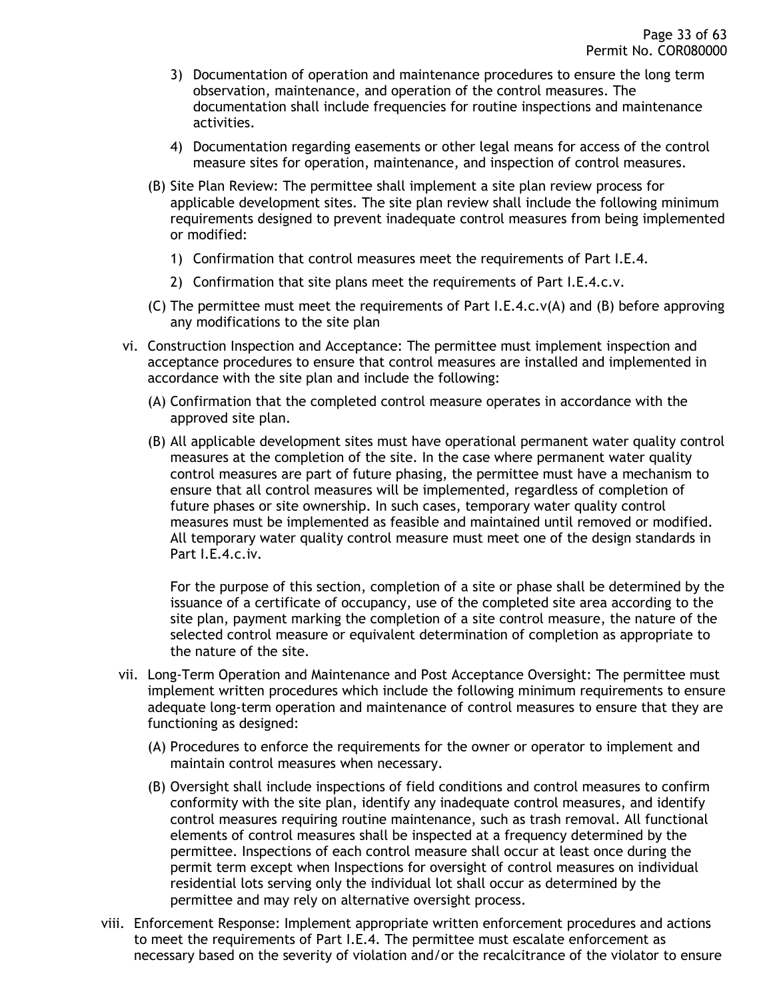- 3) Documentation of operation and maintenance procedures to ensure the long term observation, maintenance, and operation of the control measures. The documentation shall include frequencies for routine inspections and maintenance activities.
- 4) Documentation regarding easements or other legal means for access of the control measure sites for operation, maintenance, and inspection of control measures.
- (B) Site Plan Review: The permittee shall implement a site plan review process for applicable development sites. The site plan review shall include the following minimum requirements designed to prevent inadequate control measures from being implemented or modified:
	- 1) Confirmation that control measures meet the requirements of Part I.E.4.
	- 2) Confirmation that site plans meet the requirements of Part I.E.4.c.v.
- (C) The permittee must meet the requirements of Part I.E.4.c.v(A) and (B) before approving any modifications to the site plan
- vi. Construction Inspection and Acceptance: The permittee must implement inspection and acceptance procedures to ensure that control measures are installed and implemented in accordance with the site plan and include the following:
	- (A) Confirmation that the completed control measure operates in accordance with the approved site plan.
	- (B) All applicable development sites must have operational permanent water quality control measures at the completion of the site. In the case where permanent water quality control measures are part of future phasing, the permittee must have a mechanism to ensure that all control measures will be implemented, regardless of completion of future phases or site ownership. In such cases, temporary water quality control measures must be implemented as feasible and maintained until removed or modified. All temporary water quality control measure must meet one of the design standards in Part I.E.4.c.iv.

For the purpose of this section, completion of a site or phase shall be determined by the issuance of a certificate of occupancy, use of the completed site area according to the site plan, payment marking the completion of a site control measure, the nature of the selected control measure or equivalent determination of completion as appropriate to the nature of the site.

- vii. Long-Term Operation and Maintenance and Post Acceptance Oversight: The permittee must implement written procedures which include the following minimum requirements to ensure adequate long-term operation and maintenance of control measures to ensure that they are functioning as designed:
	- (A) Procedures to enforce the requirements for the owner or operator to implement and maintain control measures when necessary.
	- (B) Oversight shall include inspections of field conditions and control measures to confirm conformity with the site plan, identify any inadequate control measures, and identify control measures requiring routine maintenance, such as trash removal. All functional elements of control measures shall be inspected at a frequency determined by the permittee. Inspections of each control measure shall occur at least once during the permit term except when Inspections for oversight of control measures on individual residential lots serving only the individual lot shall occur as determined by the permittee and may rely on alternative oversight process.
- viii. Enforcement Response: Implement appropriate written enforcement procedures and actions to meet the requirements of Part I.E.4. The permittee must escalate enforcement as necessary based on the severity of violation and/or the recalcitrance of the violator to ensure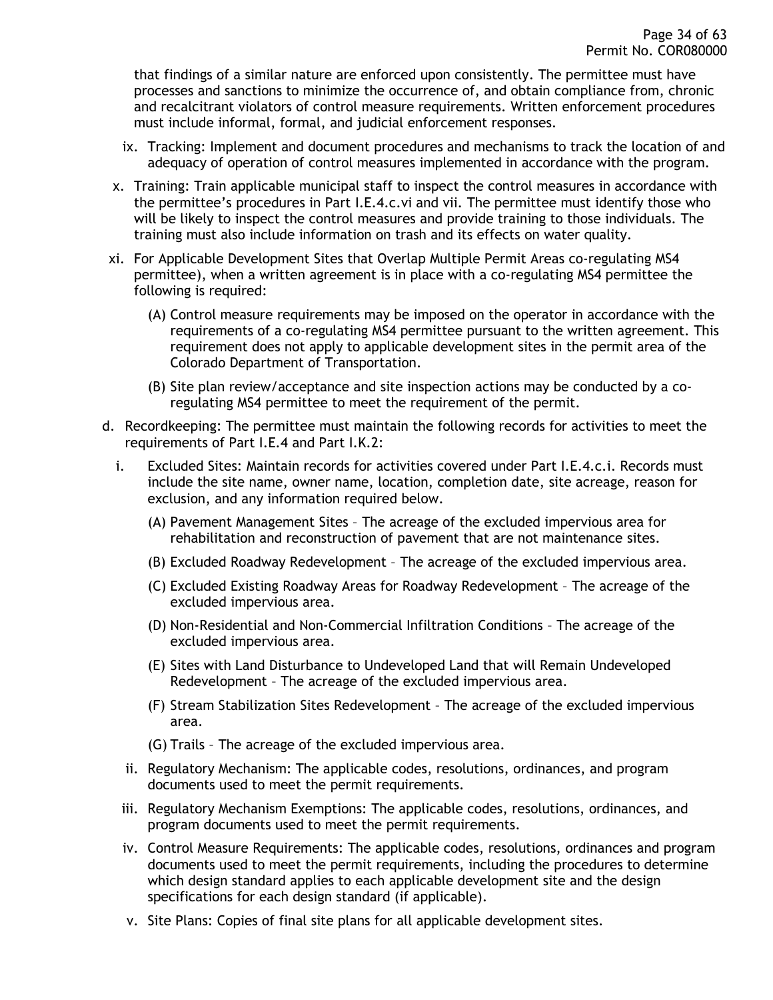that findings of a similar nature are enforced upon consistently. The permittee must have processes and sanctions to minimize the occurrence of, and obtain compliance from, chronic and recalcitrant violators of control measure requirements. Written enforcement procedures must include informal, formal, and judicial enforcement responses.

- ix. Tracking: Implement and document procedures and mechanisms to track the location of and adequacy of operation of control measures implemented in accordance with the program.
- x. Training: Train applicable municipal staff to inspect the control measures in accordance with the permittee's procedures in Part I.E.4.c.vi and vii. The permittee must identify those who will be likely to inspect the control measures and provide training to those individuals. The training must also include information on trash and its effects on water quality.
- xi. For Applicable Development Sites that Overlap Multiple Permit Areas co-regulating MS4 permittee), when a written agreement is in place with a co-regulating MS4 permittee the following is required:
	- (A) Control measure requirements may be imposed on the operator in accordance with the requirements of a co-regulating MS4 permittee pursuant to the written agreement. This requirement does not apply to applicable development sites in the permit area of the Colorado Department of Transportation.
	- (B) Site plan review/acceptance and site inspection actions may be conducted by a coregulating MS4 permittee to meet the requirement of the permit.
- d. Recordkeeping: The permittee must maintain the following records for activities to meet the requirements of Part I.E.4 and Part I.K.2:
	- i. Excluded Sites: Maintain records for activities covered under Part I.E.4.c.i. Records must include the site name, owner name, location, completion date, site acreage, reason for exclusion, and any information required below.
		- (A) Pavement Management Sites The acreage of the excluded impervious area for rehabilitation and reconstruction of pavement that are not maintenance sites.
		- (B) Excluded Roadway Redevelopment The acreage of the excluded impervious area.
		- (C) Excluded Existing Roadway Areas for Roadway Redevelopment The acreage of the excluded impervious area.
		- (D) Non-Residential and Non-Commercial Infiltration Conditions The acreage of the excluded impervious area.
		- (E) Sites with Land Disturbance to Undeveloped Land that will Remain Undeveloped Redevelopment – The acreage of the excluded impervious area.
		- (F) Stream Stabilization Sites Redevelopment The acreage of the excluded impervious area.
		- (G) Trails The acreage of the excluded impervious area.
		- ii. Regulatory Mechanism: The applicable codes, resolutions, ordinances, and program documents used to meet the permit requirements.
	- iii. Regulatory Mechanism Exemptions: The applicable codes, resolutions, ordinances, and program documents used to meet the permit requirements.
	- iv. Control Measure Requirements: The applicable codes, resolutions, ordinances and program documents used to meet the permit requirements, including the procedures to determine which design standard applies to each applicable development site and the design specifications for each design standard (if applicable).
	- v. Site Plans: Copies of final site plans for all applicable development sites.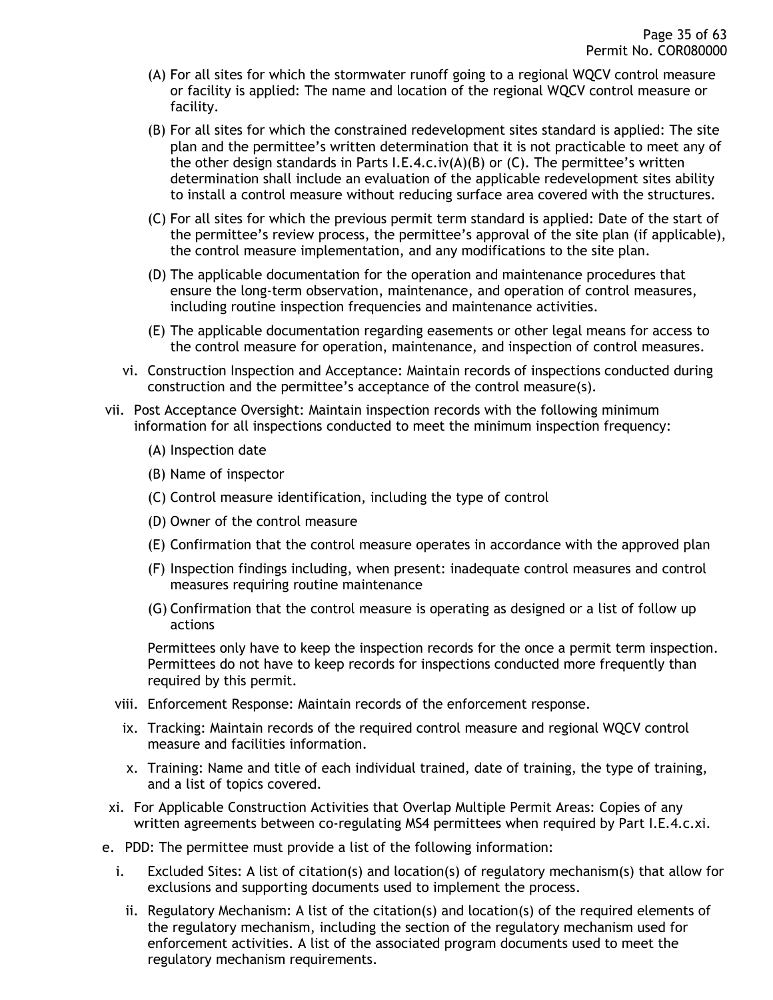- (A) For all sites for which the stormwater runoff going to a regional WQCV control measure or facility is applied: The name and location of the regional WQCV control measure or facility.
- (B) For all sites for which the constrained redevelopment sites standard is applied: The site plan and the permittee's written determination that it is not practicable to meet any of the other design standards in Parts I.E.4.c.iv(A)(B) or (C). The permittee's written determination shall include an evaluation of the applicable redevelopment sites ability to install a control measure without reducing surface area covered with the structures.
- (C) For all sites for which the previous permit term standard is applied: Date of the start of the permittee's review process, the permittee's approval of the site plan (if applicable), the control measure implementation, and any modifications to the site plan.
- (D) The applicable documentation for the operation and maintenance procedures that ensure the long-term observation, maintenance, and operation of control measures, including routine inspection frequencies and maintenance activities.
- (E) The applicable documentation regarding easements or other legal means for access to the control measure for operation, maintenance, and inspection of control measures.
- vi. Construction Inspection and Acceptance: Maintain records of inspections conducted during construction and the permittee's acceptance of the control measure(s).
- vii. Post Acceptance Oversight: Maintain inspection records with the following minimum information for all inspections conducted to meet the minimum inspection frequency:
	- (A) Inspection date
	- (B) Name of inspector
	- (C) Control measure identification, including the type of control
	- (D) Owner of the control measure
	- (E) Confirmation that the control measure operates in accordance with the approved plan
	- (F) Inspection findings including, when present: inadequate control measures and control measures requiring routine maintenance
	- (G) Confirmation that the control measure is operating as designed or a list of follow up actions

Permittees only have to keep the inspection records for the once a permit term inspection. Permittees do not have to keep records for inspections conducted more frequently than required by this permit.

- viii. Enforcement Response: Maintain records of the enforcement response.
- ix. Tracking: Maintain records of the required control measure and regional WQCV control measure and facilities information.
- x. Training: Name and title of each individual trained, date of training, the type of training, and a list of topics covered.
- xi. For Applicable Construction Activities that Overlap Multiple Permit Areas: Copies of any written agreements between co-regulating MS4 permittees when required by Part I.E.4.c.xi.
- e. PDD: The permittee must provide a list of the following information:
	- i. Excluded Sites: A list of citation(s) and location(s) of regulatory mechanism(s) that allow for exclusions and supporting documents used to implement the process.
		- ii. Regulatory Mechanism: A list of the citation(s) and location(s) of the required elements of the regulatory mechanism, including the section of the regulatory mechanism used for enforcement activities. A list of the associated program documents used to meet the regulatory mechanism requirements.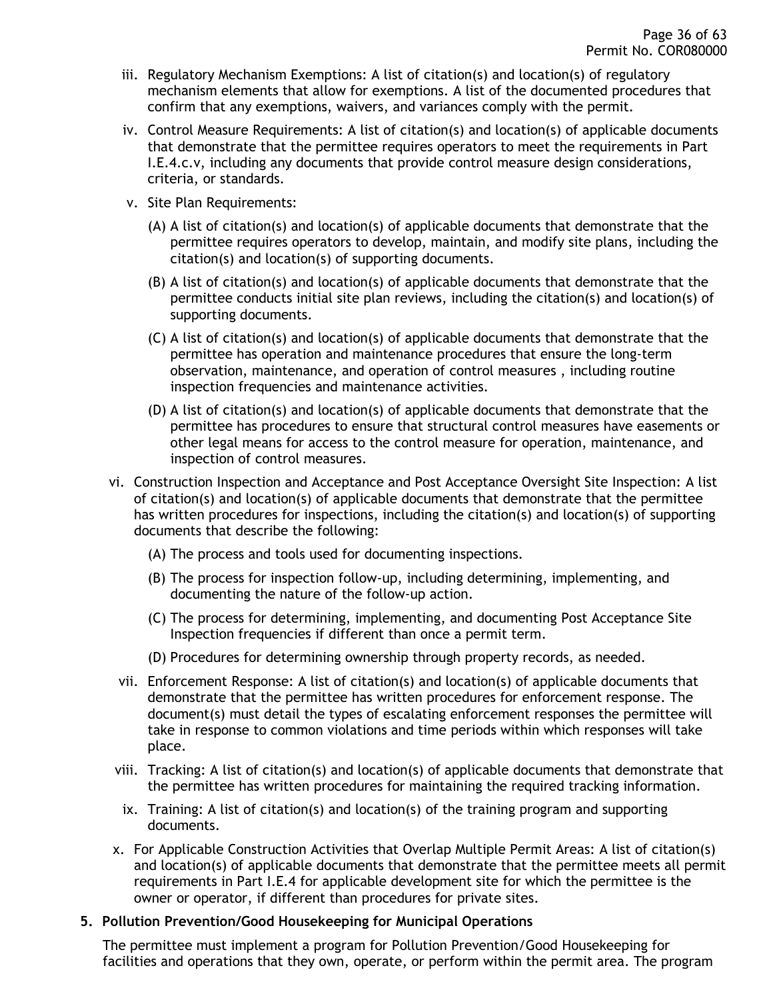- iii. Regulatory Mechanism Exemptions: A list of citation(s) and location(s) of regulatory mechanism elements that allow for exemptions. A list of the documented procedures that confirm that any exemptions, waivers, and variances comply with the permit.
- iv. Control Measure Requirements: A list of citation(s) and location(s) of applicable documents that demonstrate that the permittee requires operators to meet the requirements in Part I.E.4.c.v, including any documents that provide control measure design considerations, criteria, or standards.
- v. Site Plan Requirements:
	- (A) A list of citation(s) and location(s) of applicable documents that demonstrate that the permittee requires operators to develop, maintain, and modify site plans, including the citation(s) and location(s) of supporting documents.
	- (B) A list of citation(s) and location(s) of applicable documents that demonstrate that the permittee conducts initial site plan reviews, including the citation(s) and location(s) of supporting documents.
	- (C) A list of citation(s) and location(s) of applicable documents that demonstrate that the permittee has operation and maintenance procedures that ensure the long-term observation, maintenance, and operation of control measures , including routine inspection frequencies and maintenance activities.
	- (D) A list of citation(s) and location(s) of applicable documents that demonstrate that the permittee has procedures to ensure that structural control measures have easements or other legal means for access to the control measure for operation, maintenance, and inspection of control measures.
- vi. Construction Inspection and Acceptance and Post Acceptance Oversight Site Inspection: A list of citation(s) and location(s) of applicable documents that demonstrate that the permittee has written procedures for inspections, including the citation(s) and location(s) of supporting documents that describe the following:
	- (A) The process and tools used for documenting inspections.
	- (B) The process for inspection follow-up, including determining, implementing, and documenting the nature of the follow-up action.
	- (C) The process for determining, implementing, and documenting Post Acceptance Site Inspection frequencies if different than once a permit term.
	- (D) Procedures for determining ownership through property records, as needed.
	- vii. Enforcement Response: A list of citation(s) and location(s) of applicable documents that demonstrate that the permittee has written procedures for enforcement response. The document(s) must detail the types of escalating enforcement responses the permittee will take in response to common violations and time periods within which responses will take place.
- viii. Tracking: A list of citation(s) and location(s) of applicable documents that demonstrate that the permittee has written procedures for maintaining the required tracking information.
- ix. Training: A list of citation(s) and location(s) of the training program and supporting documents.
- x. For Applicable Construction Activities that Overlap Multiple Permit Areas: A list of citation(s) and location(s) of applicable documents that demonstrate that the permittee meets all permit requirements in Part I.E.4 for applicable development site for which the permittee is the owner or operator, if different than procedures for private sites.

### <span id="page-35-0"></span>**5. Pollution Prevention/Good Housekeeping for Municipal Operations**

The permittee must implement a program for Pollution Prevention/Good Housekeeping for facilities and operations that they own, operate, or perform within the permit area. The program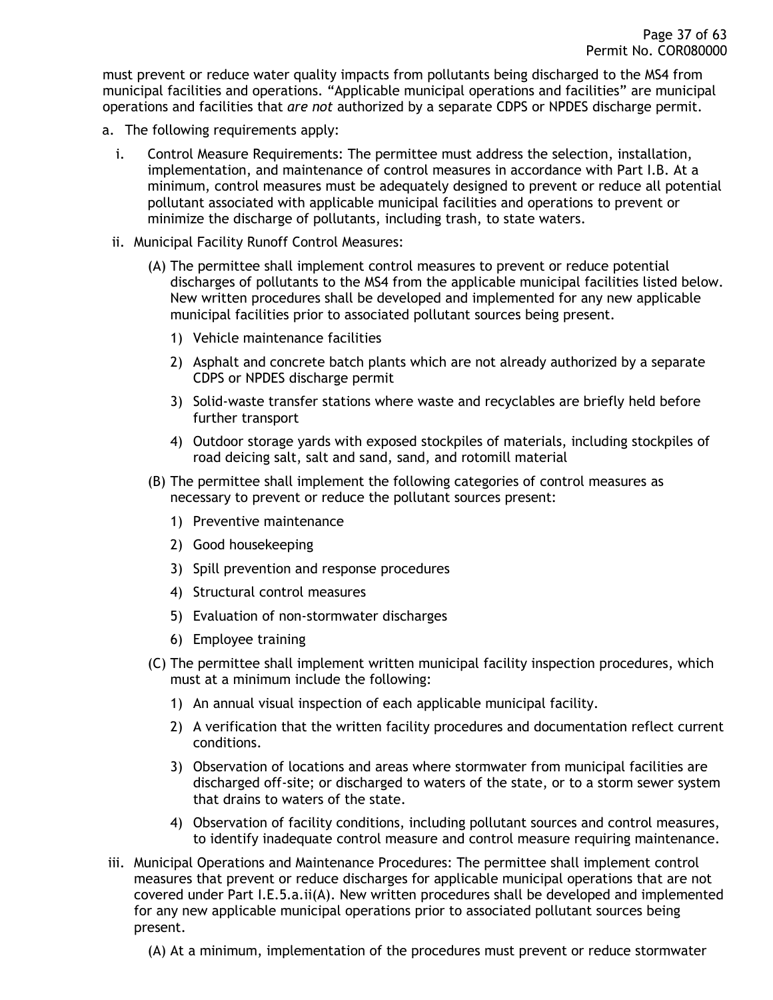must prevent or reduce water quality impacts from pollutants being discharged to the MS4 from municipal facilities and operations. "Applicable municipal operations and facilities" are municipal operations and facilities that *are not* authorized by a separate CDPS or NPDES discharge permit.

- a. The following requirements apply:
	- i. Control Measure Requirements: The permittee must address the selection, installation, implementation, and maintenance of control measures in accordance with Part I.B. At a minimum, control measures must be adequately designed to prevent or reduce all potential pollutant associated with applicable municipal facilities and operations to prevent or minimize the discharge of pollutants, including trash, to state waters.
	- ii. Municipal Facility Runoff Control Measures:
		- (A) The permittee shall implement control measures to prevent or reduce potential discharges of pollutants to the MS4 from the applicable municipal facilities listed below. New written procedures shall be developed and implemented for any new applicable municipal facilities prior to associated pollutant sources being present.
			- 1) Vehicle maintenance facilities
			- 2) Asphalt and concrete batch plants which are not already authorized by a separate CDPS or NPDES discharge permit
			- 3) Solid-waste transfer stations where waste and recyclables are briefly held before further transport
			- 4) Outdoor storage yards with exposed stockpiles of materials, including stockpiles of road deicing salt, salt and sand, sand, and rotomill material
		- (B) The permittee shall implement the following categories of control measures as necessary to prevent or reduce the pollutant sources present:
			- 1) Preventive maintenance
			- 2) Good housekeeping
			- 3) Spill prevention and response procedures
			- 4) Structural control measures
			- 5) Evaluation of non-stormwater discharges
			- 6) Employee training
		- (C) The permittee shall implement written municipal facility inspection procedures, which must at a minimum include the following:
			- 1) An annual visual inspection of each applicable municipal facility.
			- 2) A verification that the written facility procedures and documentation reflect current conditions.
			- 3) Observation of locations and areas where stormwater from municipal facilities are discharged off-site; or discharged to waters of the state, or to a storm sewer system that drains to waters of the state.
			- 4) Observation of facility conditions, including pollutant sources and control measures, to identify inadequate control measure and control measure requiring maintenance.
- iii. Municipal Operations and Maintenance Procedures: The permittee shall implement control measures that prevent or reduce discharges for applicable municipal operations that are not covered under Part I.E.5.a.ii(A). New written procedures shall be developed and implemented for any new applicable municipal operations prior to associated pollutant sources being present.
	- (A) At a minimum, implementation of the procedures must prevent or reduce stormwater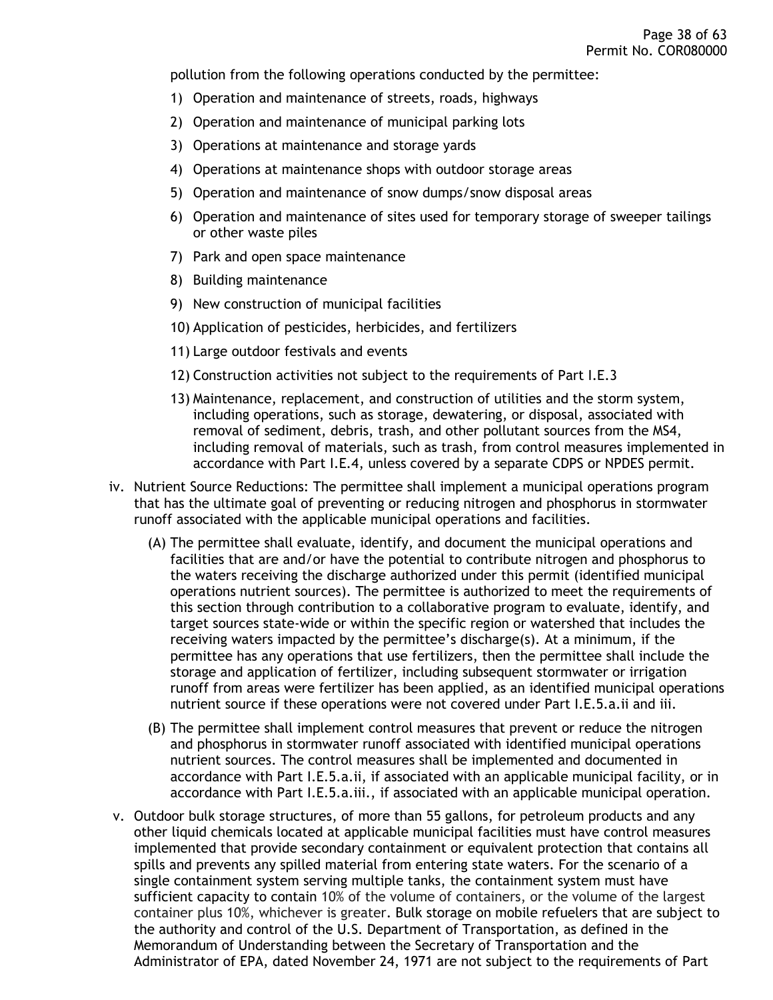pollution from the following operations conducted by the permittee:

- 1) Operation and maintenance of streets, roads, highways
- 2) Operation and maintenance of municipal parking lots
- 3) Operations at maintenance and storage yards
- 4) Operations at maintenance shops with outdoor storage areas
- 5) Operation and maintenance of snow dumps/snow disposal areas
- 6) Operation and maintenance of sites used for temporary storage of sweeper tailings or other waste piles
- 7) Park and open space maintenance
- 8) Building maintenance
- 9) New construction of municipal facilities
- 10) Application of pesticides, herbicides, and fertilizers
- 11) Large outdoor festivals and events
- 12) Construction activities not subject to the requirements of Part I.E.3
- 13) Maintenance, replacement, and construction of utilities and the storm system, including operations, such as storage, dewatering, or disposal, associated with removal of sediment, debris, trash, and other pollutant sources from the MS4, including removal of materials, such as trash, from control measures implemented in accordance with Part I.E.4, unless covered by a separate CDPS or NPDES permit.
- iv. Nutrient Source Reductions: The permittee shall implement a municipal operations program that has the ultimate goal of preventing or reducing nitrogen and phosphorus in stormwater runoff associated with the applicable municipal operations and facilities.
	- (A) The permittee shall evaluate, identify, and document the municipal operations and facilities that are and/or have the potential to contribute nitrogen and phosphorus to the waters receiving the discharge authorized under this permit (identified municipal operations nutrient sources). The permittee is authorized to meet the requirements of this section through contribution to a collaborative program to evaluate, identify, and target sources state-wide or within the specific region or watershed that includes the receiving waters impacted by the permittee's discharge(s). At a minimum, if the permittee has any operations that use fertilizers, then the permittee shall include the storage and application of fertilizer, including subsequent stormwater or irrigation runoff from areas were fertilizer has been applied, as an identified municipal operations nutrient source if these operations were not covered under Part I.E.5.a.ii and iii.
	- (B) The permittee shall implement control measures that prevent or reduce the nitrogen and phosphorus in stormwater runoff associated with identified municipal operations nutrient sources. The control measures shall be implemented and documented in accordance with Part I.E.5.a.ii, if associated with an applicable municipal facility, or in accordance with Part I.E.5.a.iii., if associated with an applicable municipal operation.
- v. Outdoor bulk storage structures, of more than 55 gallons, for petroleum products and any other liquid chemicals located at applicable municipal facilities must have control measures implemented that provide secondary containment or equivalent protection that contains all spills and prevents any spilled material from entering state waters. For the scenario of a single containment system serving multiple tanks, the containment system must have sufficient capacity to contain 10% of the volume of containers, or the volume of the largest container plus 10%, whichever is greater. Bulk storage on mobile refuelers that are subject to the authority and control of the U.S. Department of Transportation, as defined in the Memorandum of Understanding between the Secretary of Transportation and the Administrator of EPA, dated November 24, 1971 are not subject to the requirements of Part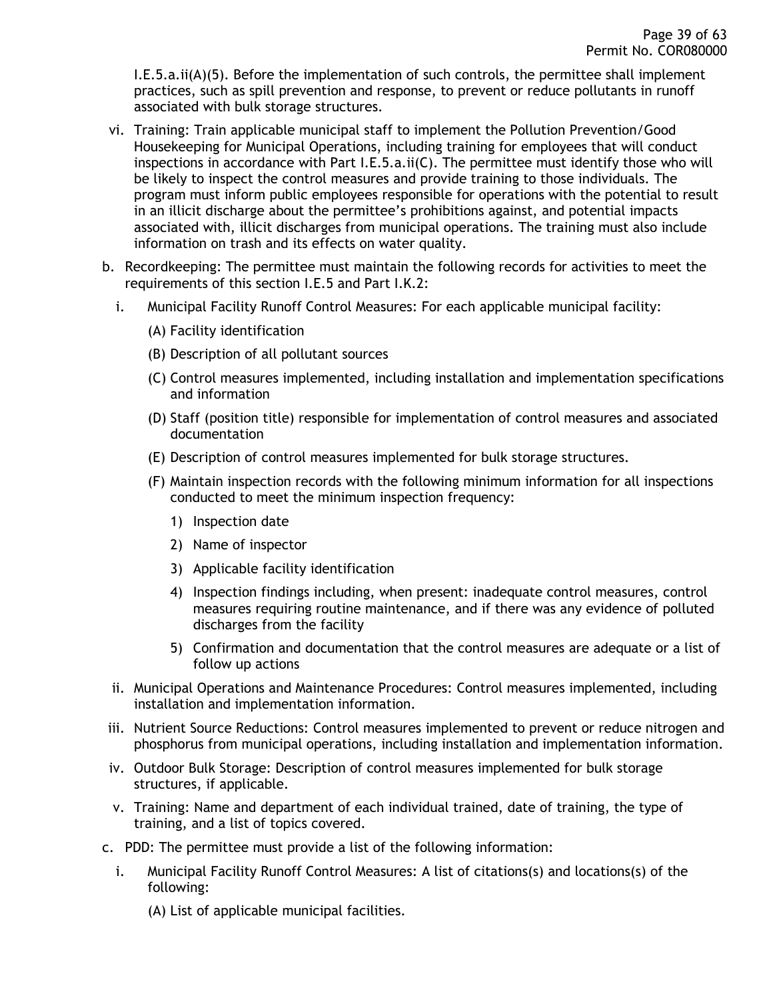I.E.5.a.ii(A)(5). Before the implementation of such controls, the permittee shall implement practices, such as spill prevention and response, to prevent or reduce pollutants in runoff associated with bulk storage structures.

- vi. Training: Train applicable municipal staff to implement the Pollution Prevention/Good Housekeeping for Municipal Operations, including training for employees that will conduct inspections in accordance with Part I.E.5.a.ii(C). The permittee must identify those who will be likely to inspect the control measures and provide training to those individuals. The program must inform public employees responsible for operations with the potential to result in an illicit discharge about the permittee's prohibitions against, and potential impacts associated with, illicit discharges from municipal operations. The training must also include information on trash and its effects on water quality.
- b. Recordkeeping: The permittee must maintain the following records for activities to meet the requirements of this section I.E.5 and Part I.K.2:
	- i. Municipal Facility Runoff Control Measures: For each applicable municipal facility:
		- (A) Facility identification
		- (B) Description of all pollutant sources
		- (C) Control measures implemented, including installation and implementation specifications and information
		- (D) Staff (position title) responsible for implementation of control measures and associated documentation
		- (E) Description of control measures implemented for bulk storage structures.
		- (F) Maintain inspection records with the following minimum information for all inspections conducted to meet the minimum inspection frequency:
			- 1) Inspection date
			- 2) Name of inspector
			- 3) Applicable facility identification
			- 4) Inspection findings including, when present: inadequate control measures, control measures requiring routine maintenance, and if there was any evidence of polluted discharges from the facility
			- 5) Confirmation and documentation that the control measures are adequate or a list of follow up actions
	- ii. Municipal Operations and Maintenance Procedures: Control measures implemented, including installation and implementation information.
- iii. Nutrient Source Reductions: Control measures implemented to prevent or reduce nitrogen and phosphorus from municipal operations, including installation and implementation information.
- iv. Outdoor Bulk Storage: Description of control measures implemented for bulk storage structures, if applicable.
- v. Training: Name and department of each individual trained, date of training, the type of training, and a list of topics covered.
- c. PDD: The permittee must provide a list of the following information:
	- i. Municipal Facility Runoff Control Measures: A list of citations(s) and locations(s) of the following:
		- (A) List of applicable municipal facilities.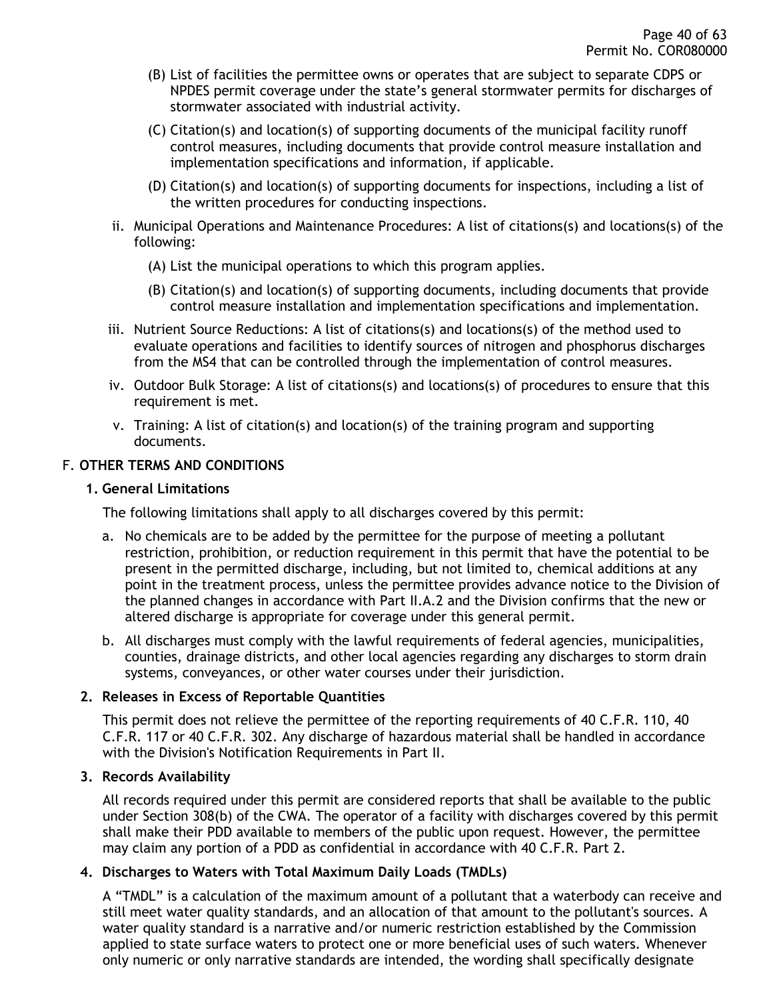- (B) List of facilities the permittee owns or operates that are subject to separate CDPS or NPDES permit coverage under the state's general stormwater permits for discharges of stormwater associated with industrial activity.
- (C) Citation(s) and location(s) of supporting documents of the municipal facility runoff control measures, including documents that provide control measure installation and implementation specifications and information, if applicable.
- (D) Citation(s) and location(s) of supporting documents for inspections, including a list of the written procedures for conducting inspections.
- ii. Municipal Operations and Maintenance Procedures: A list of citations(s) and locations(s) of the following:
	- (A) List the municipal operations to which this program applies.
	- (B) Citation(s) and location(s) of supporting documents, including documents that provide control measure installation and implementation specifications and implementation.
- iii. Nutrient Source Reductions: A list of citations(s) and locations(s) of the method used to evaluate operations and facilities to identify sources of nitrogen and phosphorus discharges from the MS4 that can be controlled through the implementation of control measures.
- iv. Outdoor Bulk Storage: A list of citations(s) and locations(s) of procedures to ensure that this requirement is met.
- v. Training: A list of citation(s) and location(s) of the training program and supporting documents.

### <span id="page-39-1"></span><span id="page-39-0"></span>F. **OTHER TERMS AND CONDITIONS**

#### **1. General Limitations**

The following limitations shall apply to all discharges covered by this permit:

- a. No chemicals are to be added by the permittee for the purpose of meeting a pollutant restriction, prohibition, or reduction requirement in this permit that have the potential to be present in the permitted discharge, including, but not limited to, chemical additions at any point in the treatment process, unless the permittee provides advance notice to the Division of the planned changes in accordance with Part II.A.2 and the Division confirms that the new or altered discharge is appropriate for coverage under this general permit.
- b. All discharges must comply with the lawful requirements of federal agencies, municipalities, counties, drainage districts, and other local agencies regarding any discharges to storm drain systems, conveyances, or other water courses under their jurisdiction.

### <span id="page-39-2"></span>**2. Releases in Excess of Reportable Quantities**

This permit does not relieve the permittee of the reporting requirements of 40 C.F.R. 110, 40 C.F.R. 117 or 40 C.F.R. 302. Any discharge of hazardous material shall be handled in accordance with the Division's Notification Requirements in Part II.

### <span id="page-39-3"></span>**3. Records Availability**

All records required under this permit are considered reports that shall be available to the public under Section 308(b) of the CWA. The operator of a facility with discharges covered by this permit shall make their PDD available to members of the public upon request. However, the permittee may claim any portion of a PDD as confidential in accordance with 40 C.F.R. Part 2.

#### <span id="page-39-4"></span>**4. Discharges to Waters with Total Maximum Daily Loads (TMDLs)**

A "TMDL" is a calculation of the maximum amount of a pollutant that a waterbody can receive and still meet water quality standards, and an allocation of that amount to the pollutant's sources. A water quality standard is a narrative and/or numeric restriction established by the Commission applied to state surface waters to protect one or more beneficial uses of such waters. Whenever only numeric or only narrative standards are intended, the wording shall specifically designate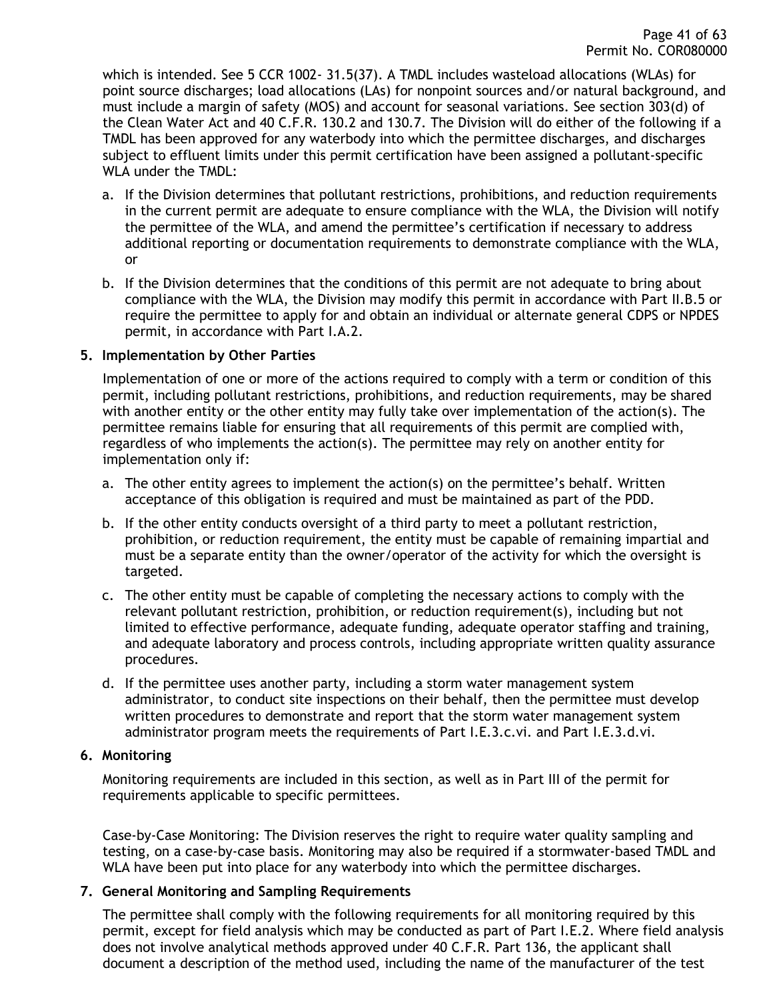which is intended. See 5 CCR 1002- 31.5(37). A TMDL includes wasteload allocations (WLAs) for point source discharges; load allocations (LAs) for nonpoint sources and/or natural background, and must include a margin of safety (MOS) and account for seasonal variations. See section 303(d) of the Clean Water Act and 40 C.F.R. 130.2 and 130.7. The Division will do either of the following if a TMDL has been approved for any waterbody into which the permittee discharges, and discharges subject to effluent limits under this permit certification have been assigned a pollutant-specific WLA under the TMDL:

- a. If the Division determines that pollutant restrictions, prohibitions, and reduction requirements in the current permit are adequate to ensure compliance with the WLA, the Division will notify the permittee of the WLA, and amend the permittee's certification if necessary to address additional reporting or documentation requirements to demonstrate compliance with the WLA, or
- b. If the Division determines that the conditions of this permit are not adequate to bring about compliance with the WLA, the Division may modify this permit in accordance with Part II.B.5 or require the permittee to apply for and obtain an individual or alternate general CDPS or NPDES permit, in accordance with Part I.A.2.

#### <span id="page-40-0"></span>**5. Implementation by Other Parties**

Implementation of one or more of the actions required to comply with a term or condition of this permit, including pollutant restrictions, prohibitions, and reduction requirements, may be shared with another entity or the other entity may fully take over implementation of the action(s). The permittee remains liable for ensuring that all requirements of this permit are complied with, regardless of who implements the action(s). The permittee may rely on another entity for implementation only if:

- a. The other entity agrees to implement the action(s) on the permittee's behalf. Written acceptance of this obligation is required and must be maintained as part of the PDD.
- b. If the other entity conducts oversight of a third party to meet a pollutant restriction, prohibition, or reduction requirement, the entity must be capable of remaining impartial and must be a separate entity than the owner/operator of the activity for which the oversight is targeted.
- c. The other entity must be capable of completing the necessary actions to comply with the relevant pollutant restriction, prohibition, or reduction requirement(s), including but not limited to effective performance, adequate funding, adequate operator staffing and training, and adequate laboratory and process controls, including appropriate written quality assurance procedures.
- d. If the permittee uses another party, including a storm water management system administrator, to conduct site inspections on their behalf, then the permittee must develop written procedures to demonstrate and report that the storm water management system administrator program meets the requirements of Part I.E.3.c.vi. and Part I.E.3.d.vi.

### <span id="page-40-1"></span>**6. Monitoring**

Monitoring requirements are included in this section, as well as in Part III of the permit for requirements applicable to specific permittees.

Case-by-Case Monitoring: The Division reserves the right to require water quality sampling and testing, on a case-by-case basis. Monitoring may also be required if a stormwater-based TMDL and WLA have been put into place for any waterbody into which the permittee discharges.

### <span id="page-40-2"></span>**7. General Monitoring and Sampling Requirements**

The permittee shall comply with the following requirements for all monitoring required by this permit, except for field analysis which may be conducted as part of Part I.E.2. Where field analysis does not involve analytical methods approved under 40 C.F.R. Part 136, the applicant shall document a description of the method used, including the name of the manufacturer of the test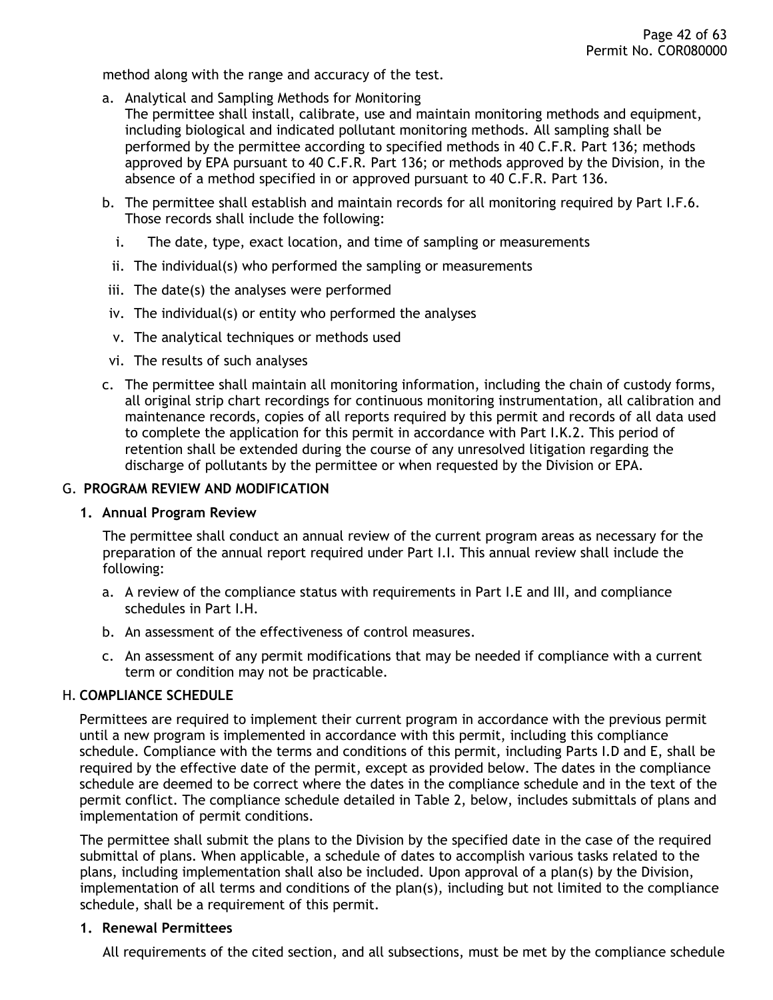method along with the range and accuracy of the test.

- a. Analytical and Sampling Methods for Monitoring
- The permittee shall install, calibrate, use and maintain monitoring methods and equipment, including biological and indicated pollutant monitoring methods. All sampling shall be performed by the permittee according to specified methods in 40 C.F.R. Part 136; methods approved by EPA pursuant to 40 C.F.R. Part 136; or methods approved by the Division, in the absence of a method specified in or approved pursuant to 40 C.F.R. Part 136.
- b. The permittee shall establish and maintain records for all monitoring required by Part I.F.6. Those records shall include the following:
	- i. The date, type, exact location, and time of sampling or measurements
	- ii. The individual(s) who performed the sampling or measurements
- iii. The date(s) the analyses were performed
- iv. The individual(s) or entity who performed the analyses
- v. The analytical techniques or methods used
- vi. The results of such analyses
- c. The permittee shall maintain all monitoring information, including the chain of custody forms, all original strip chart recordings for continuous monitoring instrumentation, all calibration and maintenance records, copies of all reports required by this permit and records of all data used to complete the application for this permit in accordance with Part I.K.2. This period of retention shall be extended during the course of any unresolved litigation regarding the discharge of pollutants by the permittee or when requested by the Division or EPA.

#### <span id="page-41-1"></span><span id="page-41-0"></span>G. **PROGRAM REVIEW AND MODIFICATION**

#### **1. Annual Program Review**

The permittee shall conduct an annual review of the current program areas as necessary for the preparation of the annual report required under Part I.I. This annual review shall include the following:

- a. A review of the compliance status with requirements in Part I.E and III, and compliance schedules in Part I.H.
- b. An assessment of the effectiveness of control measures.
- c. An assessment of any permit modifications that may be needed if compliance with a current term or condition may not be practicable.

### <span id="page-41-2"></span>H. **COMPLIANCE SCHEDULE**

Permittees are required to implement their current program in accordance with the previous permit until a new program is implemented in accordance with this permit, including this compliance schedule. Compliance with the terms and conditions of this permit, including Parts I.D and E, shall be required by the effective date of the permit, except as provided below. The dates in the compliance schedule are deemed to be correct where the dates in the compliance schedule and in the text of the permit conflict. The compliance schedule detailed in Table 2, below, includes submittals of plans and implementation of permit conditions.

The permittee shall submit the plans to the Division by the specified date in the case of the required submittal of plans. When applicable, a schedule of dates to accomplish various tasks related to the plans, including implementation shall also be included. Upon approval of a plan(s) by the Division, implementation of all terms and conditions of the plan(s), including but not limited to the compliance schedule, shall be a requirement of this permit.

#### <span id="page-41-3"></span>**1. Renewal Permittees**

All requirements of the cited section, and all subsections, must be met by the compliance schedule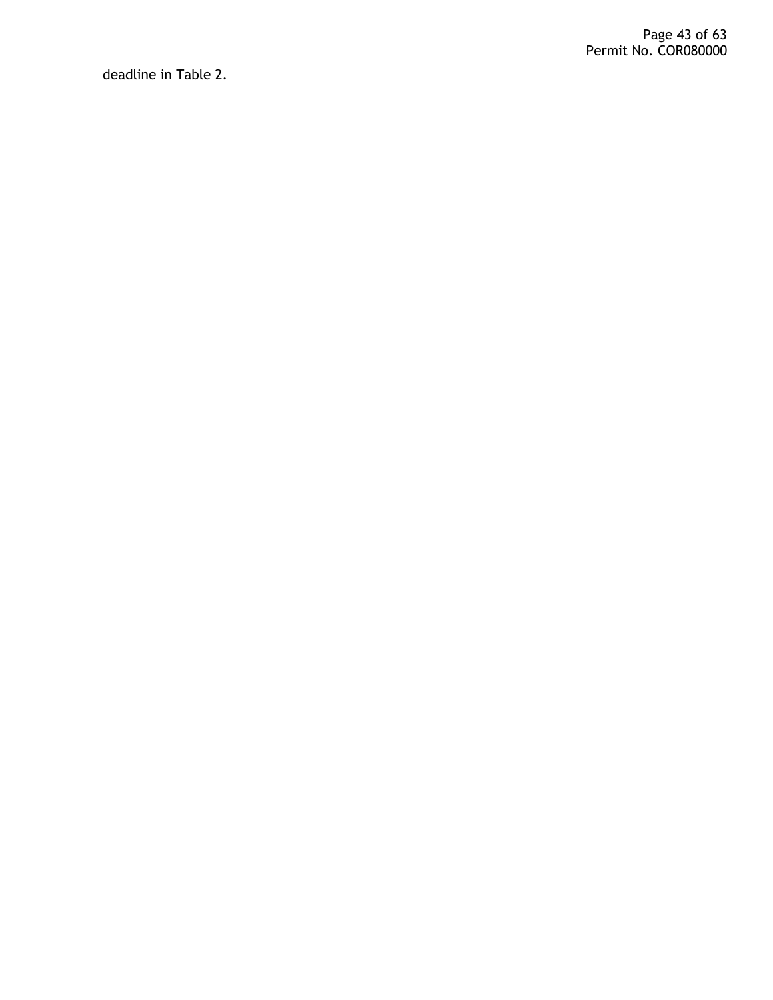deadline in Table 2.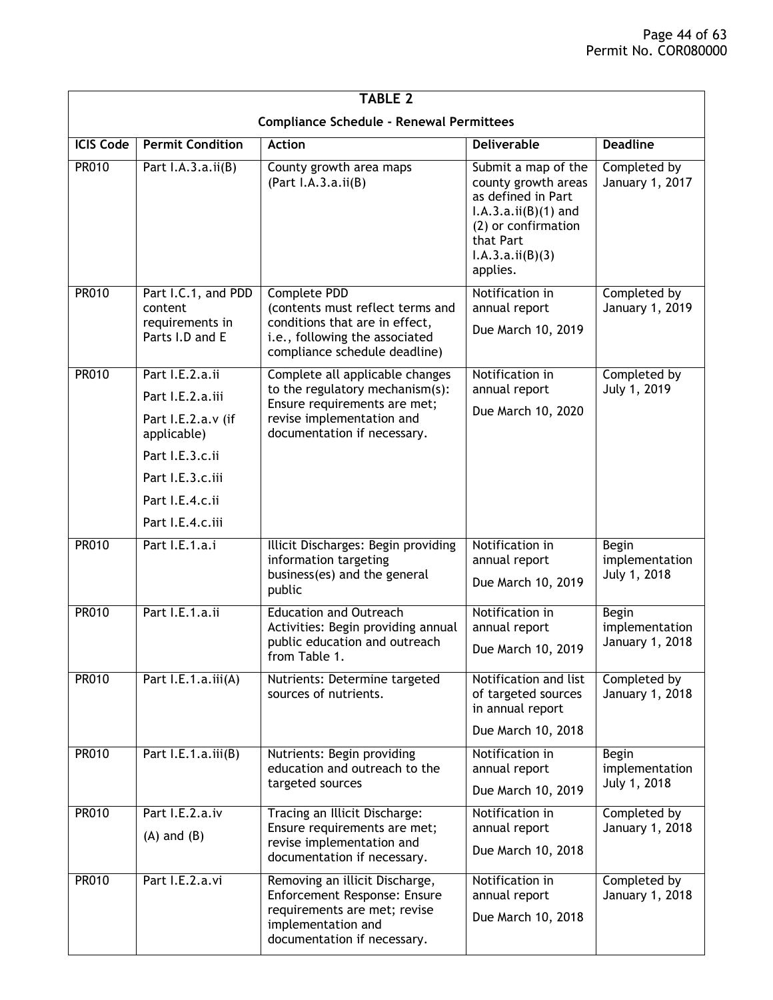| <b>TABLE 2</b>                                  |                                                                      |                                                                                                                                                       |                                                                                                                                                                |                                                   |  |
|-------------------------------------------------|----------------------------------------------------------------------|-------------------------------------------------------------------------------------------------------------------------------------------------------|----------------------------------------------------------------------------------------------------------------------------------------------------------------|---------------------------------------------------|--|
| <b>Compliance Schedule - Renewal Permittees</b> |                                                                      |                                                                                                                                                       |                                                                                                                                                                |                                                   |  |
| <b>ICIS Code</b>                                | <b>Permit Condition</b>                                              | <b>Action</b>                                                                                                                                         | <b>Deliverable</b>                                                                                                                                             | <b>Deadline</b>                                   |  |
| <b>PR010</b>                                    | Part $I.A.3.a.ii(B)$                                                 | County growth area maps<br>(Part I.A.3.a.ii(B))                                                                                                       | Submit a map of the<br>county growth areas<br>as defined in Part<br>$I.A.3.a.ii(B)(1)$ and<br>(2) or confirmation<br>that Part<br>I.A.3.a.ii(B)(3)<br>applies. | Completed by<br>January 1, 2017                   |  |
| <b>PR010</b>                                    | Part I.C.1, and PDD<br>content<br>requirements in<br>Parts I.D and E | Complete PDD<br>(contents must reflect terms and<br>conditions that are in effect,<br>i.e., following the associated<br>compliance schedule deadline) | Notification in<br>annual report<br>Due March 10, 2019                                                                                                         | Completed by<br>January 1, 2019                   |  |
| <b>PR010</b>                                    | Part I.E.2.a.ii                                                      | Complete all applicable changes                                                                                                                       | Notification in                                                                                                                                                | Completed by                                      |  |
|                                                 | Part I.E.2.a.iii                                                     | to the regulatory mechanism(s):<br>Ensure requirements are met;                                                                                       | annual report                                                                                                                                                  | July 1, 2019                                      |  |
|                                                 | Part I.E.2.a.v (if<br>applicable)                                    | revise implementation and<br>documentation if necessary.                                                                                              | Due March 10, 2020                                                                                                                                             |                                                   |  |
|                                                 | Part I.E.3.c.ii                                                      |                                                                                                                                                       |                                                                                                                                                                |                                                   |  |
|                                                 | Part I.E.3.c.iii                                                     |                                                                                                                                                       |                                                                                                                                                                |                                                   |  |
|                                                 | Part I.E.4.c.ii                                                      |                                                                                                                                                       |                                                                                                                                                                |                                                   |  |
|                                                 | Part I.E.4.c.iii                                                     |                                                                                                                                                       |                                                                                                                                                                |                                                   |  |
| <b>PR010</b>                                    | Part I.E.1.a.i                                                       | Illicit Discharges: Begin providing<br>information targeting<br>business(es) and the general<br>public                                                | Notification in<br>annual report<br>Due March 10, 2019                                                                                                         | Begin<br>implementation<br>July 1, 2018           |  |
| <b>PR010</b>                                    | Part I.E.1.a.ii                                                      | <b>Education and Outreach</b><br>Activities: Begin providing annual<br>public education and outreach<br>from Table 1.                                 | Notification in<br>annual report<br>Due March 10, 2019                                                                                                         | <b>Begin</b><br>implementation<br>January 1, 2018 |  |
| <b>PR010</b>                                    | Part I.E.1.a.iii(A)                                                  | Nutrients: Determine targeted<br>sources of nutrients.                                                                                                | Notification and list<br>of targeted sources<br>in annual report                                                                                               | Completed by<br>January 1, 2018                   |  |
|                                                 |                                                                      |                                                                                                                                                       | Due March 10, 2018                                                                                                                                             |                                                   |  |
| <b>PR010</b>                                    | Part I.E.1.a.iii(B)                                                  | Nutrients: Begin providing<br>education and outreach to the<br>targeted sources                                                                       | Notification in<br>annual report<br>Due March 10, 2019                                                                                                         | Begin<br>implementation<br>July 1, 2018           |  |
| <b>PR010</b>                                    | Part I.E.2.a.iv                                                      | Tracing an Illicit Discharge:                                                                                                                         | Notification in                                                                                                                                                | Completed by                                      |  |
|                                                 | $(A)$ and $(B)$                                                      | Ensure requirements are met;<br>revise implementation and<br>documentation if necessary.                                                              | annual report<br>Due March 10, 2018                                                                                                                            | January 1, 2018                                   |  |
| PR010                                           | Part I.E.2.a.vi                                                      | Removing an illicit Discharge,<br>Enforcement Response: Ensure<br>requirements are met; revise<br>implementation and<br>documentation if necessary.   | Notification in<br>annual report<br>Due March 10, 2018                                                                                                         | Completed by<br>January 1, 2018                   |  |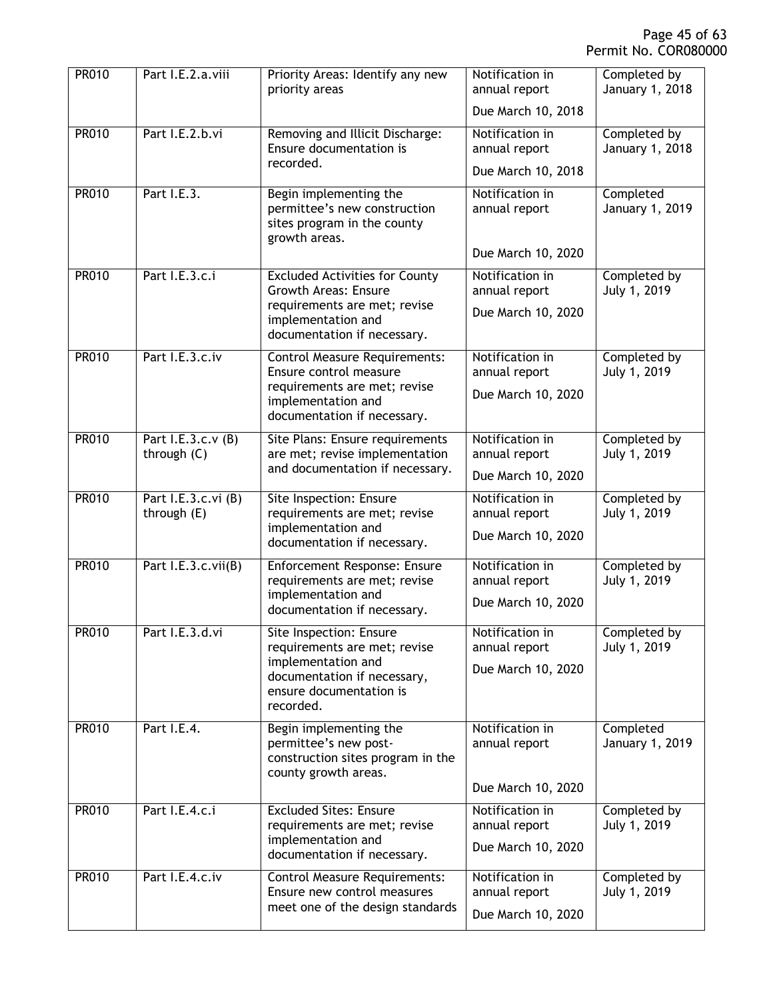| <b>PR010</b> | Part I.E.2.a.viii                  | Priority Areas: Identify any new<br>priority areas                                                           | Notification in<br>annual report                       | Completed by<br>January 1, 2018 |
|--------------|------------------------------------|--------------------------------------------------------------------------------------------------------------|--------------------------------------------------------|---------------------------------|
|              |                                    |                                                                                                              | Due March 10, 2018                                     |                                 |
| <b>PR010</b> | Part I.E.2.b.vi                    | Removing and Illicit Discharge:<br>Ensure documentation is<br>recorded.                                      | Notification in<br>annual report                       | Completed by<br>January 1, 2018 |
| <b>PR010</b> | Part I.E.3.                        | Begin implementing the                                                                                       | Due March 10, 2018<br>Notification in                  | Completed                       |
|              |                                    | permittee's new construction<br>sites program in the county<br>growth areas.                                 | annual report                                          | January 1, 2019                 |
|              |                                    |                                                                                                              | Due March 10, 2020                                     |                                 |
| <b>PR010</b> | Part I.E.3.c.i                     | <b>Excluded Activities for County</b><br><b>Growth Areas: Ensure</b>                                         | Notification in<br>annual report                       | Completed by<br>July 1, 2019    |
|              |                                    | requirements are met; revise<br>implementation and<br>documentation if necessary.                            | Due March 10, 2020                                     |                                 |
| <b>PR010</b> | Part I.E.3.c.iv                    | <b>Control Measure Requirements:</b><br>Ensure control measure                                               | Notification in<br>annual report                       | Completed by<br>July 1, 2019    |
|              |                                    | requirements are met; revise<br>implementation and                                                           | Due March 10, 2020                                     |                                 |
|              |                                    | documentation if necessary.                                                                                  |                                                        |                                 |
| <b>PR010</b> | Part I.E.3.c.v (B)<br>through (C)  | Site Plans: Ensure requirements<br>are met; revise implementation                                            | Notification in<br>annual report                       | Completed by<br>July 1, 2019    |
|              |                                    | and documentation if necessary.                                                                              | Due March 10, 2020                                     |                                 |
| <b>PR010</b> | Part I.E.3.c.vi (B)<br>through (E) | Site Inspection: Ensure<br>requirements are met; revise                                                      | Notification in<br>annual report                       | Completed by<br>July 1, 2019    |
|              |                                    | implementation and<br>documentation if necessary.                                                            | Due March 10, 2020                                     |                                 |
| <b>PR010</b> | Part I.E.3.c.vii(B)                | Enforcement Response: Ensure<br>requirements are met; revise                                                 | Notification in<br>annual report                       | Completed by<br>July 1, 2019    |
|              |                                    | implementation and<br>documentation if necessary.                                                            | Due March 10, 2020                                     |                                 |
| <b>PR010</b> | Part I.E.3.d.vi                    | Site Inspection: Ensure<br>requirements are met; revise                                                      | Notification in<br>annual report                       | Completed by<br>July 1, 2019    |
|              |                                    | implementation and<br>documentation if necessary,<br>ensure documentation is<br>recorded.                    | Due March 10, 2020                                     |                                 |
| <b>PR010</b> | Part I.E.4.                        | Begin implementing the<br>permittee's new post-<br>construction sites program in the<br>county growth areas. | Notification in<br>annual report<br>Due March 10, 2020 | Completed<br>January 1, 2019    |
| PR010        | Part I.E.4.c.i                     | <b>Excluded Sites: Ensure</b>                                                                                | Notification in                                        | Completed by                    |
|              |                                    | requirements are met; revise<br>implementation and<br>documentation if necessary.                            | annual report<br>Due March 10, 2020                    | July 1, 2019                    |
| PR010        | Part I.E.4.c.iv                    | <b>Control Measure Requirements:</b>                                                                         | Notification in                                        | Completed by                    |
|              |                                    | Ensure new control measures<br>meet one of the design standards                                              | annual report<br>Due March 10, 2020                    | July 1, 2019                    |
|              |                                    |                                                                                                              |                                                        |                                 |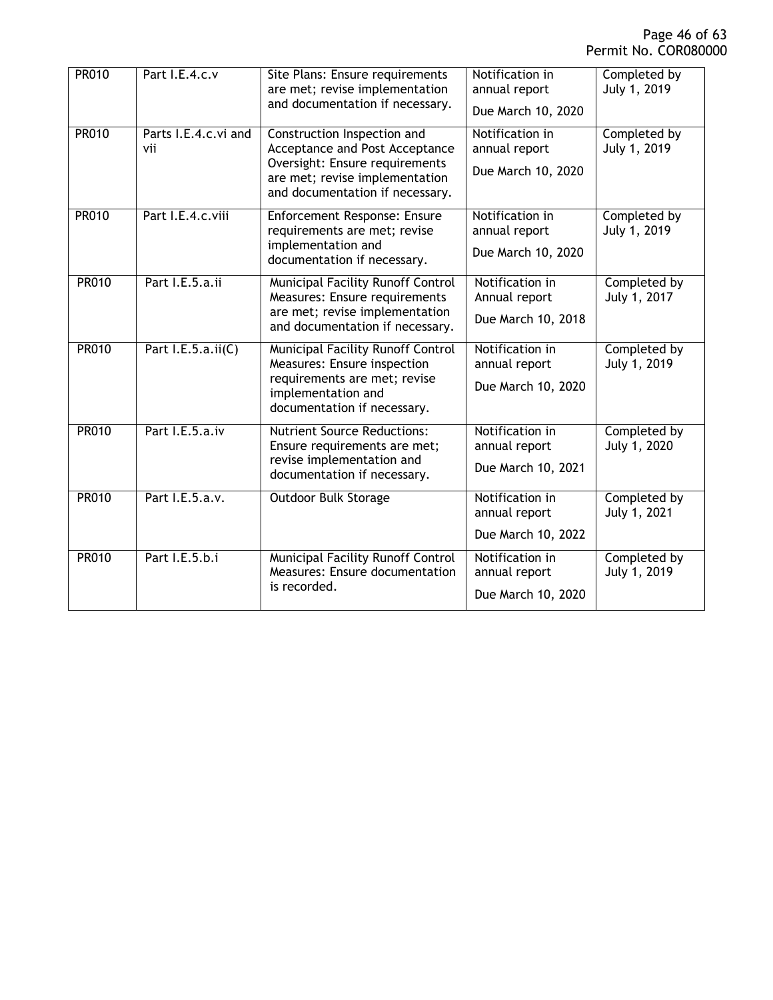| <b>PR010</b> | Part I.E.4.c.v              | Site Plans: Ensure requirements<br>are met; revise implementation<br>and documentation if necessary.                                                                 | Notification in<br>annual report<br>Due March 10, 2020 | Completed by<br>July 1, 2019 |
|--------------|-----------------------------|----------------------------------------------------------------------------------------------------------------------------------------------------------------------|--------------------------------------------------------|------------------------------|
| <b>PR010</b> | Parts I.E.4.c.vi and<br>vii | Construction Inspection and<br>Acceptance and Post Acceptance<br>Oversight: Ensure requirements<br>are met; revise implementation<br>and documentation if necessary. | Notification in<br>annual report<br>Due March 10, 2020 | Completed by<br>July 1, 2019 |
| <b>PR010</b> | Part I.E.4.c.viii           | Enforcement Response: Ensure<br>requirements are met; revise<br>implementation and<br>documentation if necessary.                                                    | Notification in<br>annual report<br>Due March 10, 2020 | Completed by<br>July 1, 2019 |
| <b>PR010</b> | Part I.E.5.a.ii             | Municipal Facility Runoff Control<br>Measures: Ensure requirements<br>are met; revise implementation<br>and documentation if necessary.                              | Notification in<br>Annual report<br>Due March 10, 2018 | Completed by<br>July 1, 2017 |
| <b>PR010</b> | Part I.E.5.a.ii(C)          | Municipal Facility Runoff Control<br>Measures: Ensure inspection<br>requirements are met; revise<br>implementation and<br>documentation if necessary.                | Notification in<br>annual report<br>Due March 10, 2020 | Completed by<br>July 1, 2019 |
| <b>PR010</b> | Part I.E.5.a.iv             | <b>Nutrient Source Reductions:</b><br>Ensure requirements are met;<br>revise implementation and<br>documentation if necessary.                                       | Notification in<br>annual report<br>Due March 10, 2021 | Completed by<br>July 1, 2020 |
| <b>PR010</b> | Part I.E.5.a.v.             | <b>Outdoor Bulk Storage</b>                                                                                                                                          | Notification in<br>annual report<br>Due March 10, 2022 | Completed by<br>July 1, 2021 |
| <b>PR010</b> | Part I.E.5.b.i              | <b>Municipal Facility Runoff Control</b><br>Measures: Ensure documentation<br>is recorded.                                                                           | Notification in<br>annual report<br>Due March 10, 2020 | Completed by<br>July 1, 2019 |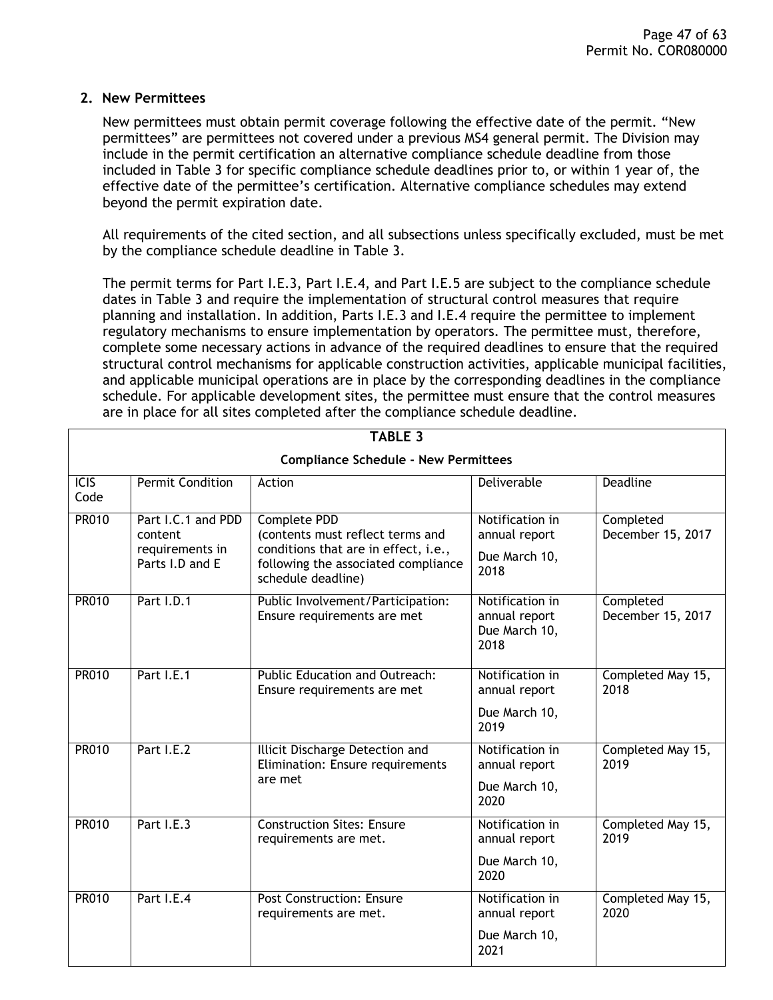#### <span id="page-46-0"></span>**2. New Permittees**

New permittees must obtain permit coverage following the effective date of the permit. "New permittees" are permittees not covered under a previous MS4 general permit. The Division may include in the permit certification an alternative compliance schedule deadline from those included in Table 3 for specific compliance schedule deadlines prior to, or within 1 year of, the effective date of the permittee's certification. Alternative compliance schedules may extend beyond the permit expiration date.

All requirements of the cited section, and all subsections unless specifically excluded, must be met by the compliance schedule deadline in Table 3.

The permit terms for Part I.E.3, Part I.E.4, and Part I.E.5 are subject to the compliance schedule dates in Table 3 and require the implementation of structural control measures that require planning and installation. In addition, Parts I.E.3 and I.E.4 require the permittee to implement regulatory mechanisms to ensure implementation by operators. The permittee must, therefore, complete some necessary actions in advance of the required deadlines to ensure that the required structural control mechanisms for applicable construction activities, applicable municipal facilities, and applicable municipal operations are in place by the corresponding deadlines in the compliance schedule. For applicable development sites, the permittee must ensure that the control measures are in place for all sites completed after the compliance schedule deadline.

| <b>TABLE 3</b>                              |                                                                     |                                                                                                                                                       |                                                           |                                |  |
|---------------------------------------------|---------------------------------------------------------------------|-------------------------------------------------------------------------------------------------------------------------------------------------------|-----------------------------------------------------------|--------------------------------|--|
| <b>Compliance Schedule - New Permittees</b> |                                                                     |                                                                                                                                                       |                                                           |                                |  |
| $\overline{ICIS}$<br>Code                   | <b>Permit Condition</b>                                             | Action                                                                                                                                                | <b>Deliverable</b>                                        | <b>Deadline</b>                |  |
| <b>PR010</b>                                | Part I.C.1 and PDD<br>content<br>requirements in<br>Parts I.D and E | Complete PDD<br>(contents must reflect terms and<br>conditions that are in effect, i.e.,<br>following the associated compliance<br>schedule deadline) | Notification in<br>annual report<br>Due March 10,<br>2018 | Completed<br>December 15, 2017 |  |
| <b>PR010</b>                                | Part I.D.1                                                          | Public Involvement/Participation:<br>Ensure requirements are met                                                                                      | Notification in<br>annual report<br>Due March 10,<br>2018 | Completed<br>December 15, 2017 |  |
| <b>PR010</b>                                | Part I.E.1                                                          | Public Education and Outreach:<br>Ensure requirements are met                                                                                         | Notification in<br>annual report<br>Due March 10,<br>2019 | Completed May 15,<br>2018      |  |
| <b>PR010</b>                                | Part I.E.2                                                          | Illicit Discharge Detection and<br>Elimination: Ensure requirements<br>are met                                                                        | Notification in<br>annual report<br>Due March 10,<br>2020 | Completed May 15,<br>2019      |  |
| <b>PR010</b>                                | Part I.E.3                                                          | <b>Construction Sites: Ensure</b><br>requirements are met.                                                                                            | Notification in<br>annual report<br>Due March 10,<br>2020 | Completed May 15,<br>2019      |  |
| <b>PR010</b>                                | Part I.E.4                                                          | <b>Post Construction: Ensure</b><br>requirements are met.                                                                                             | Notification in<br>annual report<br>Due March 10,<br>2021 | Completed May 15,<br>2020      |  |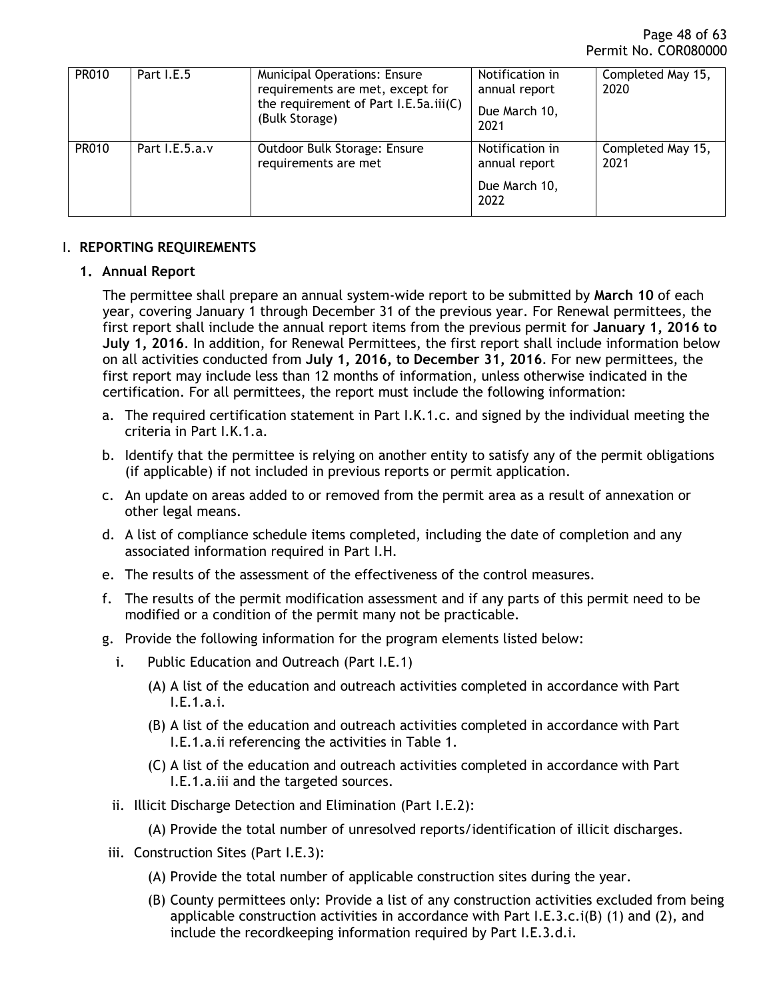| <b>PR010</b> | Part I.E.5     | <b>Municipal Operations: Ensure</b><br>requirements are met, except for<br>the requirement of Part I.E.5a.iii(C)<br>(Bulk Storage) | Notification in<br>annual report<br>Due March 10,<br>2021 | Completed May 15,<br>2020 |
|--------------|----------------|------------------------------------------------------------------------------------------------------------------------------------|-----------------------------------------------------------|---------------------------|
| <b>PR010</b> | Part I.E.5.a.v | Outdoor Bulk Storage: Ensure<br>requirements are met                                                                               | Notification in<br>annual report<br>Due March 10,<br>2022 | Completed May 15,<br>2021 |

### <span id="page-47-1"></span><span id="page-47-0"></span>I. **REPORTING REQUIREMENTS**

### **1. Annual Report**

The permittee shall prepare an annual system-wide report to be submitted by **March 10** of each year, covering January 1 through December 31 of the previous year. For Renewal permittees, the first report shall include the annual report items from the previous permit for **January 1, 2016 to July 1, 2016**. In addition, for Renewal Permittees, the first report shall include information below on all activities conducted from **July 1, 2016, to December 31, 2016**. For new permittees, the first report may include less than 12 months of information, unless otherwise indicated in the certification. For all permittees, the report must include the following information:

- a. The required certification statement in Part I.K.1.c. and signed by the individual meeting the criteria in Part I.K.1.a.
- b. Identify that the permittee is relying on another entity to satisfy any of the permit obligations (if applicable) if not included in previous reports or permit application.
- c. An update on areas added to or removed from the permit area as a result of annexation or other legal means.
- d. A list of compliance schedule items completed, including the date of completion and any associated information required in Part I.H.
- e. The results of the assessment of the effectiveness of the control measures.
- f. The results of the permit modification assessment and if any parts of this permit need to be modified or a condition of the permit many not be practicable.
- g. Provide the following information for the program elements listed below:
	- i. Public Education and Outreach (Part I.E.1)
		- (A) A list of the education and outreach activities completed in accordance with Part I.E.1.a.i.
		- (B) A list of the education and outreach activities completed in accordance with Part I.E.1.a.ii referencing the activities in Table 1.
		- (C) A list of the education and outreach activities completed in accordance with Part I.E.1.a.iii and the targeted sources.
	- ii. Illicit Discharge Detection and Elimination (Part I.E.2):
		- (A) Provide the total number of unresolved reports/identification of illicit discharges.
- iii. Construction Sites (Part I.E.3):
	- (A) Provide the total number of applicable construction sites during the year.
	- (B) County permittees only: Provide a list of any construction activities excluded from being applicable construction activities in accordance with Part I.E.3.c.i(B) (1) and (2), and include the recordkeeping information required by Part I.E.3.d.i.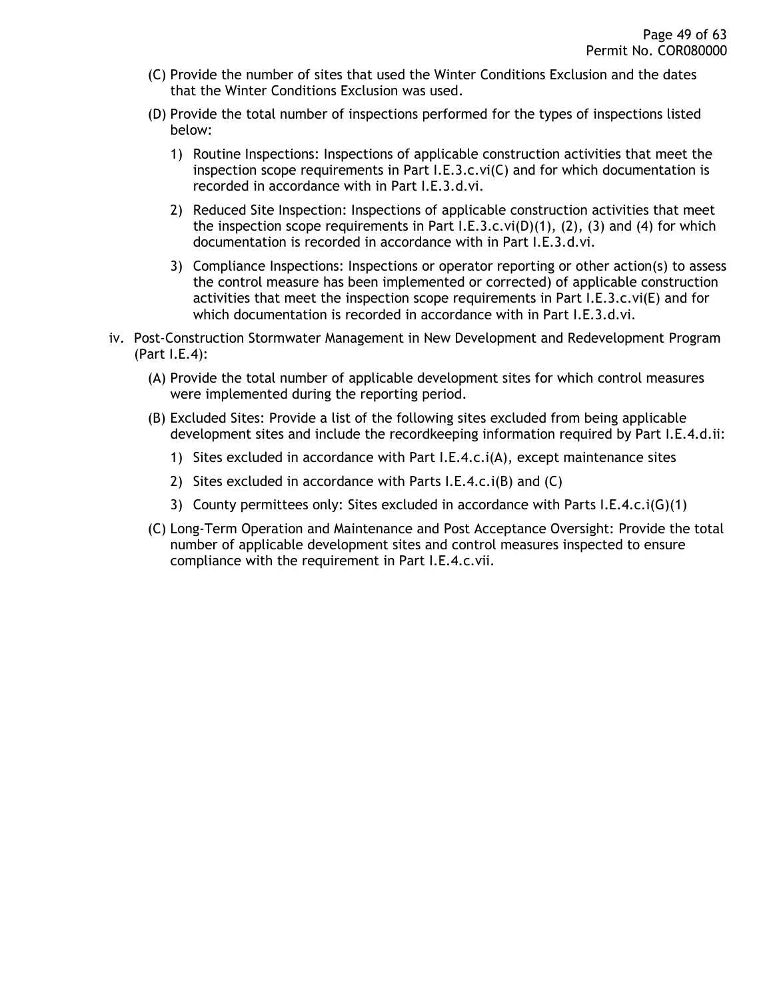- (C) Provide the number of sites that used the Winter Conditions Exclusion and the dates that the Winter Conditions Exclusion was used.
- (D) Provide the total number of inspections performed for the types of inspections listed below:
	- 1) Routine Inspections: Inspections of applicable construction activities that meet the inspection scope requirements in Part  $I.E.3.c.vi(C)$  and for which documentation is recorded in accordance with in Part I.E.3.d.vi.
	- 2) Reduced Site Inspection: Inspections of applicable construction activities that meet the inspection scope requirements in Part I.E.3.c.vi(D)(1), (2), (3) and (4) for which documentation is recorded in accordance with in Part I.E.3.d.vi.
	- 3) Compliance Inspections: Inspections or operator reporting or other action(s) to assess the control measure has been implemented or corrected) of applicable construction activities that meet the inspection scope requirements in Part I.E.3.c.vi(E) and for which documentation is recorded in accordance with in Part I.E.3.d.vi.
- iv. Post-Construction Stormwater Management in New Development and Redevelopment Program (Part I.E.4):
	- (A) Provide the total number of applicable development sites for which control measures were implemented during the reporting period.
	- (B) Excluded Sites: Provide a list of the following sites excluded from being applicable development sites and include the recordkeeping information required by Part I.E.4.d.ii:
		- 1) Sites excluded in accordance with Part I.E.4.c.i(A), except maintenance sites
		- 2) Sites excluded in accordance with Parts I.E.4.c.i(B) and (C)
		- 3) County permittees only: Sites excluded in accordance with Parts I.E.4.c.i(G)(1)
	- (C) Long-Term Operation and Maintenance and Post Acceptance Oversight: Provide the total number of applicable development sites and control measures inspected to ensure compliance with the requirement in Part I.E.4.c.vii.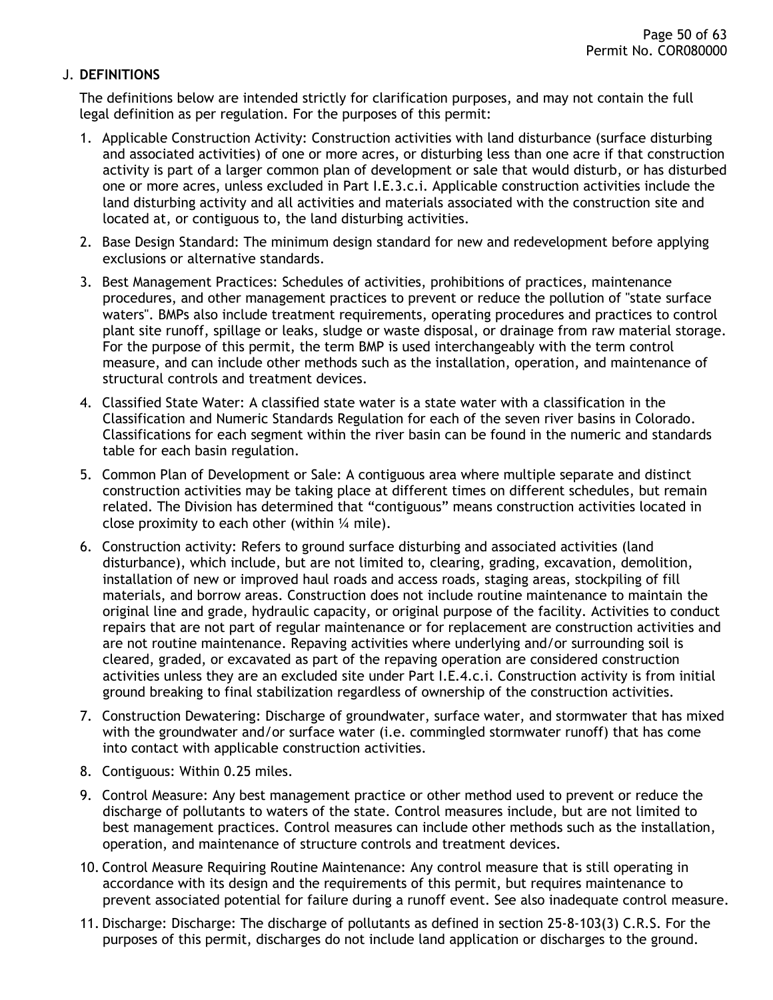### <span id="page-49-0"></span>J. **DEFINITIONS**

The definitions below are intended strictly for clarification purposes, and may not contain the full legal definition as per regulation. For the purposes of this permit:

- 1. Applicable Construction Activity: Construction activities with land disturbance (surface disturbing and associated activities) of one or more acres, or disturbing less than one acre if that construction activity is part of a larger common plan of development or sale that would disturb, or has disturbed one or more acres, unless excluded in Part I.E.3.c.i. Applicable construction activities include the land disturbing activity and all activities and materials associated with the construction site and located at, or contiguous to, the land disturbing activities.
- 2. Base Design Standard: The minimum design standard for new and redevelopment before applying exclusions or alternative standards.
- 3. Best Management Practices: Schedules of activities, prohibitions of practices, maintenance procedures, and other management practices to prevent or reduce the pollution of "state surface waters". BMPs also include treatment requirements, operating procedures and practices to control plant site runoff, spillage or leaks, sludge or waste disposal, or drainage from raw material storage. For the purpose of this permit, the term BMP is used interchangeably with the term control measure, and can include other methods such as the installation, operation, and maintenance of structural controls and treatment devices.
- 4. Classified State Water: A classified state water is a state water with a classification in the Classification and Numeric Standards Regulation for each of the seven river basins in Colorado. Classifications for each segment within the river basin can be found in the numeric and standards table for each basin regulation.
- 5. Common Plan of Development or Sale: A contiguous area where multiple separate and distinct construction activities may be taking place at different times on different schedules, but remain related. The Division has determined that "contiguous" means construction activities located in close proximity to each other (within  $\frac{1}{4}$  mile).
- 6. Construction activity: Refers to ground surface disturbing and associated activities (land disturbance), which include, but are not limited to, clearing, grading, excavation, demolition, installation of new or improved haul roads and access roads, staging areas, stockpiling of fill materials, and borrow areas. Construction does not include routine maintenance to maintain the original line and grade, hydraulic capacity, or original purpose of the facility. Activities to conduct repairs that are not part of regular maintenance or for replacement are construction activities and are not routine maintenance. Repaving activities where underlying and/or surrounding soil is cleared, graded, or excavated as part of the repaving operation are considered construction activities unless they are an excluded site under Part I.E.4.c.i. Construction activity is from initial ground breaking to final stabilization regardless of ownership of the construction activities.
- 7. Construction Dewatering: Discharge of groundwater, surface water, and stormwater that has mixed with the groundwater and/or surface water (i.e. commingled stormwater runoff) that has come into contact with applicable construction activities.
- 8. Contiguous: Within 0.25 miles.
- 9. Control Measure: Any best management practice or other method used to prevent or reduce the discharge of pollutants to waters of the state. Control measures include, but are not limited to best management practices. Control measures can include other methods such as the installation, operation, and maintenance of structure controls and treatment devices.
- 10. Control Measure Requiring Routine Maintenance: Any control measure that is still operating in accordance with its design and the requirements of this permit, but requires maintenance to prevent associated potential for failure during a runoff event. See also inadequate control measure.
- 11. Discharge: Discharge: The discharge of pollutants as defined in section 25-8-103(3) C.R.S. For the purposes of this permit, discharges do not include land application or discharges to the ground.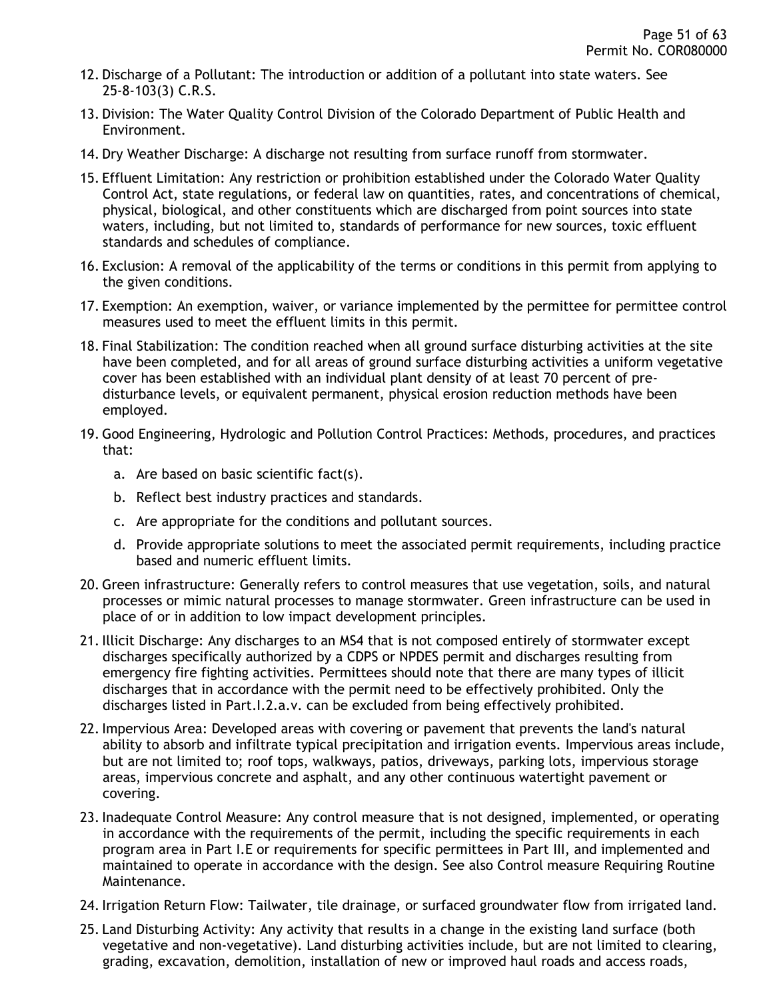- 12. Discharge of a Pollutant: The introduction or addition of a pollutant into state waters. See 25-8-103(3) C.R.S.
- 13. Division: The Water Quality Control Division of the Colorado Department of Public Health and Environment.
- 14. Dry Weather Discharge: A discharge not resulting from surface runoff from stormwater.
- 15. Effluent Limitation: Any restriction or prohibition established under the Colorado Water Quality Control Act, state regulations, or federal law on quantities, rates, and concentrations of chemical, physical, biological, and other constituents which are discharged from point sources into state waters, including, but not limited to, standards of performance for new sources, toxic effluent standards and schedules of compliance.
- 16. Exclusion: A removal of the applicability of the terms or conditions in this permit from applying to the given conditions.
- 17. Exemption: An exemption, waiver, or variance implemented by the permittee for permittee control measures used to meet the effluent limits in this permit.
- 18. Final Stabilization: The condition reached when all ground surface disturbing activities at the site have been completed, and for all areas of ground surface disturbing activities a uniform vegetative cover has been established with an individual plant density of at least 70 percent of predisturbance levels, or equivalent permanent, physical erosion reduction methods have been employed.
- 19. Good Engineering, Hydrologic and Pollution Control Practices: Methods, procedures, and practices that:
	- a. Are based on basic scientific fact(s).
	- b. Reflect best industry practices and standards.
	- c. Are appropriate for the conditions and pollutant sources.
	- d. Provide appropriate solutions to meet the associated permit requirements, including practice based and numeric effluent limits.
- 20. Green infrastructure: Generally refers to control measures that use vegetation, soils, and natural processes or mimic natural processes to manage stormwater. Green infrastructure can be used in place of or in addition to low impact development principles.
- 21. Illicit Discharge: Any discharges to an MS4 that is not composed entirely of stormwater except discharges specifically authorized by a CDPS or NPDES permit and discharges resulting from emergency fire fighting activities. Permittees should note that there are many types of illicit discharges that in accordance with the permit need to be effectively prohibited. Only the discharges listed in Part.I.2.a.v. can be excluded from being effectively prohibited.
- 22. Impervious Area: Developed areas with covering or pavement that prevents the land's natural ability to absorb and infiltrate typical precipitation and irrigation events. Impervious areas include, but are not limited to; roof tops, walkways, patios, driveways, parking lots, impervious storage areas, impervious concrete and asphalt, and any other continuous watertight pavement or covering.
- 23. Inadequate Control Measure: Any control measure that is not designed, implemented, or operating in accordance with the requirements of the permit, including the specific requirements in each program area in Part I.E or requirements for specific permittees in Part III, and implemented and maintained to operate in accordance with the design. See also Control measure Requiring Routine Maintenance.
- 24. Irrigation Return Flow: Tailwater, tile drainage, or surfaced groundwater flow from irrigated land.
- 25. Land Disturbing Activity: Any activity that results in a change in the existing land surface (both vegetative and non-vegetative). Land disturbing activities include, but are not limited to clearing, grading, excavation, demolition, installation of new or improved haul roads and access roads,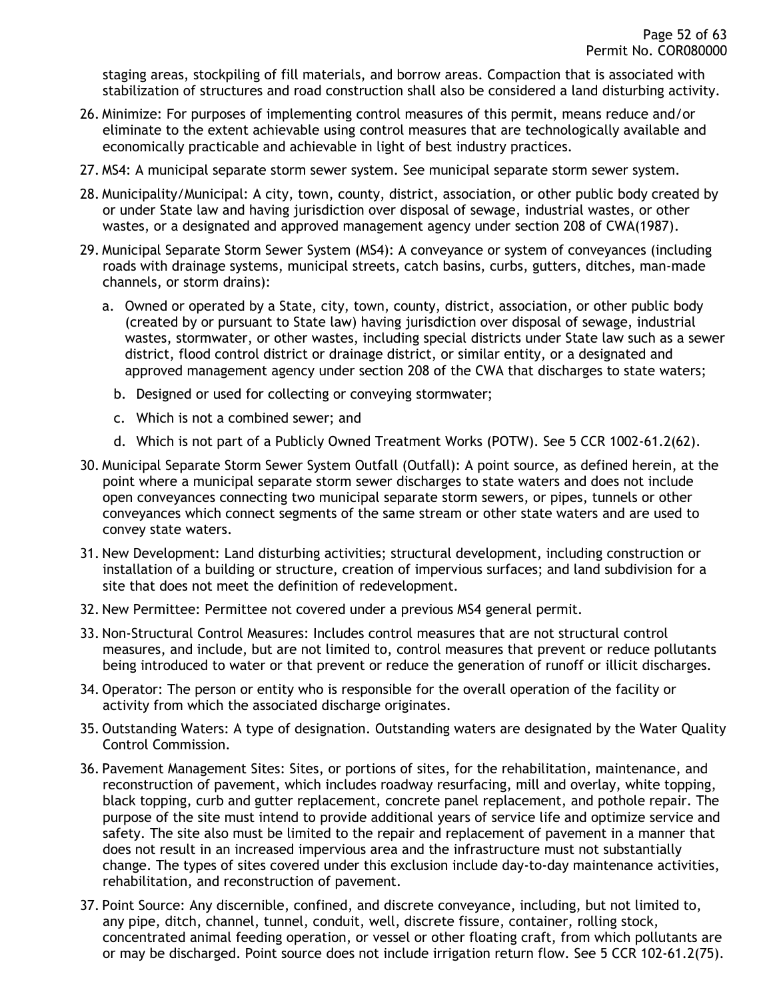staging areas, stockpiling of fill materials, and borrow areas. Compaction that is associated with stabilization of structures and road construction shall also be considered a land disturbing activity.

- 26. Minimize: For purposes of implementing control measures of this permit, means reduce and/or eliminate to the extent achievable using control measures that are technologically available and economically practicable and achievable in light of best industry practices.
- 27. MS4: A municipal separate storm sewer system. See municipal separate storm sewer system.
- 28. Municipality/Municipal: A city, town, county, district, association, or other public body created by or under State law and having jurisdiction over disposal of sewage, industrial wastes, or other wastes, or a designated and approved management agency under section 208 of CWA(1987).
- 29. Municipal Separate Storm Sewer System (MS4): A conveyance or system of conveyances (including roads with drainage systems, municipal streets, catch basins, curbs, gutters, ditches, man-made channels, or storm drains):
	- a. Owned or operated by a State, city, town, county, district, association, or other public body (created by or pursuant to State law) having jurisdiction over disposal of sewage, industrial wastes, stormwater, or other wastes, including special districts under State law such as a sewer district, flood control district or drainage district, or similar entity, or a designated and approved management agency under section 208 of the CWA that discharges to state waters;
		- b. Designed or used for collecting or conveying stormwater;
		- c. Which is not a combined sewer; and
		- d. Which is not part of a Publicly Owned Treatment Works (POTW). See 5 CCR 1002-61.2(62).
- 30. Municipal Separate Storm Sewer System Outfall (Outfall): A point source, as defined herein, at the point where a municipal separate storm sewer discharges to state waters and does not include open conveyances connecting two municipal separate storm sewers, or pipes, tunnels or other conveyances which connect segments of the same stream or other state waters and are used to convey state waters.
- 31. New Development: Land disturbing activities; structural development, including construction or installation of a building or structure, creation of impervious surfaces; and land subdivision for a site that does not meet the definition of redevelopment.
- 32. New Permittee: Permittee not covered under a previous MS4 general permit.
- 33. Non-Structural Control Measures: Includes control measures that are not structural control measures, and include, but are not limited to, control measures that prevent or reduce pollutants being introduced to water or that prevent or reduce the generation of runoff or illicit discharges.
- 34. Operator: The person or entity who is responsible for the overall operation of the facility or activity from which the associated discharge originates.
- 35. Outstanding Waters: A type of designation. Outstanding waters are designated by the Water Quality Control Commission.
- 36. Pavement Management Sites: Sites, or portions of sites, for the rehabilitation, maintenance, and reconstruction of pavement, which includes roadway resurfacing, mill and overlay, white topping, black topping, curb and gutter replacement, concrete panel replacement, and pothole repair. The purpose of the site must intend to provide additional years of service life and optimize service and safety. The site also must be limited to the repair and replacement of pavement in a manner that does not result in an increased impervious area and the infrastructure must not substantially change. The types of sites covered under this exclusion include day-to-day maintenance activities, rehabilitation, and reconstruction of pavement.
- 37. Point Source: Any discernible, confined, and discrete conveyance, including, but not limited to, any pipe, ditch, channel, tunnel, conduit, well, discrete fissure, container, rolling stock, concentrated animal feeding operation, or vessel or other floating craft, from which pollutants are or may be discharged. Point source does not include irrigation return flow. See 5 CCR 102-61.2(75).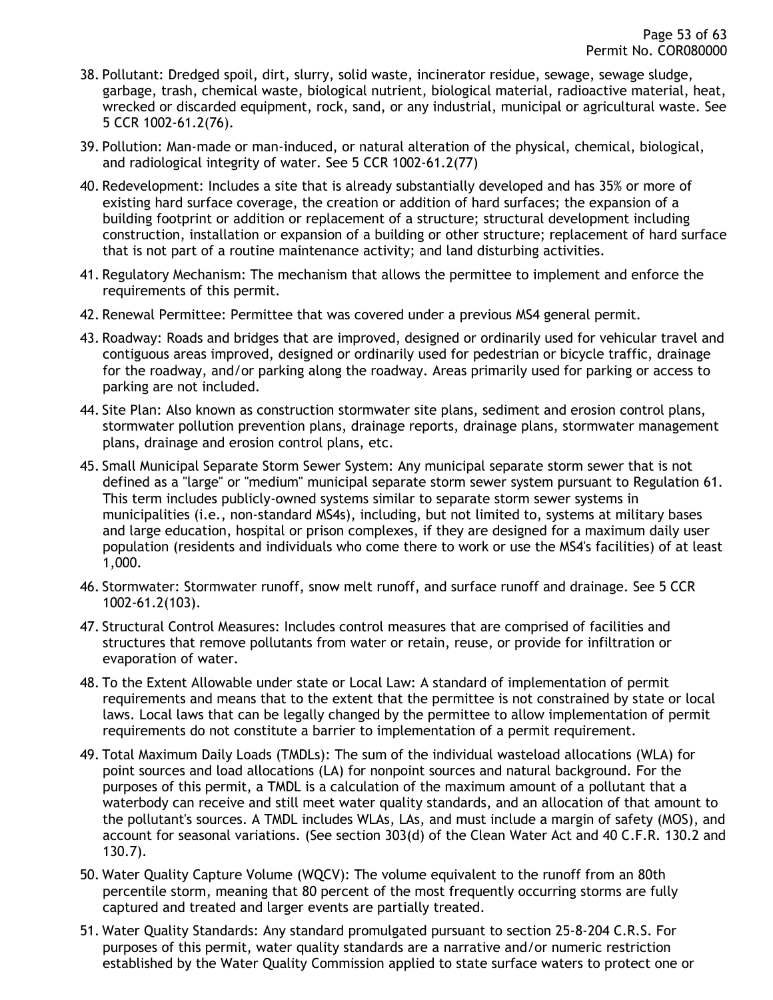- 38. Pollutant: Dredged spoil, dirt, slurry, solid waste, incinerator residue, sewage, sewage sludge, garbage, trash, chemical waste, biological nutrient, biological material, radioactive material, heat, wrecked or discarded equipment, rock, sand, or any industrial, municipal or agricultural waste. See 5 CCR 1002-61.2(76).
- 39. Pollution: Man-made or man-induced, or natural alteration of the physical, chemical, biological, and radiological integrity of water. See 5 CCR 1002-61.2(77)
- 40. Redevelopment: Includes a site that is already substantially developed and has 35% or more of existing hard surface coverage, the creation or addition of hard surfaces; the expansion of a building footprint or addition or replacement of a structure; structural development including construction, installation or expansion of a building or other structure; replacement of hard surface that is not part of a routine maintenance activity; and land disturbing activities.
- 41. Regulatory Mechanism: The mechanism that allows the permittee to implement and enforce the requirements of this permit.
- 42. Renewal Permittee: Permittee that was covered under a previous MS4 general permit.
- 43. Roadway: Roads and bridges that are improved, designed or ordinarily used for vehicular travel and contiguous areas improved, designed or ordinarily used for pedestrian or bicycle traffic, drainage for the roadway, and/or parking along the roadway. Areas primarily used for parking or access to parking are not included.
- 44. Site Plan: Also known as construction stormwater site plans, sediment and erosion control plans, stormwater pollution prevention plans, drainage reports, drainage plans, stormwater management plans, drainage and erosion control plans, etc.
- 45. Small Municipal Separate Storm Sewer System: Any municipal separate storm sewer that is not defined as a "large" or "medium" municipal separate storm sewer system pursuant to Regulation 61. This term includes publicly-owned systems similar to separate storm sewer systems in municipalities (i.e., non-standard MS4s), including, but not limited to, systems at military bases and large education, hospital or prison complexes, if they are designed for a maximum daily user population (residents and individuals who come there to work or use the MS4's facilities) of at least 1,000.
- 46. Stormwater: Stormwater runoff, snow melt runoff, and surface runoff and drainage. See 5 CCR 1002-61.2(103).
- 47. Structural Control Measures: Includes control measures that are comprised of facilities and structures that remove pollutants from water or retain, reuse, or provide for infiltration or evaporation of water.
- 48. To the Extent Allowable under state or Local Law: A standard of implementation of permit requirements and means that to the extent that the permittee is not constrained by state or local laws. Local laws that can be legally changed by the permittee to allow implementation of permit requirements do not constitute a barrier to implementation of a permit requirement.
- 49. Total Maximum Daily Loads (TMDLs): The sum of the individual wasteload allocations (WLA) for point sources and load allocations (LA) for nonpoint sources and natural background. For the purposes of this permit, a TMDL is a calculation of the maximum amount of a pollutant that a waterbody can receive and still meet water quality standards, and an allocation of that amount to the pollutant's sources. A TMDL includes WLAs, LAs, and must include a margin of safety (MOS), and account for seasonal variations. (See section 303(d) of the Clean Water Act and 40 C.F.R. 130.2 and 130.7).
- 50. Water Quality Capture Volume (WQCV): The volume equivalent to the runoff from an 80th percentile storm, meaning that 80 percent of the most frequently occurring storms are fully captured and treated and larger events are partially treated.
- 51. Water Quality Standards: Any standard promulgated pursuant to section 25-8-204 C.R.S. For purposes of this permit, water quality standards are a narrative and/or numeric restriction established by the Water Quality Commission applied to state surface waters to protect one or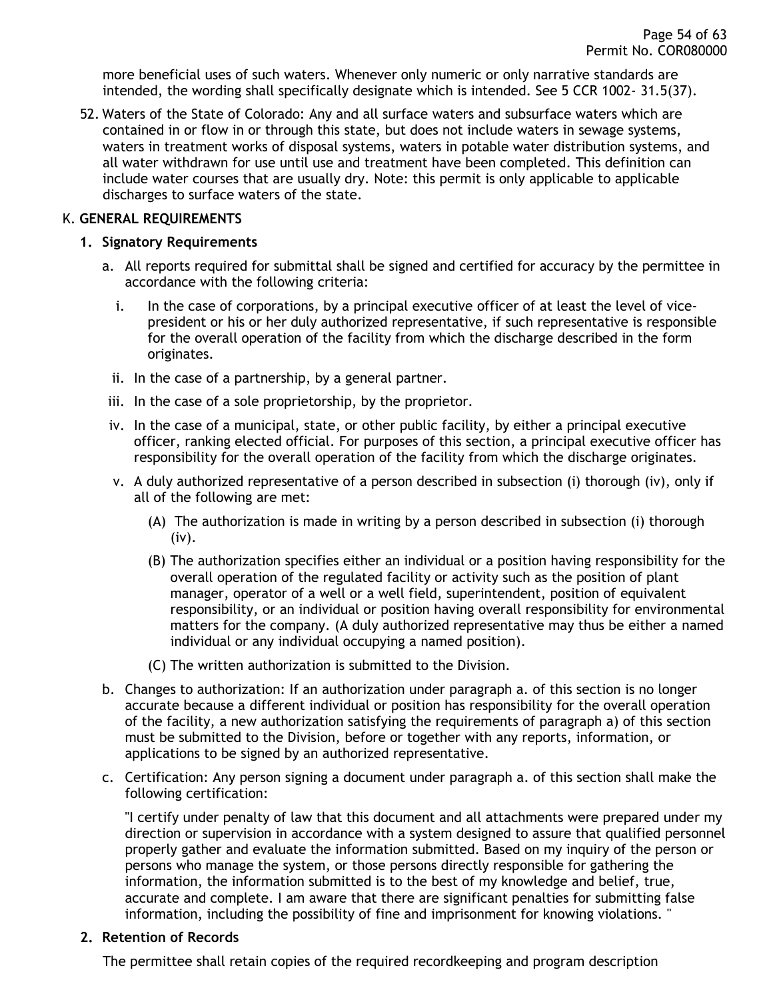more beneficial uses of such waters. Whenever only numeric or only narrative standards are intended, the wording shall specifically designate which is intended. See 5 CCR 1002- 31.5(37).

52. Waters of the State of Colorado: Any and all surface waters and subsurface waters which are contained in or flow in or through this state, but does not include waters in sewage systems, waters in treatment works of disposal systems, waters in potable water distribution systems, and all water withdrawn for use until use and treatment have been completed. This definition can include water courses that are usually dry. Note: this permit is only applicable to applicable discharges to surface waters of the state.

#### <span id="page-53-1"></span><span id="page-53-0"></span>K. **GENERAL REQUIREMENTS**

#### **1. Signatory Requirements**

- a. All reports required for submittal shall be signed and certified for accuracy by the permittee in accordance with the following criteria:
	- i. In the case of corporations, by a principal executive officer of at least the level of vicepresident or his or her duly authorized representative, if such representative is responsible for the overall operation of the facility from which the discharge described in the form originates.
	- ii. In the case of a partnership, by a general partner.
- iii. In the case of a sole proprietorship, by the proprietor.
- iv. In the case of a municipal, state, or other public facility, by either a principal executive officer, ranking elected official. For purposes of this section, a principal executive officer has responsibility for the overall operation of the facility from which the discharge originates.
- v. A duly authorized representative of a person described in subsection (i) thorough (iv), only if all of the following are met:
	- (A) The authorization is made in writing by a person described in subsection (i) thorough (iv).
	- (B) The authorization specifies either an individual or a position having responsibility for the overall operation of the regulated facility or activity such as the position of plant manager, operator of a well or a well field, superintendent, position of equivalent responsibility, or an individual or position having overall responsibility for environmental matters for the company. (A duly authorized representative may thus be either a named individual or any individual occupying a named position).
	- (C) The written authorization is submitted to the Division.
- b. Changes to authorization: If an authorization under paragraph a. of this section is no longer accurate because a different individual or position has responsibility for the overall operation of the facility, a new authorization satisfying the requirements of paragraph a) of this section must be submitted to the Division, before or together with any reports, information, or applications to be signed by an authorized representative.
- c. Certification: Any person signing a document under paragraph a. of this section shall make the following certification:

"I certify under penalty of law that this document and all attachments were prepared under my direction or supervision in accordance with a system designed to assure that qualified personnel properly gather and evaluate the information submitted. Based on my inquiry of the person or persons who manage the system, or those persons directly responsible for gathering the information, the information submitted is to the best of my knowledge and belief, true, accurate and complete. I am aware that there are significant penalties for submitting false information, including the possibility of fine and imprisonment for knowing violations. "

#### <span id="page-53-2"></span>**2. Retention of Records**

The permittee shall retain copies of the required recordkeeping and program description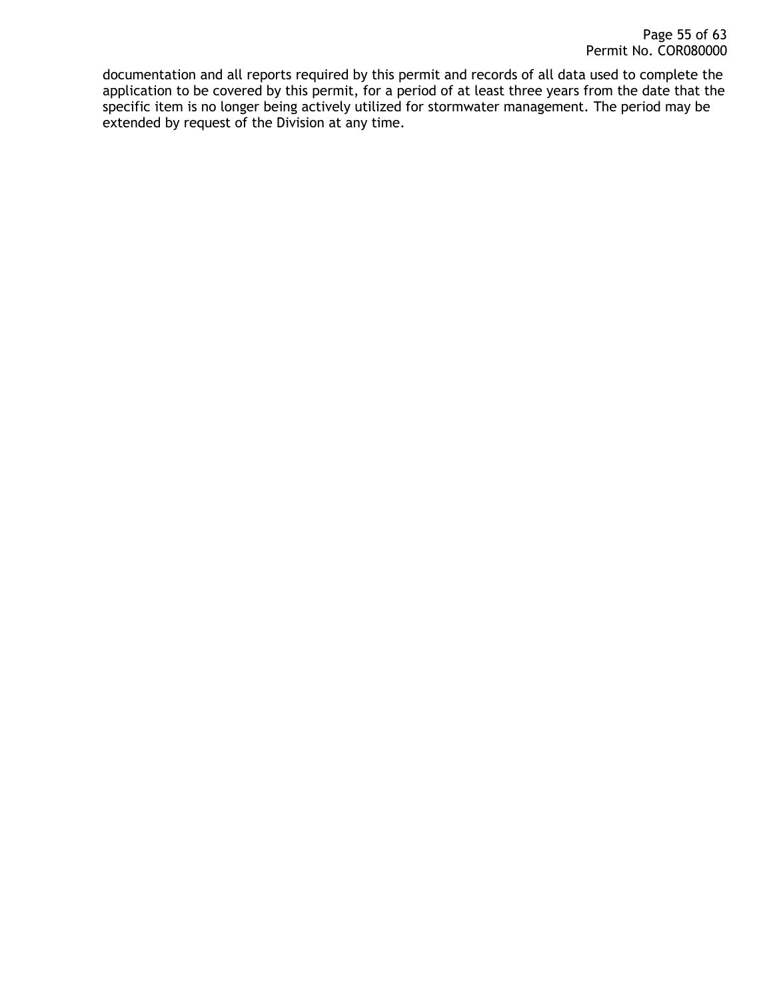documentation and all reports required by this permit and records of all data used to complete the application to be covered by this permit, for a period of at least three years from the date that the specific item is no longer being actively utilized for stormwater management. The period may be extended by request of the Division at any time.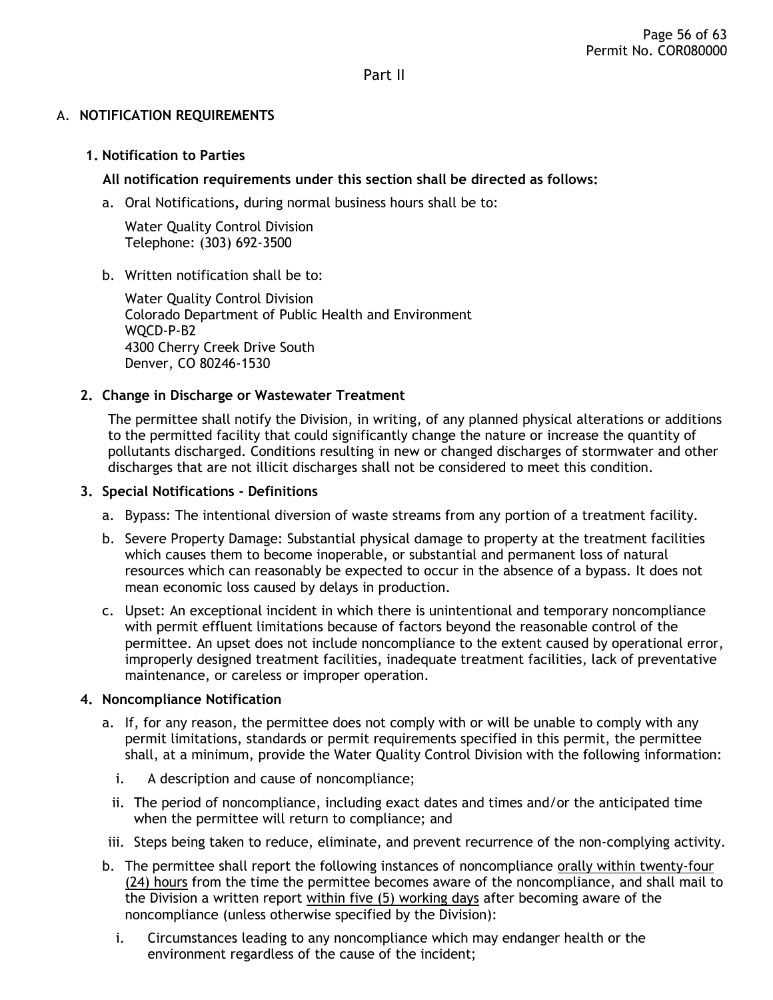Part II

### <span id="page-55-1"></span><span id="page-55-0"></span>A. **NOTIFICATION REQUIREMENTS**

#### <span id="page-55-2"></span>**1. Notification to Parties**

### **All notification requirements under this section shall be directed as follows:**

a. Oral Notifications**,** during normal business hours shall be to:

Water Quality Control Division Telephone: (303) 692-3500

#### b. Written notification shall be to:

Water Quality Control Division Colorado Department of Public Health and Environment WQCD-P-B2 4300 Cherry Creek Drive South Denver, CO 80246-1530

#### <span id="page-55-3"></span>**2. Change in Discharge or Wastewater Treatment**

The permittee shall notify the Division, in writing, of any planned physical alterations or additions to the permitted facility that could significantly change the nature or increase the quantity of pollutants discharged. Conditions resulting in new or changed discharges of stormwater and other discharges that are not illicit discharges shall not be considered to meet this condition.

#### <span id="page-55-4"></span>**3. Special Notifications - Definitions**

- a. Bypass: The intentional diversion of waste streams from any portion of a treatment facility.
- b. Severe Property Damage: Substantial physical damage to property at the treatment facilities which causes them to become inoperable, or substantial and permanent loss of natural resources which can reasonably be expected to occur in the absence of a bypass. It does not mean economic loss caused by delays in production.
- c. Upset: An exceptional incident in which there is unintentional and temporary noncompliance with permit effluent limitations because of factors beyond the reasonable control of the permittee. An upset does not include noncompliance to the extent caused by operational error, improperly designed treatment facilities, inadequate treatment facilities, lack of preventative maintenance, or careless or improper operation.

#### <span id="page-55-5"></span>**4. Noncompliance Notification**

- a. If, for any reason, the permittee does not comply with or will be unable to comply with any permit limitations, standards or permit requirements specified in this permit, the permittee shall, at a minimum, provide the Water Quality Control Division with the following information:
	- i. A description and cause of noncompliance;
	- ii. The period of noncompliance, including exact dates and times and/or the anticipated time when the permittee will return to compliance; and
- iii. Steps being taken to reduce, eliminate, and prevent recurrence of the non-complying activity.
- b. The permittee shall report the following instances of noncompliance orally within twenty-four (24) hours from the time the permittee becomes aware of the noncompliance, and shall mail to the Division a written report within five (5) working days after becoming aware of the noncompliance (unless otherwise specified by the Division):
	- i. Circumstances leading to any noncompliance which may endanger health or the environment regardless of the cause of the incident;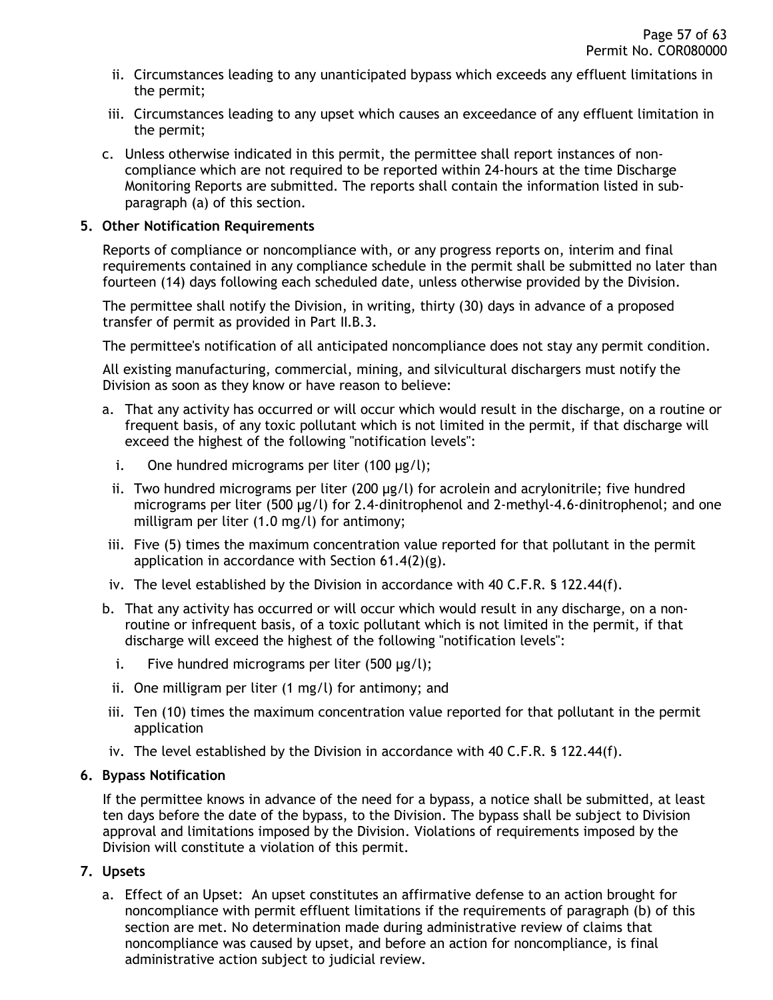- ii. Circumstances leading to any unanticipated bypass which exceeds any effluent limitations in the permit;
- iii. Circumstances leading to any upset which causes an exceedance of any effluent limitation in the permit;
- c. Unless otherwise indicated in this permit, the permittee shall report instances of noncompliance which are not required to be reported within 24-hours at the time Discharge Monitoring Reports are submitted. The reports shall contain the information listed in subparagraph (a) of this section.

#### <span id="page-56-0"></span>**5. Other Notification Requirements**

Reports of compliance or noncompliance with, or any progress reports on, interim and final requirements contained in any compliance schedule in the permit shall be submitted no later than fourteen (14) days following each scheduled date, unless otherwise provided by the Division.

The permittee shall notify the Division, in writing, thirty (30) days in advance of a proposed transfer of permit as provided in Part II.B.3.

The permittee's notification of all anticipated noncompliance does not stay any permit condition.

All existing manufacturing, commercial, mining, and silvicultural dischargers must notify the Division as soon as they know or have reason to believe:

- a. That any activity has occurred or will occur which would result in the discharge, on a routine or frequent basis, of any toxic pollutant which is not limited in the permit, if that discharge will exceed the highest of the following "notification levels":
	- i. One hundred micrograms per liter  $(100 \mu g/l)$ ;
	- ii. Two hundred micrograms per liter  $(200 \mu g/l)$  for acrolein and acrylonitrile; five hundred micrograms per liter (500 µg/l) for 2.4-dinitrophenol and 2-methyl-4.6-dinitrophenol; and one milligram per liter (1.0 mg/l) for antimony;
- iii. Five (5) times the maximum concentration value reported for that pollutant in the permit application in accordance with Section 61.4(2)(g).
- iv. The level established by the Division in accordance with 40 C.F.R. § 122.44(f).
- b. That any activity has occurred or will occur which would result in any discharge, on a nonroutine or infrequent basis, of a toxic pollutant which is not limited in the permit, if that discharge will exceed the highest of the following "notification levels":
	- i. Five hundred micrograms per liter  $(500 \mu g/l)$ ;
	- ii. One milligram per liter (1 mg/l) for antimony; and
- iii. Ten (10) times the maximum concentration value reported for that pollutant in the permit application
- iv. The level established by the Division in accordance with 40 C.F.R. § 122.44(f).

#### <span id="page-56-1"></span>**6. Bypass Notification**

If the permittee knows in advance of the need for a bypass, a notice shall be submitted, at least ten days before the date of the bypass, to the Division. The bypass shall be subject to Division approval and limitations imposed by the Division. Violations of requirements imposed by the Division will constitute a violation of this permit.

### <span id="page-56-2"></span>**7. Upsets**

a. Effect of an Upset: An upset constitutes an affirmative defense to an action brought for noncompliance with permit effluent limitations if the requirements of paragraph (b) of this section are met. No determination made during administrative review of claims that noncompliance was caused by upset, and before an action for noncompliance, is final administrative action subject to judicial review.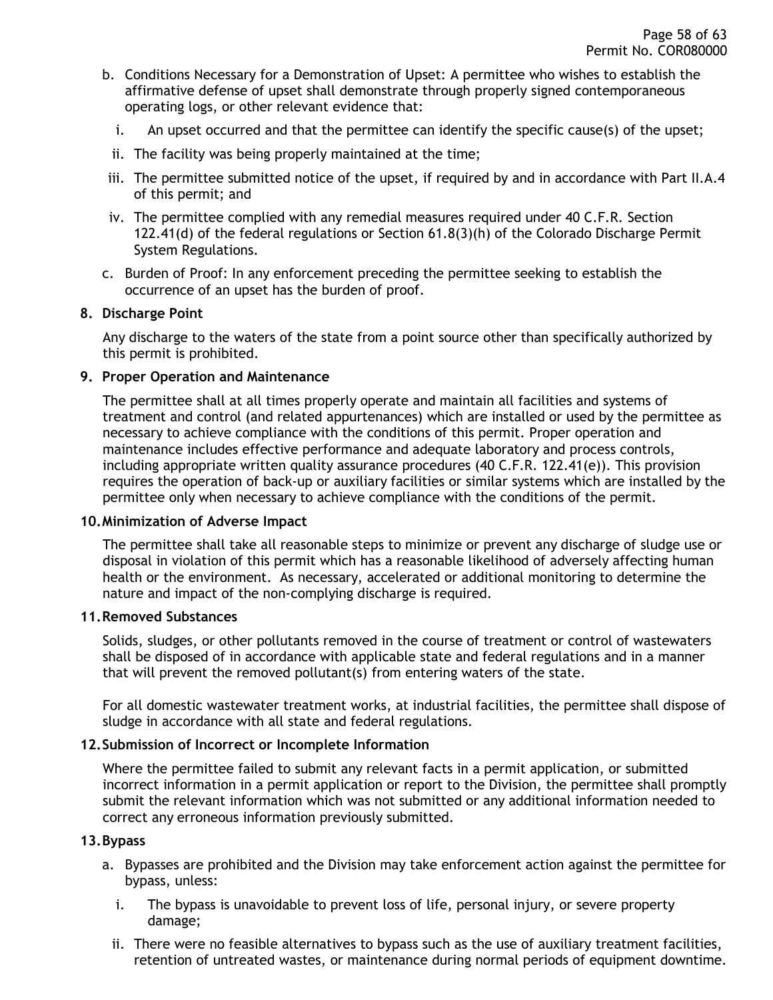- b. Conditions Necessary for a Demonstration of Upset: A permittee who wishes to establish the affirmative defense of upset shall demonstrate through properly signed contemporaneous operating logs, or other relevant evidence that:
	- i. An upset occurred and that the permittee can identify the specific cause(s) of the upset;
	- ii. The facility was being properly maintained at the time;
- iii. The permittee submitted notice of the upset, if required by and in accordance with Part II.A.4 of this permit; and
- iv. The permittee complied with any remedial measures required under 40 C.F.R. Section 122.41(d) of the federal regulations or Section 61.8(3)(h) of the Colorado Discharge Permit System Regulations.
- c. Burden of Proof: In any enforcement preceding the permittee seeking to establish the occurrence of an upset has the burden of proof.

#### <span id="page-57-0"></span>**8. Discharge Point**

Any discharge to the waters of the state from a point source other than specifically authorized by this permit is prohibited.

#### <span id="page-57-1"></span>**9. Proper Operation and Maintenance**

The permittee shall at all times properly operate and maintain all facilities and systems of treatment and control (and related appurtenances) which are installed or used by the permittee as necessary to achieve compliance with the conditions of this permit. Proper operation and maintenance includes effective performance and adequate laboratory and process controls, including appropriate written quality assurance procedures (40 C.F.R. 122.41(e)). This provision requires the operation of back-up or auxiliary facilities or similar systems which are installed by the permittee only when necessary to achieve compliance with the conditions of the permit.

#### <span id="page-57-2"></span>**10.Minimization of Adverse Impact**

The permittee shall take all reasonable steps to minimize or prevent any discharge of sludge use or disposal in violation of this permit which has a reasonable likelihood of adversely affecting human health or the environment. As necessary, accelerated or additional monitoring to determine the nature and impact of the non-complying discharge is required.

#### <span id="page-57-3"></span>**11.Removed Substances**

Solids, sludges, or other pollutants removed in the course of treatment or control of wastewaters shall be disposed of in accordance with applicable state and federal regulations and in a manner that will prevent the removed pollutant(s) from entering waters of the state.

For all domestic wastewater treatment works, at industrial facilities, the permittee shall dispose of sludge in accordance with all state and federal regulations.

#### <span id="page-57-4"></span>**12.Submission of Incorrect or Incomplete Information**

Where the permittee failed to submit any relevant facts in a permit application, or submitted incorrect information in a permit application or report to the Division, the permittee shall promptly submit the relevant information which was not submitted or any additional information needed to correct any erroneous information previously submitted.

#### <span id="page-57-5"></span>**13.Bypass**

- a. Bypasses are prohibited and the Division may take enforcement action against the permittee for bypass, unless:
	- i. The bypass is unavoidable to prevent loss of life, personal injury, or severe property damage;
	- ii. There were no feasible alternatives to bypass such as the use of auxiliary treatment facilities, retention of untreated wastes, or maintenance during normal periods of equipment downtime.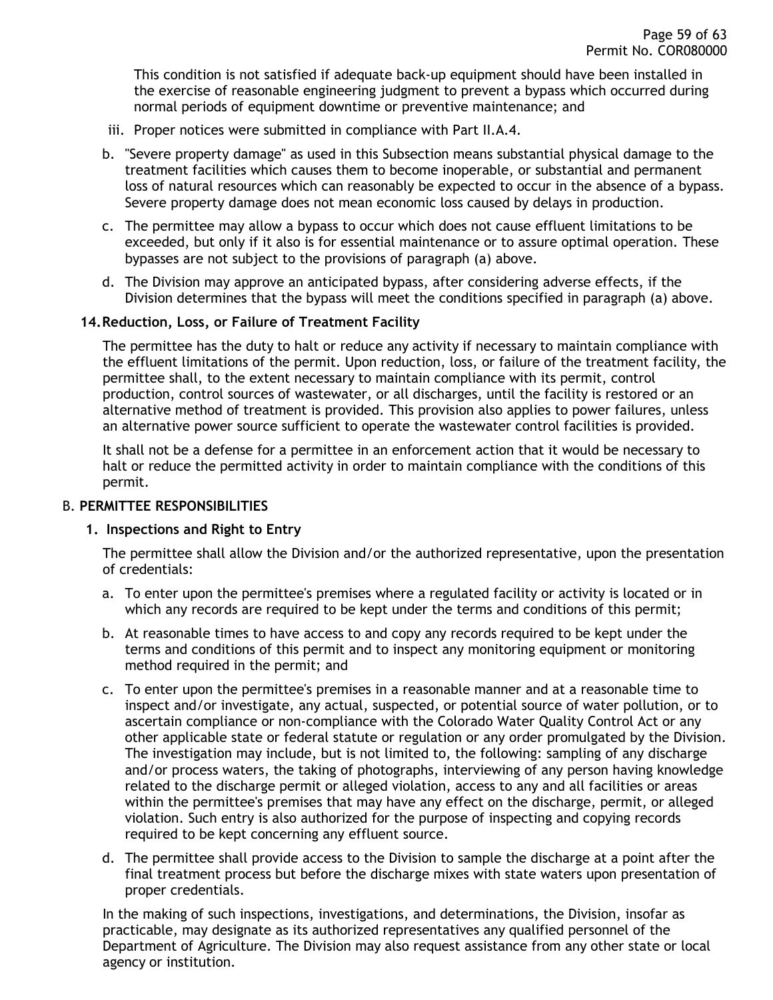This condition is not satisfied if adequate back-up equipment should have been installed in the exercise of reasonable engineering judgment to prevent a bypass which occurred during normal periods of equipment downtime or preventive maintenance; and

- iii. Proper notices were submitted in compliance with Part II.A.4.
- b. "Severe property damage" as used in this Subsection means substantial physical damage to the treatment facilities which causes them to become inoperable, or substantial and permanent loss of natural resources which can reasonably be expected to occur in the absence of a bypass. Severe property damage does not mean economic loss caused by delays in production.
- c. The permittee may allow a bypass to occur which does not cause effluent limitations to be exceeded, but only if it also is for essential maintenance or to assure optimal operation. These bypasses are not subject to the provisions of paragraph (a) above.
- d. The Division may approve an anticipated bypass, after considering adverse effects, if the Division determines that the bypass will meet the conditions specified in paragraph (a) above.

#### <span id="page-58-0"></span>**14.Reduction, Loss, or Failure of Treatment Facility**

The permittee has the duty to halt or reduce any activity if necessary to maintain compliance with the effluent limitations of the permit. Upon reduction, loss, or failure of the treatment facility, the permittee shall, to the extent necessary to maintain compliance with its permit, control production, control sources of wastewater, or all discharges, until the facility is restored or an alternative method of treatment is provided. This provision also applies to power failures, unless an alternative power source sufficient to operate the wastewater control facilities is provided.

It shall not be a defense for a permittee in an enforcement action that it would be necessary to halt or reduce the permitted activity in order to maintain compliance with the conditions of this permit.

#### <span id="page-58-1"></span>B. **PERMITTEE RESPONSIBILITIES**

#### <span id="page-58-2"></span>**1. Inspections and Right to Entry**

The permittee shall allow the Division and/or the authorized representative, upon the presentation of credentials:

- a. To enter upon the permittee's premises where a regulated facility or activity is located or in which any records are required to be kept under the terms and conditions of this permit;
- b. At reasonable times to have access to and copy any records required to be kept under the terms and conditions of this permit and to inspect any monitoring equipment or monitoring method required in the permit; and
- c. To enter upon the permittee's premises in a reasonable manner and at a reasonable time to inspect and/or investigate, any actual, suspected, or potential source of water pollution, or to ascertain compliance or non-compliance with the Colorado Water Quality Control Act or any other applicable state or federal statute or regulation or any order promulgated by the Division. The investigation may include, but is not limited to, the following: sampling of any discharge and/or process waters, the taking of photographs, interviewing of any person having knowledge related to the discharge permit or alleged violation, access to any and all facilities or areas within the permittee's premises that may have any effect on the discharge, permit, or alleged violation. Such entry is also authorized for the purpose of inspecting and copying records required to be kept concerning any effluent source.
- d. The permittee shall provide access to the Division to sample the discharge at a point after the final treatment process but before the discharge mixes with state waters upon presentation of proper credentials.

In the making of such inspections, investigations, and determinations, the Division, insofar as practicable, may designate as its authorized representatives any qualified personnel of the Department of Agriculture. The Division may also request assistance from any other state or local agency or institution.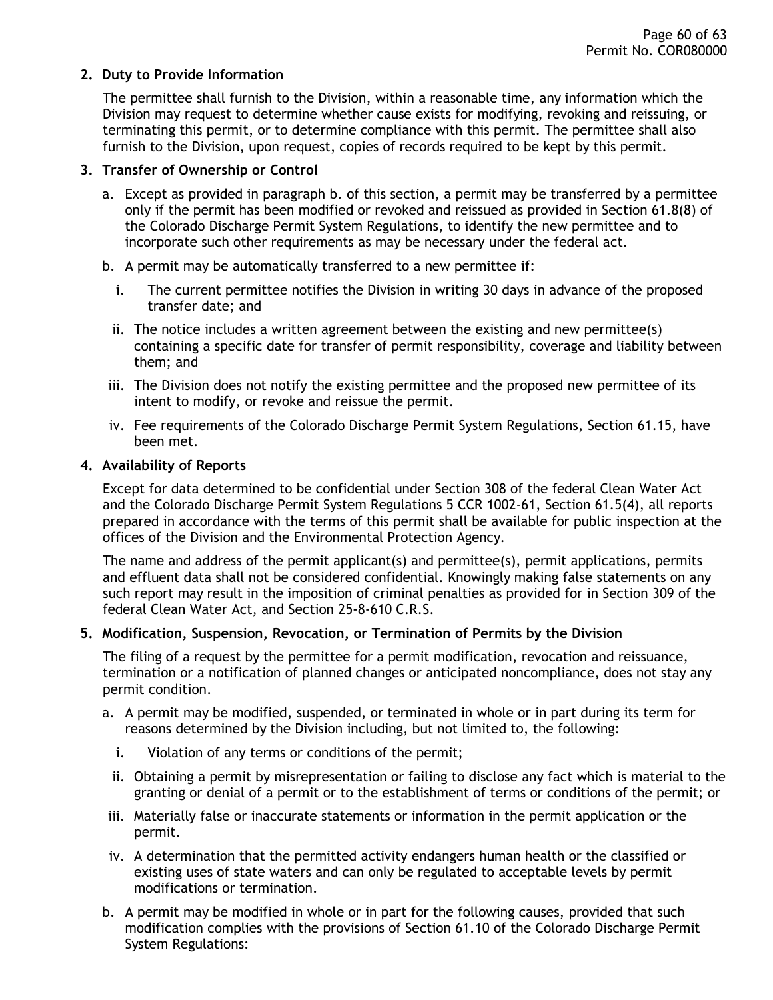### <span id="page-59-0"></span>**2. Duty to Provide Information**

The permittee shall furnish to the Division, within a reasonable time, any information which the Division may request to determine whether cause exists for modifying, revoking and reissuing, or terminating this permit, or to determine compliance with this permit. The permittee shall also furnish to the Division, upon request, copies of records required to be kept by this permit.

#### <span id="page-59-1"></span>**3. Transfer of Ownership or Control**

- a. Except as provided in paragraph b. of this section, a permit may be transferred by a permittee only if the permit has been modified or revoked and reissued as provided in Section 61.8(8) of the Colorado Discharge Permit System Regulations, to identify the new permittee and to incorporate such other requirements as may be necessary under the federal act.
- b. A permit may be automatically transferred to a new permittee if:
	- i. The current permittee notifies the Division in writing 30 days in advance of the proposed transfer date; and
	- ii. The notice includes a written agreement between the existing and new permittee(s) containing a specific date for transfer of permit responsibility, coverage and liability between them; and
- iii. The Division does not notify the existing permittee and the proposed new permittee of its intent to modify, or revoke and reissue the permit.
- iv. Fee requirements of the Colorado Discharge Permit System Regulations, Section 61.15, have been met.

#### <span id="page-59-2"></span>**4. Availability of Reports**

Except for data determined to be confidential under Section 308 of the federal Clean Water Act and the Colorado Discharge Permit System Regulations 5 CCR 1002-61, Section 61.5(4), all reports prepared in accordance with the terms of this permit shall be available for public inspection at the offices of the Division and the Environmental Protection Agency.

The name and address of the permit applicant(s) and permittee(s), permit applications, permits and effluent data shall not be considered confidential. Knowingly making false statements on any such report may result in the imposition of criminal penalties as provided for in Section 309 of the federal Clean Water Act, and Section 25-8-610 C.R.S.

### <span id="page-59-3"></span>**5. Modification, Suspension, Revocation, or Termination of Permits by the Division**

The filing of a request by the permittee for a permit modification, revocation and reissuance, termination or a notification of planned changes or anticipated noncompliance, does not stay any permit condition.

- a. A permit may be modified, suspended, or terminated in whole or in part during its term for reasons determined by the Division including, but not limited to, the following:
	- i. Violation of any terms or conditions of the permit;
	- ii. Obtaining a permit by misrepresentation or failing to disclose any fact which is material to the granting or denial of a permit or to the establishment of terms or conditions of the permit; or
- iii. Materially false or inaccurate statements or information in the permit application or the permit.
- iv. A determination that the permitted activity endangers human health or the classified or existing uses of state waters and can only be regulated to acceptable levels by permit modifications or termination.
- b. A permit may be modified in whole or in part for the following causes, provided that such modification complies with the provisions of Section 61.10 of the Colorado Discharge Permit System Regulations: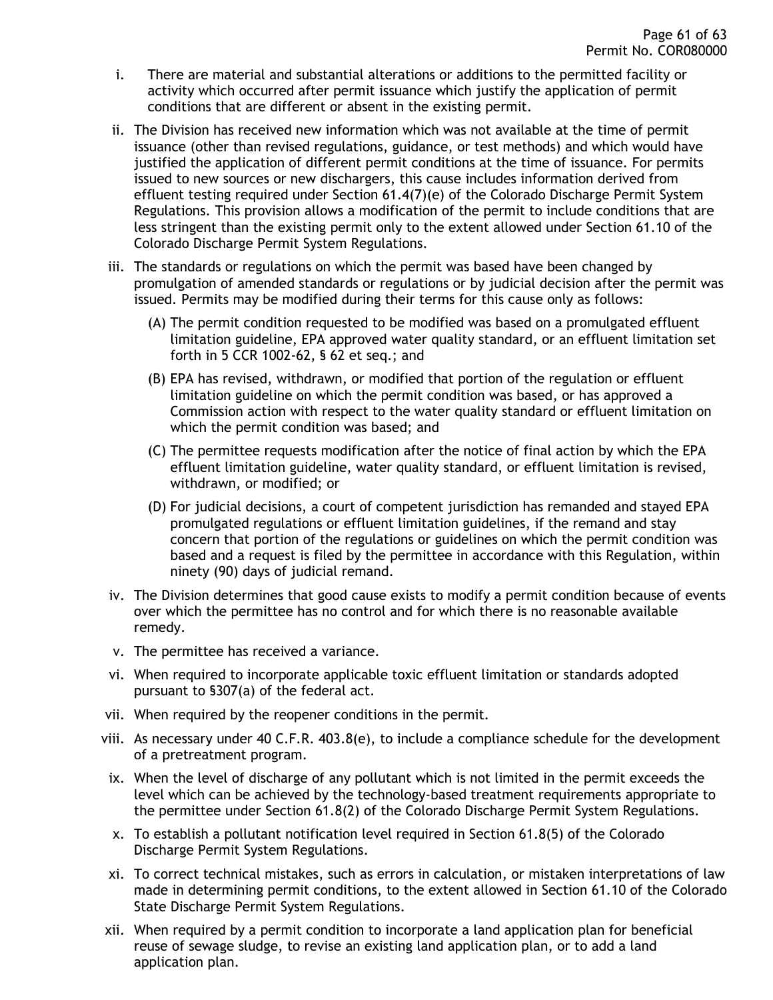- i. There are material and substantial alterations or additions to the permitted facility or activity which occurred after permit issuance which justify the application of permit conditions that are different or absent in the existing permit.
- ii. The Division has received new information which was not available at the time of permit issuance (other than revised regulations, guidance, or test methods) and which would have justified the application of different permit conditions at the time of issuance. For permits issued to new sources or new dischargers, this cause includes information derived from effluent testing required under Section 61.4(7)(e) of the Colorado Discharge Permit System Regulations. This provision allows a modification of the permit to include conditions that are less stringent than the existing permit only to the extent allowed under Section 61.10 of the Colorado Discharge Permit System Regulations.
- iii. The standards or regulations on which the permit was based have been changed by promulgation of amended standards or regulations or by judicial decision after the permit was issued. Permits may be modified during their terms for this cause only as follows:
	- (A) The permit condition requested to be modified was based on a promulgated effluent limitation guideline, EPA approved water quality standard, or an effluent limitation set forth in 5 CCR 1002-62, § 62 et seq.; and
	- (B) EPA has revised, withdrawn, or modified that portion of the regulation or effluent limitation guideline on which the permit condition was based, or has approved a Commission action with respect to the water quality standard or effluent limitation on which the permit condition was based; and
	- (C) The permittee requests modification after the notice of final action by which the EPA effluent limitation guideline, water quality standard, or effluent limitation is revised, withdrawn, or modified; or
	- (D) For judicial decisions, a court of competent jurisdiction has remanded and stayed EPA promulgated regulations or effluent limitation guidelines, if the remand and stay concern that portion of the regulations or guidelines on which the permit condition was based and a request is filed by the permittee in accordance with this Regulation, within ninety (90) days of judicial remand.
- iv. The Division determines that good cause exists to modify a permit condition because of events over which the permittee has no control and for which there is no reasonable available remedy.
- v. The permittee has received a variance.
- vi. When required to incorporate applicable toxic effluent limitation or standards adopted pursuant to §307(a) of the federal act.
- vii. When required by the reopener conditions in the permit.
- viii. As necessary under 40 C.F.R. 403.8(e), to include a compliance schedule for the development of a pretreatment program.
- ix. When the level of discharge of any pollutant which is not limited in the permit exceeds the level which can be achieved by the technology-based treatment requirements appropriate to the permittee under Section 61.8(2) of the Colorado Discharge Permit System Regulations.
- x. To establish a pollutant notification level required in Section 61.8(5) of the Colorado Discharge Permit System Regulations.
- xi. To correct technical mistakes, such as errors in calculation, or mistaken interpretations of law made in determining permit conditions, to the extent allowed in Section 61.10 of the Colorado State Discharge Permit System Regulations.
- xii. When required by a permit condition to incorporate a land application plan for beneficial reuse of sewage sludge, to revise an existing land application plan, or to add a land application plan.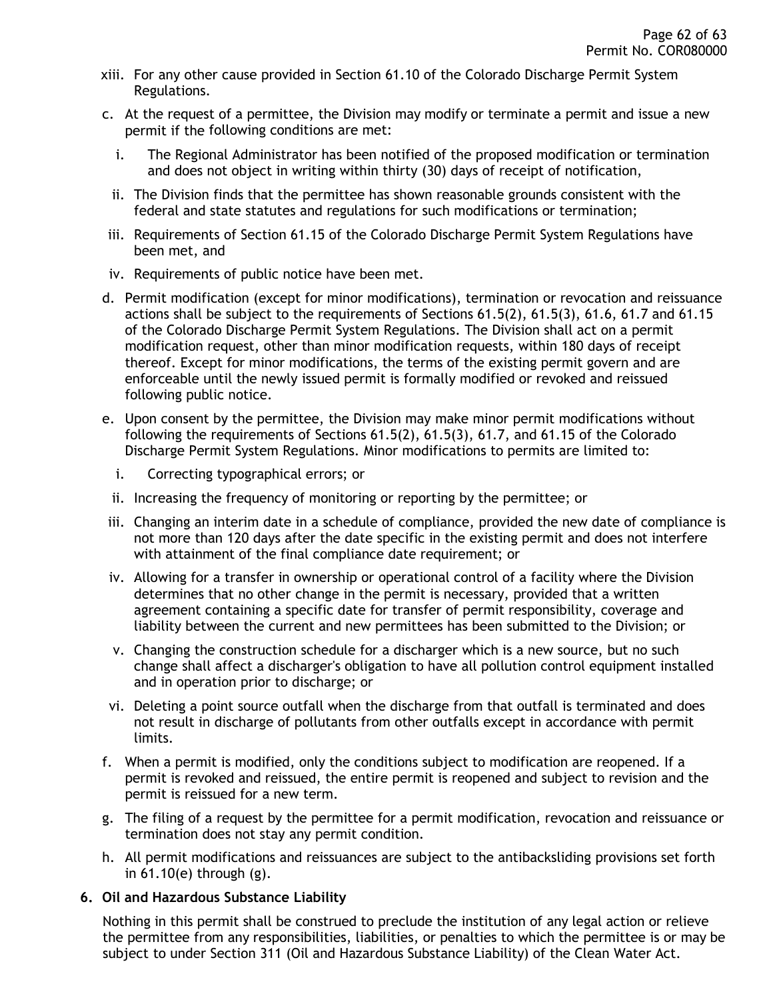- xiii. For any other cause provided in Section 61.10 of the Colorado Discharge Permit System Regulations.
- c. At the request of a permittee, the Division may modify or terminate a permit and issue a new permit if the following conditions are met:
	- i. The Regional Administrator has been notified of the proposed modification or termination and does not object in writing within thirty (30) days of receipt of notification,
	- ii. The Division finds that the permittee has shown reasonable grounds consistent with the federal and state statutes and regulations for such modifications or termination;
- iii. Requirements of Section 61.15 of the Colorado Discharge Permit System Regulations have been met, and
- iv. Requirements of public notice have been met.
- d. Permit modification (except for minor modifications), termination or revocation and reissuance actions shall be subject to the requirements of Sections 61.5(2), 61.5(3), 61.6, 61.7 and 61.15 of the Colorado Discharge Permit System Regulations. The Division shall act on a permit modification request, other than minor modification requests, within 180 days of receipt thereof. Except for minor modifications, the terms of the existing permit govern and are enforceable until the newly issued permit is formally modified or revoked and reissued following public notice.
- e. Upon consent by the permittee, the Division may make minor permit modifications without following the requirements of Sections 61.5(2), 61.5(3), 61.7, and 61.15 of the Colorado Discharge Permit System Regulations. Minor modifications to permits are limited to:
	- i. Correcting typographical errors; or
	- ii. Increasing the frequency of monitoring or reporting by the permittee; or
- iii. Changing an interim date in a schedule of compliance, provided the new date of compliance is not more than 120 days after the date specific in the existing permit and does not interfere with attainment of the final compliance date requirement; or
- iv. Allowing for a transfer in ownership or operational control of a facility where the Division determines that no other change in the permit is necessary, provided that a written agreement containing a specific date for transfer of permit responsibility, coverage and liability between the current and new permittees has been submitted to the Division; or
- v. Changing the construction schedule for a discharger which is a new source, but no such change shall affect a discharger's obligation to have all pollution control equipment installed and in operation prior to discharge; or
- vi. Deleting a point source outfall when the discharge from that outfall is terminated and does not result in discharge of pollutants from other outfalls except in accordance with permit limits.
- f. When a permit is modified, only the conditions subject to modification are reopened. If a permit is revoked and reissued, the entire permit is reopened and subject to revision and the permit is reissued for a new term.
- g. The filing of a request by the permittee for a permit modification, revocation and reissuance or termination does not stay any permit condition.
- h. All permit modifications and reissuances are subject to the antibacksliding provisions set forth in 61.10(e) through (g).

### <span id="page-61-0"></span>**6. Oil and Hazardous Substance Liability**

Nothing in this permit shall be construed to preclude the institution of any legal action or relieve the permittee from any responsibilities, liabilities, or penalties to which the permittee is or may be subject to under Section 311 (Oil and Hazardous Substance Liability) of the Clean Water Act.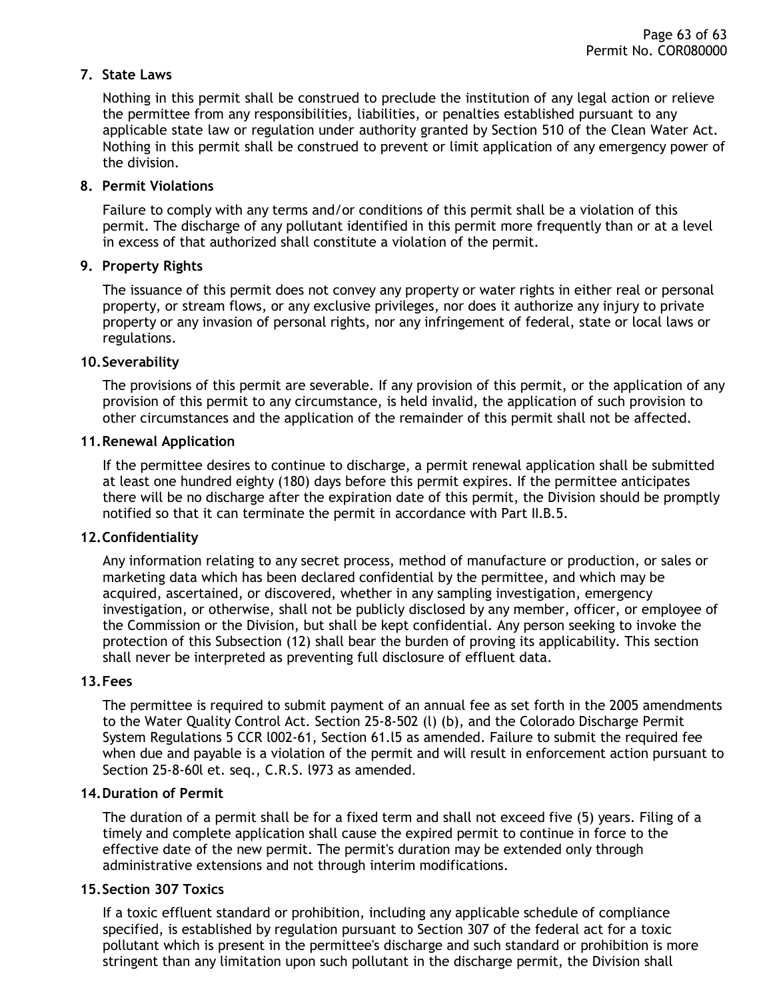### <span id="page-62-0"></span>**7. State Laws**

Nothing in this permit shall be construed to preclude the institution of any legal action or relieve the permittee from any responsibilities, liabilities, or penalties established pursuant to any applicable state law or regulation under authority granted by Section 510 of the Clean Water Act. Nothing in this permit shall be construed to prevent or limit application of any emergency power of the division.

#### <span id="page-62-1"></span>**8. Permit Violations**

Failure to comply with any terms and/or conditions of this permit shall be a violation of this permit. The discharge of any pollutant identified in this permit more frequently than or at a level in excess of that authorized shall constitute a violation of the permit.

#### <span id="page-62-2"></span>**9. Property Rights**

The issuance of this permit does not convey any property or water rights in either real or personal property, or stream flows, or any exclusive privileges, nor does it authorize any injury to private property or any invasion of personal rights, nor any infringement of federal, state or local laws or regulations.

#### <span id="page-62-3"></span>**10.Severability**

The provisions of this permit are severable. If any provision of this permit, or the application of any provision of this permit to any circumstance, is held invalid, the application of such provision to other circumstances and the application of the remainder of this permit shall not be affected.

#### <span id="page-62-4"></span>**11.Renewal Application**

If the permittee desires to continue to discharge, a permit renewal application shall be submitted at least one hundred eighty (180) days before this permit expires. If the permittee anticipates there will be no discharge after the expiration date of this permit, the Division should be promptly notified so that it can terminate the permit in accordance with Part II.B.5.

#### <span id="page-62-5"></span>**12.Confidentiality**

Any information relating to any secret process, method of manufacture or production, or sales or marketing data which has been declared confidential by the permittee, and which may be acquired, ascertained, or discovered, whether in any sampling investigation, emergency investigation, or otherwise, shall not be publicly disclosed by any member, officer, or employee of the Commission or the Division, but shall be kept confidential. Any person seeking to invoke the protection of this Subsection (12) shall bear the burden of proving its applicability. This section shall never be interpreted as preventing full disclosure of effluent data.

#### <span id="page-62-6"></span>**13.Fees**

The permittee is required to submit payment of an annual fee as set forth in the 2005 amendments to the Water Quality Control Act. Section 25-8-502 (l) (b), and the Colorado Discharge Permit System Regulations 5 CCR l002-61, Section 61.l5 as amended. Failure to submit the required fee when due and payable is a violation of the permit and will result in enforcement action pursuant to Section 25-8-60l et. seq., C.R.S. l973 as amended.

#### <span id="page-62-7"></span>**14.Duration of Permit**

The duration of a permit shall be for a fixed term and shall not exceed five (5) years. Filing of a timely and complete application shall cause the expired permit to continue in force to the effective date of the new permit. The permit's duration may be extended only through administrative extensions and not through interim modifications.

### <span id="page-62-8"></span>**15.Section 307 Toxics**

If a toxic effluent standard or prohibition, including any applicable schedule of compliance specified, is established by regulation pursuant to Section 307 of the federal act for a toxic pollutant which is present in the permittee's discharge and such standard or prohibition is more stringent than any limitation upon such pollutant in the discharge permit, the Division shall